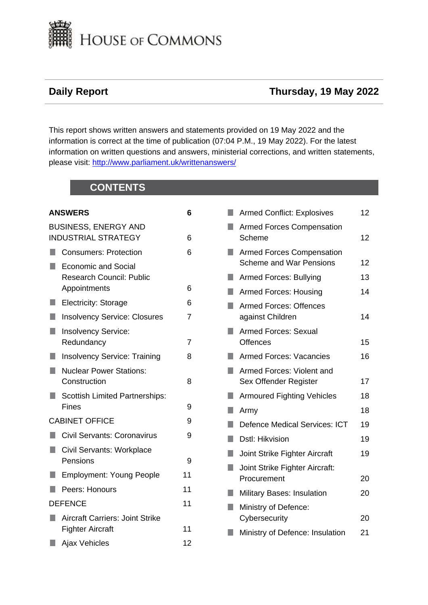

# **Daily Report Thursday, 19 May 2022**

This report shows written answers and statements provided on 19 May 2022 and the information is correct at the time of publication (07:04 P.M., 19 May 2022). For the latest information on written questions and answers, ministerial corrections, and written statements, please visit: [http://www.parliament.uk/writtenanswers/](http://www.parliament.uk/writtenanswers)

# **CONTENTS**

|    | <b>ANSWERS</b>                                                                | 6  |
|----|-------------------------------------------------------------------------------|----|
|    | <b>BUSINESS, ENERGY AND</b><br><b>INDUSTRIAL STRATEGY</b>                     | 6  |
|    | <b>Consumers: Protection</b>                                                  | 6  |
|    | <b>Economic and Social</b><br><b>Research Council: Public</b><br>Appointments | 6  |
| п  | <b>Electricity: Storage</b>                                                   | 6  |
| ۰  | <b>Insolvency Service: Closures</b>                                           | 7  |
| ٠  | <b>Insolvency Service:</b><br>Redundancy                                      | 7  |
| D, | <b>Insolvency Service: Training</b>                                           | 8  |
| u  | <b>Nuclear Power Stations:</b><br>Construction                                | 8  |
| H. | <b>Scottish Limited Partnerships:</b><br>Fines                                | 9  |
|    | <b>CABINET OFFICE</b>                                                         | 9  |
| H. | <b>Civil Servants: Coronavirus</b>                                            | 9  |
| ٠  | Civil Servants: Workplace<br>Pensions                                         | 9  |
| H. | <b>Employment: Young People</b>                                               | 11 |
|    | Peers: Honours                                                                | 11 |
|    | <b>DEFENCE</b>                                                                | 11 |
| H. | <b>Aircraft Carriers: Joint Strike</b><br><b>Fighter Aircraft</b>             | 11 |
|    | <b>Ajax Vehicles</b>                                                          | 12 |

|   | <b>Armed Conflict: Explosives</b>                                  | 12 |
|---|--------------------------------------------------------------------|----|
|   | <b>Armed Forces Compensation</b><br>Scheme                         | 12 |
|   | <b>Armed Forces Compensation</b><br><b>Scheme and War Pensions</b> | 12 |
| ٠ | Armed Forces: Bullying                                             | 13 |
|   | Armed Forces: Housing                                              | 14 |
|   | <b>Armed Forces: Offences</b><br>against Children                  | 14 |
|   | <b>Armed Forces: Sexual</b><br><b>Offences</b>                     | 15 |
|   |                                                                    |    |
|   | <b>Armed Forces: Vacancies</b>                                     | 16 |
|   | Armed Forces: Violent and<br>Sex Offender Register                 | 17 |
|   | <b>Armoured Fighting Vehicles</b>                                  | 18 |
| ŋ | Army                                                               | 18 |
|   | <b>Defence Medical Services: ICT</b>                               | 19 |
| ۰ | Dstl: Hikvision                                                    | 19 |
|   | Joint Strike Fighter Aircraft                                      | 19 |
|   | Joint Strike Fighter Aircraft:                                     |    |
|   | Procurement                                                        | 20 |
|   | <b>Military Bases: Insulation</b>                                  | 20 |
|   | Ministry of Defence:<br>Cybersecurity                              | 20 |
|   | Ministry of Defence: Insulation                                    | 21 |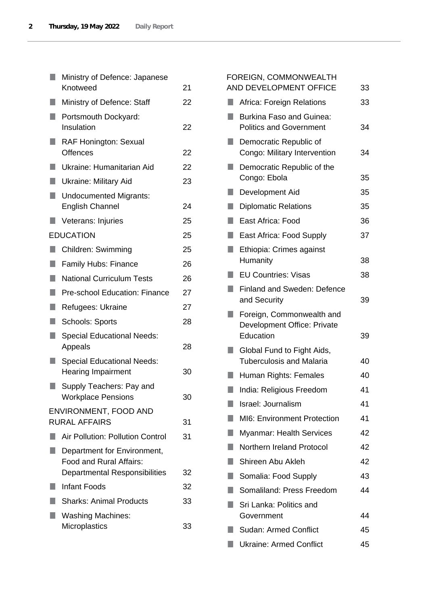|    | Ministry of Defence: Japanese<br>Knotweed                      | 21 |
|----|----------------------------------------------------------------|----|
|    | Ministry of Defence: Staff                                     | 22 |
|    | Portsmouth Dockyard:<br>Insulation                             | 22 |
| ×. | <b>RAF Honington: Sexual</b><br><b>Offences</b>                | 22 |
| ٠  | Ukraine: Humanitarian Aid                                      | 22 |
| q  | <b>Ukraine: Military Aid</b>                                   | 23 |
| ŋ  | <b>Undocumented Migrants:</b><br><b>English Channel</b>        | 24 |
|    | Veterans: Injuries                                             | 25 |
|    | <b>EDUCATION</b>                                               | 25 |
|    | <b>Children: Swimming</b>                                      | 25 |
|    | Family Hubs: Finance                                           | 26 |
| ٠  | <b>National Curriculum Tests</b>                               | 26 |
|    | Pre-school Education: Finance                                  | 27 |
| ٥  | Refugees: Ukraine                                              | 27 |
| H. | <b>Schools: Sports</b>                                         | 28 |
| n  | <b>Special Educational Needs:</b><br>Appeals                   | 28 |
| ×. | <b>Special Educational Needs:</b><br><b>Hearing Impairment</b> | 30 |
|    | Supply Teachers: Pay and<br><b>Workplace Pensions</b>          | 30 |
|    | ENVIRONMENT, FOOD AND<br><b>RURAL AFFAIRS</b>                  | 31 |
|    | <b>Air Pollution: Pollution Control</b>                        | 31 |
|    | Department for Environment,<br>Food and Rural Affairs:         |    |
|    | <b>Departmental Responsibilities</b>                           | 32 |
|    | <b>Infant Foods</b>                                            | 32 |
|    | <b>Sharks: Animal Products</b>                                 | 33 |
|    | <b>Washing Machines:</b><br>Microplastics                      | 33 |

|    | FOREIGN, COMMONWEALTH<br>AND DEVELOPMENT OFFICE                       | 33 |
|----|-----------------------------------------------------------------------|----|
| H. | <b>Africa: Foreign Relations</b>                                      | 33 |
|    | <b>Burkina Faso and Guinea:</b><br><b>Politics and Government</b>     | 34 |
|    | Democratic Republic of<br>Congo: Military Intervention                | 34 |
| H  | Democratic Republic of the<br>Congo: Ebola                            | 35 |
|    | Development Aid                                                       | 35 |
|    | <b>Diplomatic Relations</b>                                           | 35 |
|    | East Africa: Food                                                     | 36 |
| ٠  | East Africa: Food Supply                                              | 37 |
|    | Ethiopia: Crimes against<br>Humanity                                  | 38 |
|    | <b>EU Countries: Visas</b>                                            | 38 |
|    | <b>Finland and Sweden: Defence</b><br>and Security                    | 39 |
|    | Foreign, Commonwealth and<br>Development Office: Private<br>Education | 39 |
|    | Global Fund to Fight Aids,<br><b>Tuberculosis and Malaria</b>         | 40 |
|    | Human Rights: Females                                                 | 40 |
|    | India: Religious Freedom                                              | 41 |
|    | Israel: Journalism                                                    | 41 |
|    | MI6: Environment Protection                                           | 41 |
|    | <b>Myanmar: Health Services</b>                                       | 42 |
| ×. | Northern Ireland Protocol                                             | 42 |
|    | Shireen Abu Akleh                                                     | 42 |
|    | Somalia: Food Supply                                                  | 43 |
| ×. | Somaliland: Press Freedom                                             | 44 |
|    | Sri Lanka: Politics and<br>Government                                 | 44 |
|    | <b>Sudan: Armed Conflict</b>                                          | 45 |
|    | <b>Ukraine: Armed Conflict</b>                                        | 45 |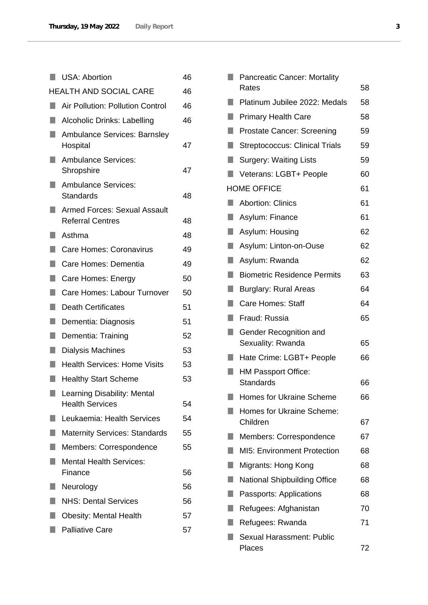|    | <b>USA: Abortion</b>                                           | 46 |
|----|----------------------------------------------------------------|----|
|    | <b>HEALTH AND SOCIAL CARE</b>                                  | 46 |
|    | Air Pollution: Pollution Control                               | 46 |
|    | Alcoholic Drinks: Labelling                                    | 46 |
|    | <b>Ambulance Services: Barnsley</b><br>Hospital                | 47 |
|    | <b>Ambulance Services:</b><br>Shropshire                       | 47 |
|    | <b>Ambulance Services:</b><br>Standards                        | 48 |
|    | <b>Armed Forces: Sexual Assault</b><br><b>Referral Centres</b> | 48 |
|    | Asthma                                                         | 48 |
|    | Care Homes: Coronavirus                                        | 49 |
| ٠  | Care Homes: Dementia                                           | 49 |
| ٠  | Care Homes: Energy                                             | 50 |
| H. | Care Homes: Labour Turnover                                    | 50 |
| ٠  | <b>Death Certificates</b>                                      | 51 |
| ۰  | Dementia: Diagnosis                                            | 51 |
| F  | Dementia: Training                                             | 52 |
| n  | Dialysis Machines                                              | 53 |
|    | <b>Health Services: Home Visits</b>                            | 53 |
| п  | <b>Healthy Start Scheme</b>                                    | 53 |
|    | Learning Disability: Mental<br><b>Health Services</b>          | 54 |
|    | Leukaemia: Health Services                                     | 54 |
| ×. | <b>Maternity Services: Standards</b>                           | 55 |
|    | <b>Members: Correspondence</b>                                 | 55 |
|    | <b>Mental Health Services:</b><br>Finance                      | 56 |
|    | Neurology                                                      | 56 |
|    | <b>NHS: Dental Services</b>                                    | 56 |
|    | <b>Obesity: Mental Health</b>                                  | 57 |
|    | <b>Palliative Care</b>                                         | 57 |
|    |                                                                |    |

|    | <b>Pancreatic Cancer: Mortality</b>            |    |
|----|------------------------------------------------|----|
|    | Rates                                          | 58 |
|    | Platinum Jubilee 2022: Medals                  | 58 |
|    | <b>Primary Health Care</b>                     | 58 |
| H  | <b>Prostate Cancer: Screening</b>              | 59 |
| ٠  | <b>Streptococcus: Clinical Trials</b>          | 59 |
| ٠  | <b>Surgery: Waiting Lists</b>                  | 59 |
| п  | Veterans: LGBT+ People                         | 60 |
|    | <b>HOME OFFICE</b>                             | 61 |
| H  | <b>Abortion: Clinics</b>                       | 61 |
| H. | Asylum: Finance                                | 61 |
| H  | Asylum: Housing                                | 62 |
| ٠  | Asylum: Linton-on-Ouse                         | 62 |
| ٠  | Asylum: Rwanda                                 | 62 |
| H  | <b>Biometric Residence Permits</b>             | 63 |
| H  | <b>Burglary: Rural Areas</b>                   | 64 |
| ٠  | <b>Care Homes: Staff</b>                       | 64 |
|    | Fraud: Russia                                  | 65 |
| ٠  | Gender Recognition and<br>Sexuality: Rwanda    | 65 |
|    | Hate Crime: LGBT+ People                       | 66 |
|    | <b>HM Passport Office:</b><br><b>Standards</b> | 66 |
|    | <b>Homes for Ukraine Scheme</b>                | 66 |
|    | <b>Homes for Ukraine Scheme:</b>               |    |
|    | Children                                       | 67 |
|    | Members: Correspondence                        | 67 |
|    | <b>MI5: Environment Protection</b>             | 68 |
|    | Migrants: Hong Kong                            | 68 |
|    | <b>National Shipbuilding Office</b>            | 68 |
|    | Passports: Applications                        | 68 |
|    | Refugees: Afghanistan                          | 70 |
|    | Refugees: Rwanda                               | 71 |
|    | <b>Sexual Harassment: Public</b><br>Places     | 72 |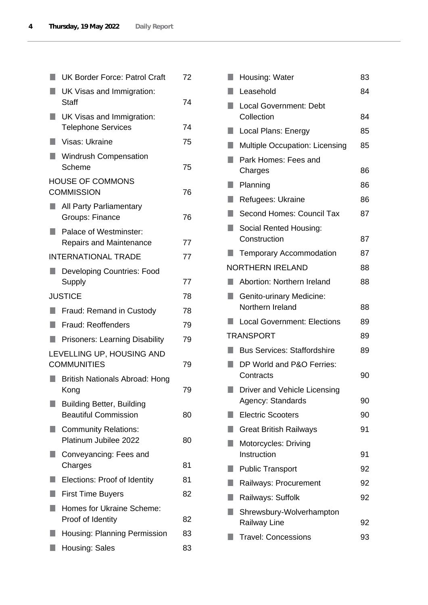| UK Visas and Immigration:<br>UK Visas and Immigration:<br><b>Telephone Services</b><br>Visas: Ukraine<br><b>Windrush Compensation</b><br>Scheme<br><b>HOUSE OF COMMONS</b><br><b>COMMISSION</b><br>All Party Parliamentary<br>Groups: Finance<br>Palace of Westminster:<br><b>Repairs and Maintenance</b><br><b>INTERNATIONAL TRADE</b><br><b>Developing Countries: Food</b> | 74<br>74<br>75<br>75<br>76<br>76<br>77<br>77<br>77 |
|------------------------------------------------------------------------------------------------------------------------------------------------------------------------------------------------------------------------------------------------------------------------------------------------------------------------------------------------------------------------------|----------------------------------------------------|
|                                                                                                                                                                                                                                                                                                                                                                              |                                                    |
|                                                                                                                                                                                                                                                                                                                                                                              |                                                    |
|                                                                                                                                                                                                                                                                                                                                                                              |                                                    |
|                                                                                                                                                                                                                                                                                                                                                                              |                                                    |
|                                                                                                                                                                                                                                                                                                                                                                              |                                                    |
|                                                                                                                                                                                                                                                                                                                                                                              |                                                    |
|                                                                                                                                                                                                                                                                                                                                                                              |                                                    |
|                                                                                                                                                                                                                                                                                                                                                                              |                                                    |
|                                                                                                                                                                                                                                                                                                                                                                              |                                                    |
|                                                                                                                                                                                                                                                                                                                                                                              |                                                    |
|                                                                                                                                                                                                                                                                                                                                                                              |                                                    |
|                                                                                                                                                                                                                                                                                                                                                                              | 78                                                 |
| Fraud: Remand in Custody                                                                                                                                                                                                                                                                                                                                                     | 78                                                 |
| <b>Fraud: Reoffenders</b>                                                                                                                                                                                                                                                                                                                                                    | 79                                                 |
| <b>Prisoners: Learning Disability</b>                                                                                                                                                                                                                                                                                                                                        | 79                                                 |
| LEVELLING UP, HOUSING AND<br><b>COMMUNITIES</b>                                                                                                                                                                                                                                                                                                                              | 79                                                 |
| <b>British Nationals Abroad: Hong</b>                                                                                                                                                                                                                                                                                                                                        | 79                                                 |
| <b>Building Better, Building</b>                                                                                                                                                                                                                                                                                                                                             |                                                    |
| <b>Beautiful Commission</b>                                                                                                                                                                                                                                                                                                                                                  | 80                                                 |
| <b>Community Relations:</b><br>Platinum Jubilee 2022                                                                                                                                                                                                                                                                                                                         | 80                                                 |
| Conveyancing: Fees and<br>Charges                                                                                                                                                                                                                                                                                                                                            | 81                                                 |
| Elections: Proof of Identity                                                                                                                                                                                                                                                                                                                                                 | 81                                                 |
| <b>First Time Buyers</b>                                                                                                                                                                                                                                                                                                                                                     | 82                                                 |
| Homes for Ukraine Scheme:                                                                                                                                                                                                                                                                                                                                                    |                                                    |
| Proof of Identity                                                                                                                                                                                                                                                                                                                                                            | 82                                                 |
| Housing: Planning Permission                                                                                                                                                                                                                                                                                                                                                 | 83                                                 |
| Housing: Sales                                                                                                                                                                                                                                                                                                                                                               | 83                                                 |
|                                                                                                                                                                                                                                                                                                                                                                              |                                                    |

| Housing: Water                                      | 83 |
|-----------------------------------------------------|----|
| Leasehold                                           | 84 |
| <b>Local Government: Debt</b><br>Collection         | 84 |
| Local Plans: Energy                                 | 85 |
| <b>Multiple Occupation: Licensing</b>               | 85 |
| Park Homes: Fees and<br>Charges                     | 86 |
| Planning                                            | 86 |
| Refugees: Ukraine                                   | 86 |
| Second Homes: Council Tax                           | 87 |
| Social Rented Housing:<br>Construction              | 87 |
| <b>Temporary Accommodation</b>                      | 87 |
| <b>NORTHERN IRELAND</b>                             | 88 |
| Abortion: Northern Ireland                          | 88 |
| <b>Genito-urinary Medicine:</b><br>Northern Ireland | 88 |
| <b>Local Government: Elections</b>                  | 89 |
| <b>TRANSPORT</b>                                    | 89 |
| <b>Bus Services: Staffordshire</b>                  | 89 |
| DP World and P&O Ferries:<br>Contracts              | 90 |
| Driver and Vehicle Licensing<br>Agency: Standards   | 90 |
| <b>Electric Scooters</b>                            | 90 |
| <b>Great British Railways</b>                       | 91 |
| Motorcycles: Driving<br>Instruction                 | 91 |
| <b>Public Transport</b>                             | 92 |
| Railways: Procurement                               | 92 |
| Railways: Suffolk                                   | 92 |
| Shrewsbury-Wolverhampton<br><b>Railway Line</b>     | 92 |
| <b>Travel: Concessions</b>                          | 93 |
|                                                     |    |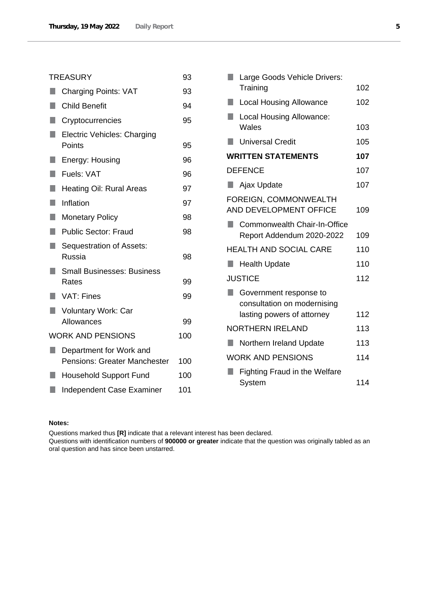|        | <b>TREASURY</b>                                                | 93  |
|--------|----------------------------------------------------------------|-----|
|        | <b>Charging Points: VAT</b>                                    | 93  |
| ×.     | <b>Child Benefit</b>                                           | 94  |
| ٠      | Cryptocurrencies                                               | 95  |
| ٠      | <b>Electric Vehicles: Charging</b><br>Points                   | 95  |
| D      | Energy: Housing                                                | 96  |
| L.     | Fuels: VAT                                                     | 96  |
| H      | Heating Oil: Rural Areas                                       | 97  |
| L.     | Inflation                                                      | 97  |
| H.     | <b>Monetary Policy</b>                                         | 98  |
|        | <b>Public Sector: Fraud</b>                                    | 98  |
| ٠      | Sequestration of Assets:<br>Russia                             | 98  |
|        | <b>Small Businesses: Business</b><br>Rates                     | 99  |
|        | <b>VAT: Fines</b>                                              | 99  |
| $\Box$ | <b>Voluntary Work: Car</b><br>Allowances                       | 99  |
|        | <b>WORK AND PENSIONS</b>                                       | 100 |
|        | Department for Work and<br><b>Pensions: Greater Manchester</b> | 100 |
|        | <b>Household Support Fund</b>                                  | 100 |
|        | <b>Independent Case Examiner</b>                               | 101 |

|        | Large Goods Vehicle Drivers:                              |     |
|--------|-----------------------------------------------------------|-----|
|        | Training                                                  | 102 |
| $\Box$ | <b>Local Housing Allowance</b>                            | 102 |
|        | <b>Local Housing Allowance:</b>                           |     |
|        | Wales                                                     | 103 |
|        | <b>Universal Credit</b>                                   | 105 |
|        | <b>WRITTEN STATEMENTS</b>                                 | 107 |
|        | <b>DEFENCE</b>                                            | 107 |
|        | Ajax Update                                               | 107 |
|        | FOREIGN, COMMONWEALTH<br>AND DEVELOPMENT OFFICE           | 109 |
| ш      | Commonwealth Chair-In-Office<br>Report Addendum 2020-2022 | 109 |
|        | <b>HEALTH AND SOCIAL CARE</b>                             | 110 |
| L.     | <b>Health Update</b>                                      | 110 |
|        | <b>JUSTICE</b>                                            | 112 |
|        | Government response to<br>consultation on modernising     |     |
|        | lasting powers of attorney                                | 112 |
|        | <b>NORTHERN IRELAND</b>                                   | 113 |
| n.     | Northern Ireland Update                                   | 113 |
|        | <b>WORK AND PENSIONS</b>                                  | 114 |
|        | <b>Fighting Fraud in the Welfare</b>                      |     |
|        | System                                                    | 114 |

### **Notes:**

Questions marked thus **[R]** indicate that a relevant interest has been declared.

Questions with identification numbers of **900000 or greater** indicate that the question was originally tabled as an oral question and has since been unstarred.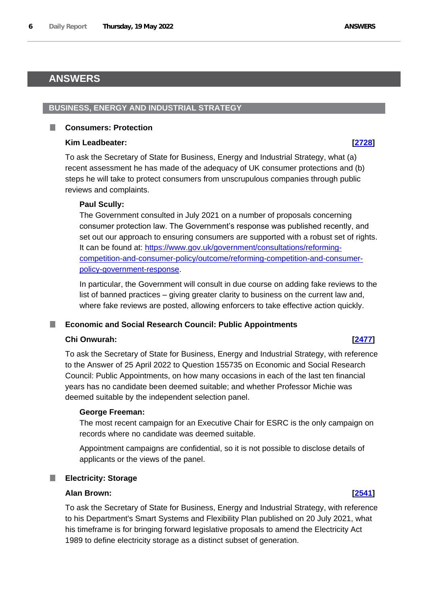# <span id="page-5-0"></span>**ANSWERS**

### <span id="page-5-1"></span>**BUSINESS, ENERGY AND INDUSTRIAL STRATEGY**

### <span id="page-5-2"></span>**Consumers: Protection**

### **Kim Leadbeater: [\[2728\]](http://www.parliament.uk/business/publications/written-questions-answers-statements/written-question/Commons/2022-05-16/2728)**

To ask the Secretary of State for Business, Energy and Industrial Strategy, what (a) recent assessment he has made of the adequacy of UK consumer protections and (b) steps he will take to protect consumers from unscrupulous companies through public reviews and complaints.

### **Paul Scully:**

The Government consulted in July 2021 on a number of proposals concerning consumer protection law. The Government's response was published recently, and set out our approach to ensuring consumers are supported with a robust set of rights. It can be found at: https://www.gov.uk/government/consultations/reformingcompetition-and-consumer-policy/outcome/reforming-competition-and-consumerpolicy-government-response.

In particular, the Government will consult in due course on adding fake reviews to the list of banned practices – giving greater clarity to business on the current law and, where fake reviews are posted, allowing enforcers to take effective action quickly.

### <span id="page-5-3"></span>**Economic and Social Research Council: Public Appointments**

### **Chi Onwurah: [\[2477\]](http://www.parliament.uk/business/publications/written-questions-answers-statements/written-question/Commons/2022-05-16/2477)**

To ask the Secretary of State for Business, Energy and Industrial Strategy, with reference to the Answer of 25 April 2022 to Question 155735 on Economic and Social Research Council: Public Appointments, on how many occasions in each of the last ten financial years has no candidate been deemed suitable; and whether Professor Michie was deemed suitable by the independent selection panel.

### **George Freeman:**

The most recent campaign for an Executive Chair for ESRC is the only campaign on records where no candidate was deemed suitable.

Appointment campaigns are confidential, so it is not possible to disclose details of applicants or the views of the panel.

## <span id="page-5-4"></span>**Electricity: Storage**

# **Alan Brown: [\[2541\]](http://www.parliament.uk/business/publications/written-questions-answers-statements/written-question/Commons/2022-05-16/2541)**

To ask the Secretary of State for Business, Energy and Industrial Strategy, with reference to his Department's Smart Systems and Flexibility Plan published on 20 July 2021, what his timeframe is for bringing forward legislative proposals to amend the Electricity Act 1989 to define electricity storage as a distinct subset of generation.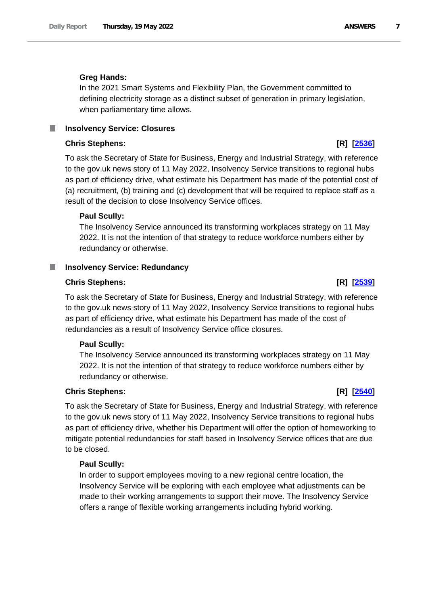# **Greg Hands:**

In the 2021 Smart Systems and Flexibility Plan, the Government committed to defining electricity storage as a distinct subset of generation in primary legislation, when parliamentary time allows.

# <span id="page-6-0"></span>**Insolvency Service: Closures**

# **Chris Stephens: [R] [\[2536\]](http://www.parliament.uk/business/publications/written-questions-answers-statements/written-question/Commons/2022-05-16/2536)**

To ask the Secretary of State for Business, Energy and Industrial Strategy, with reference to the gov.uk news story of 11 May 2022, Insolvency Service transitions to regional hubs as part of efficiency drive, what estimate his Department has made of the potential cost of (a) recruitment, (b) training and (c) development that will be required to replace staff as a result of the decision to close Insolvency Service offices.

# **Paul Scully:**

The Insolvency Service announced its transforming workplaces strategy on 11 May 2022. It is not the intention of that strategy to reduce workforce numbers either by redundancy or otherwise.

# <span id="page-6-1"></span>**Insolvency Service: Redundancy**

### **Chris Stephens: [R] [\[2539\]](http://www.parliament.uk/business/publications/written-questions-answers-statements/written-question/Commons/2022-05-16/2539)**

To ask the Secretary of State for Business, Energy and Industrial Strategy, with reference to the gov.uk news story of 11 May 2022, Insolvency Service transitions to regional hubs as part of efficiency drive, what estimate his Department has made of the cost of redundancies as a result of Insolvency Service office closures.

### **Paul Scully:**

The Insolvency Service announced its transforming workplaces strategy on 11 May 2022. It is not the intention of that strategy to reduce workforce numbers either by redundancy or otherwise.

# **Chris Stephens: [R] [\[2540\]](http://www.parliament.uk/business/publications/written-questions-answers-statements/written-question/Commons/2022-05-16/2540)**

To ask the Secretary of State for Business, Energy and Industrial Strategy, with reference to the gov.uk news story of 11 May 2022, Insolvency Service transitions to regional hubs as part of efficiency drive, whether his Department will offer the option of homeworking to mitigate potential redundancies for staff based in Insolvency Service offices that are due to be closed.

### **Paul Scully:**

In order to support employees moving to a new regional centre location, the Insolvency Service will be exploring with each employee what adjustments can be made to their working arrangements to support their move. The Insolvency Service offers a range of flexible working arrangements including hybrid working.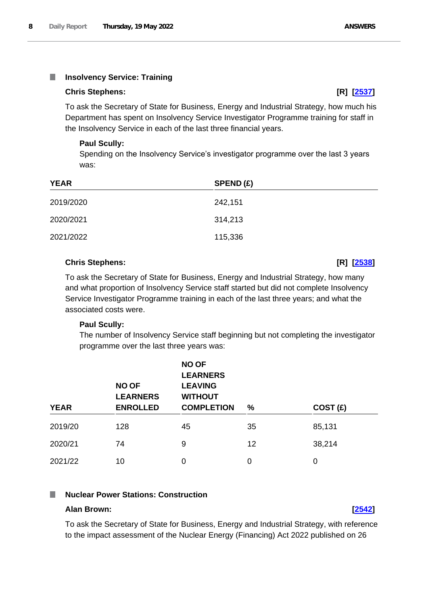### <span id="page-7-0"></span>**Insolvency Service: Training** I.

### **Chris Stephens: [R] [\[2537\]](http://www.parliament.uk/business/publications/written-questions-answers-statements/written-question/Commons/2022-05-16/2537)**

To ask the Secretary of State for Business, Energy and Industrial Strategy, how much his Department has spent on Insolvency Service Investigator Programme training for staff in the Insolvency Service in each of the last three financial years.

### **Paul Scully:**

Spending on the Insolvency Service's investigator programme over the last 3 years was:

| <b>YEAR</b> | SPEND(E) |
|-------------|----------|
| 2019/2020   | 242,151  |
| 2020/2021   | 314,213  |
| 2021/2022   | 115,336  |

### **Chris Stephens: [R] [\[2538\]](http://www.parliament.uk/business/publications/written-questions-answers-statements/written-question/Commons/2022-05-16/2538)**

To ask the Secretary of State for Business, Energy and Industrial Strategy, how many and what proportion of Insolvency Service staff started but did not complete Insolvency Service Investigator Programme training in each of the last three years; and what the associated costs were.

### **Paul Scully:**

The number of Insolvency Service staff beginning but not completing the investigator programme over the last three years was:

| <b>YEAR</b> | <b>NO OF</b><br><b>LEARNERS</b><br><b>ENROLLED</b> | <b>NO OF</b><br><b>LEARNERS</b><br><b>LEAVING</b><br><b>WITHOUT</b><br><b>COMPLETION</b> | $\%$ | COST(E) |  |
|-------------|----------------------------------------------------|------------------------------------------------------------------------------------------|------|---------|--|
| 2019/20     | 128                                                | 45                                                                                       | 35   | 85,131  |  |
| 2020/21     | 74                                                 | 9                                                                                        | 12   | 38,214  |  |
| 2021/22     | 10                                                 | 0                                                                                        | 0    | 0       |  |

### <span id="page-7-1"></span>**Nuclear Power Stations: Construction** I.

### **Alan Brown: [\[2542\]](http://www.parliament.uk/business/publications/written-questions-answers-statements/written-question/Commons/2022-05-16/2542)**

To ask the Secretary of State for Business, Energy and Industrial Strategy, with reference to the impact assessment of the Nuclear Energy (Financing) Act 2022 published on 26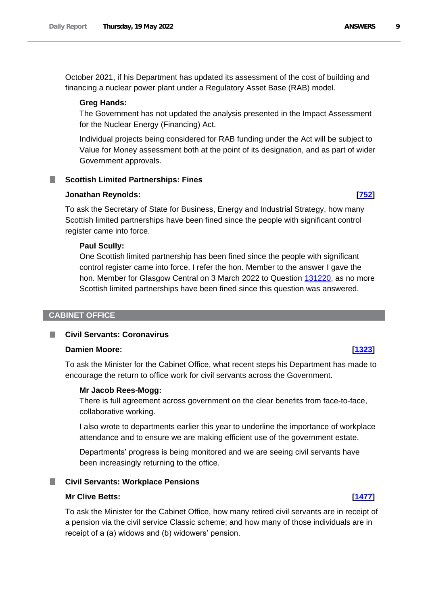October 2021, if his Department has updated its assessment of the cost of building and financing a nuclear power plant under a Regulatory Asset Base (RAB) model.

### **Greg Hands:**

The Government has not updated the analysis presented in the Impact Assessment for the Nuclear Energy (Financing) Act.

Individual projects being considered for RAB funding under the Act will be subject to Value for Money assessment both at the point of its designation, and as part of wider Government approvals.

### <span id="page-8-0"></span>**Scottish Limited Partnerships: Fines**

### **Jonathan Reynolds: [\[752\]](http://www.parliament.uk/business/publications/written-questions-answers-statements/written-question/Commons/2022-05-11/752)**

To ask the Secretary of State for Business, Energy and Industrial Strategy, how many Scottish limited partnerships have been fined since the people with significant control register came into force.

### **Paul Scully:**

One Scottish limited partnership has been fined since the people with significant control register came into force. I refer the hon. Member to the answer I gave the hon. Member for Glasgow Central on 3 March 2022 to Question 131220, as no more Scottish limited partnerships have been fined since this question was answered.

### <span id="page-8-1"></span>**CABINET OFFICE**

### <span id="page-8-2"></span>**Civil Servants: Coronavirus**

### **Damien Moore: [\[1323\]](http://www.parliament.uk/business/publications/written-questions-answers-statements/written-question/Commons/2022-05-12/1323)**

To ask the Minister for the Cabinet Office, what recent steps his Department has made to encourage the return to office work for civil servants across the Government.

### **Mr Jacob Rees-Mogg:**

There is full agreement across government on the clear benefits from face-to-face, collaborative working.

I also wrote to departments earlier this year to underline the importance of workplace attendance and to ensure we are making efficient use of the government estate.

Departments' progress is being monitored and we are seeing civil servants have been increasingly returning to the office.

### <span id="page-8-3"></span>**Civil Servants: Workplace Pensions**

### **Mr Clive Betts: [\[1477\]](http://www.parliament.uk/business/publications/written-questions-answers-statements/written-question/Commons/2022-05-13/1477)**

To ask the Minister for the Cabinet Office, how many retired civil servants are in receipt of a pension via the civil service Classic scheme; and how many of those individuals are in receipt of a (a) widows and (b) widowers' pension.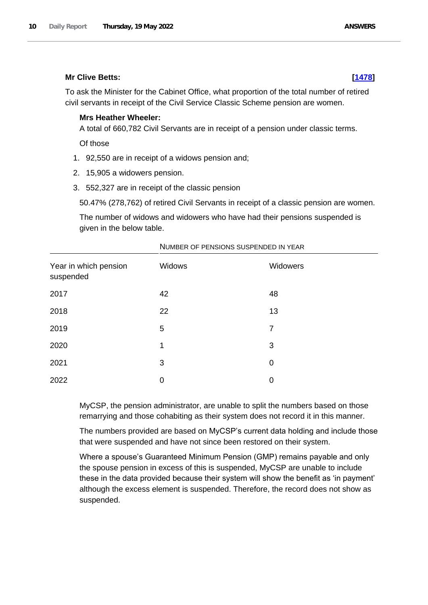### **Mr Clive Betts: [\[1478\]](http://www.parliament.uk/business/publications/written-questions-answers-statements/written-question/Commons/2022-05-13/1478)**

To ask the Minister for the Cabinet Office, what proportion of the total number of retired civil servants in receipt of the Civil Service Classic Scheme pension are women.

## **Mrs Heather Wheeler:**

A total of 660,782 Civil Servants are in receipt of a pension under classic terms.

Of those

- 1. 92,550 are in receipt of a widows pension and;
- 2. 15,905 a widowers pension.
- 3. 552,327 are in receipt of the classic pension

50.47% (278,762) of retired Civil Servants in receipt of a classic pension are women.

The number of widows and widowers who have had their pensions suspended is given in the below table.

| Year in which pension<br>suspended | Widows | Widowers |
|------------------------------------|--------|----------|
| 2017                               | 42     | 48       |
| 2018                               | 22     | 13       |
| 2019                               | 5      | 7        |
| 2020                               | 1      | 3        |
| 2021                               | 3      | 0        |
| 2022                               | 0      | 0        |

### NUMBER OF PENSIONS SUSPENDED IN YEAR

MyCSP, the pension administrator, are unable to split the numbers based on those remarrying and those cohabiting as their system does not record it in this manner.

The numbers provided are based on MyCSP's current data holding and include those that were suspended and have not since been restored on their system.

Where a spouse's Guaranteed Minimum Pension (GMP) remains payable and only the spouse pension in excess of this is suspended, MyCSP are unable to include these in the data provided because their system will show the benefit as 'in payment' although the excess element is suspended. Therefore, the record does not show as suspended.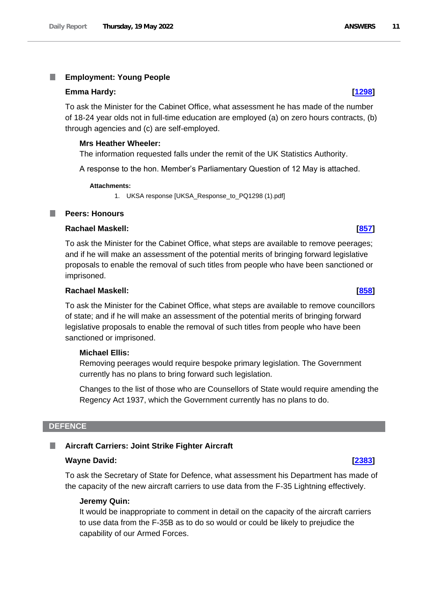### <span id="page-10-0"></span>I. **Employment: Young People**

### **Emma Hardy: [\[1298\]](http://www.parliament.uk/business/publications/written-questions-answers-statements/written-question/Commons/2022-05-12/1298)**

To ask the Minister for the Cabinet Office, what assessment he has made of the number of 18-24 year olds not in full-time education are employed (a) on zero hours contracts, (b) through agencies and (c) are self-employed.

### **Mrs Heather Wheeler:**

The information requested falls under the remit of the UK Statistics Authority.

A response to the hon. Member's Parliamentary Question of 12 May is attached.

### **Attachments:**

1. UKSA response [UKSA\_Response\_to\_PQ1298 (1).pdf]

### <span id="page-10-1"></span>**Peers: Honours**

# **Rachael Maskell: [\[857\]](http://www.parliament.uk/business/publications/written-questions-answers-statements/written-question/Commons/2022-05-11/857)**

To ask the Minister for the Cabinet Office, what steps are available to remove peerages; and if he will make an assessment of the potential merits of bringing forward legislative proposals to enable the removal of such titles from people who have been sanctioned or imprisoned.

### **Rachael Maskell: [\[858\]](http://www.parliament.uk/business/publications/written-questions-answers-statements/written-question/Commons/2022-05-11/858)**

To ask the Minister for the Cabinet Office, what steps are available to remove councillors of state; and if he will make an assessment of the potential merits of bringing forward legislative proposals to enable the removal of such titles from people who have been sanctioned or imprisoned.

### **Michael Ellis:**

Removing peerages would require bespoke primary legislation. The Government currently has no plans to bring forward such legislation.

Changes to the list of those who are Counsellors of State would require amending the Regency Act 1937, which the Government currently has no plans to do.

### <span id="page-10-2"></span>**DEFENCE**

### <span id="page-10-3"></span>**Aircraft Carriers: Joint Strike Fighter Aircraft**

### **Wayne David: [\[2383\]](http://www.parliament.uk/business/publications/written-questions-answers-statements/written-question/Commons/2022-05-16/2383)**

To ask the Secretary of State for Defence, what assessment his Department has made of the capacity of the new aircraft carriers to use data from the F-35 Lightning effectively.

### **Jeremy Quin:**

It would be inappropriate to comment in detail on the capacity of the aircraft carriers to use data from the F-35B as to do so would or could be likely to prejudice the capability of our Armed Forces.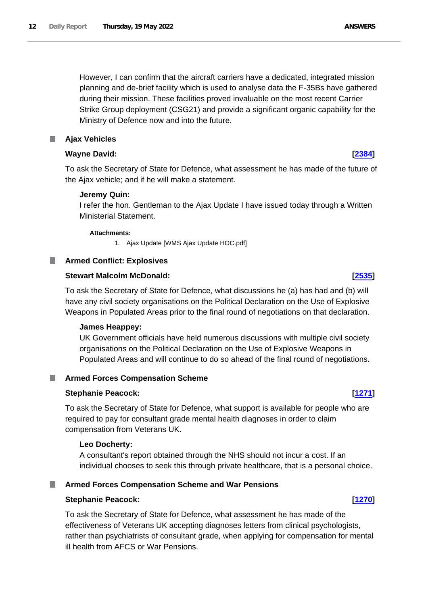However, I can confirm that the aircraft carriers have a dedicated, integrated mission planning and de-brief facility which is used to analyse data the F-35Bs have gathered during their mission. These facilities proved invaluable on the most recent Carrier Strike Group deployment (CSG21) and provide a significant organic capability for the Ministry of Defence now and into the future.

# <span id="page-11-0"></span>**Ajax Vehicles**

# **Wayne David: [\[2384\]](http://www.parliament.uk/business/publications/written-questions-answers-statements/written-question/Commons/2022-05-16/2384)**

To ask the Secretary of State for Defence, what assessment he has made of the future of the Ajax vehicle; and if he will make a statement.

# **Jeremy Quin:**

I refer the hon. Gentleman to the Ajax Update I have issued today through a Written Ministerial Statement.

### **Attachments:**

1. Ajax Update [WMS Ajax Update HOC.pdf]

# <span id="page-11-1"></span>**Armed Conflict: Explosives**

# **Stewart Malcolm McDonald: [\[2535\]](http://www.parliament.uk/business/publications/written-questions-answers-statements/written-question/Commons/2022-05-16/2535)**

To ask the Secretary of State for Defence, what discussions he (a) has had and (b) will have any civil society organisations on the Political Declaration on the Use of Explosive Weapons in Populated Areas prior to the final round of negotiations on that declaration.

### **James Heappey:**

UK Government officials have held numerous discussions with multiple civil society organisations on the Political Declaration on the Use of Explosive Weapons in Populated Areas and will continue to do so ahead of the final round of negotiations.

# <span id="page-11-2"></span>**Armed Forces Compensation Scheme**

# **Stephanie Peacock: [\[1271\]](http://www.parliament.uk/business/publications/written-questions-answers-statements/written-question/Commons/2022-05-12/1271)**

To ask the Secretary of State for Defence, what support is available for people who are required to pay for consultant grade mental health diagnoses in order to claim compensation from Veterans UK.

### **Leo Docherty:**

A consultant's report obtained through the NHS should not incur a cost. If an individual chooses to seek this through private healthcare, that is a personal choice.

# <span id="page-11-3"></span>**Armed Forces Compensation Scheme and War Pensions**

### **Stephanie Peacock: [\[1270\]](http://www.parliament.uk/business/publications/written-questions-answers-statements/written-question/Commons/2022-05-12/1270)**

To ask the Secretary of State for Defence, what assessment he has made of the effectiveness of Veterans UK accepting diagnoses letters from clinical psychologists, rather than psychiatrists of consultant grade, when applying for compensation for mental ill health from AFCS or War Pensions.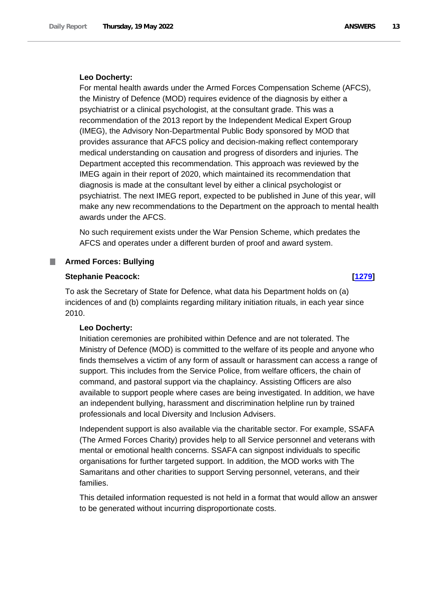### **Leo Docherty:**

For mental health awards under the Armed Forces Compensation Scheme (AFCS), the Ministry of Defence (MOD) requires evidence of the diagnosis by either a psychiatrist or a clinical psychologist, at the consultant grade. This was a recommendation of the 2013 report by the Independent Medical Expert Group (IMEG), the Advisory Non-Departmental Public Body sponsored by MOD that provides assurance that AFCS policy and decision-making reflect contemporary medical understanding on causation and progress of disorders and injuries. The Department accepted this recommendation. This approach was reviewed by the IMEG again in their report of 2020, which maintained its recommendation that diagnosis is made at the consultant level by either a clinical psychologist or psychiatrist. The next IMEG report, expected to be published in June of this year, will make any new recommendations to the Department on the approach to mental health awards under the AFCS.

No such requirement exists under the War Pension Scheme, which predates the AFCS and operates under a different burden of proof and award system.

### <span id="page-12-0"></span>**Armed Forces: Bullying**

### **Stephanie Peacock: [\[1279\]](http://www.parliament.uk/business/publications/written-questions-answers-statements/written-question/Commons/2022-05-12/1279)**

To ask the Secretary of State for Defence, what data his Department holds on (a) incidences of and (b) complaints regarding military initiation rituals, in each year since 2010.

### **Leo Docherty:**

Initiation ceremonies are prohibited within Defence and are not tolerated. The Ministry of Defence (MOD) is committed to the welfare of its people and anyone who finds themselves a victim of any form of assault or harassment can access a range of support. This includes from the Service Police, from welfare officers, the chain of command, and pastoral support via the chaplaincy. Assisting Officers are also available to support people where cases are being investigated. In addition, we have an independent bullying, harassment and discrimination helpline run by trained professionals and local Diversity and Inclusion Advisers.

Independent support is also available via the charitable sector. For example, SSAFA (The Armed Forces Charity) provides help to all Service personnel and veterans with mental or emotional health concerns. SSAFA can signpost individuals to specific organisations for further targeted support. In addition, the MOD works with The Samaritans and other charities to support Serving personnel, veterans, and their families.

This detailed information requested is not held in a format that would allow an answer to be generated without incurring disproportionate costs.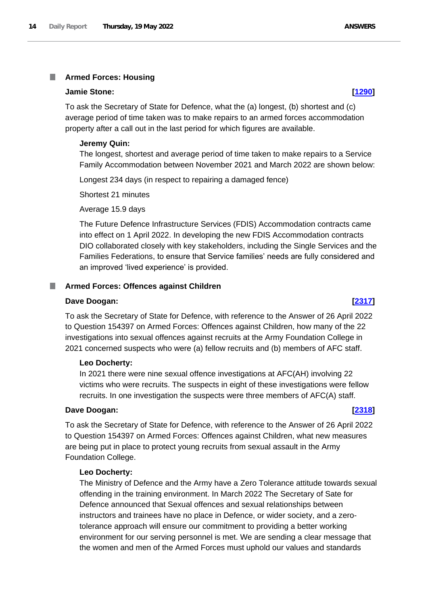# <span id="page-13-0"></span>**Armed Forces: Housing**

### **Jamie Stone: [\[1290\]](http://www.parliament.uk/business/publications/written-questions-answers-statements/written-question/Commons/2022-05-12/1290)**

To ask the Secretary of State for Defence, what the (a) longest, (b) shortest and (c) average period of time taken was to make repairs to an armed forces accommodation property after a call out in the last period for which figures are available.

### **Jeremy Quin:**

The longest, shortest and average period of time taken to make repairs to a Service Family Accommodation between November 2021 and March 2022 are shown below:

Longest 234 days (in respect to repairing a damaged fence)

Shortest 21 minutes

Average 15.9 days

The Future Defence Infrastructure Services (FDIS) Accommodation contracts came into effect on 1 April 2022. In developing the new FDIS Accommodation contracts DIO collaborated closely with key stakeholders, including the Single Services and the Families Federations, to ensure that Service families' needs are fully considered and an improved 'lived experience' is provided.

### <span id="page-13-1"></span>**Armed Forces: Offences against Children**

### **Dave Doogan: [\[2317\]](http://www.parliament.uk/business/publications/written-questions-answers-statements/written-question/Commons/2022-05-16/2317)**

To ask the Secretary of State for Defence, with reference to the Answer of 26 April 2022 to Question 154397 on Armed Forces: Offences against Children, how many of the 22 investigations into sexual offences against recruits at the Army Foundation College in 2021 concerned suspects who were (a) fellow recruits and (b) members of AFC staff.

### **Leo Docherty:**

In 2021 there were nine sexual offence investigations at AFC(AH) involving 22 victims who were recruits. The suspects in eight of these investigations were fellow recruits. In one investigation the suspects were three members of AFC(A) staff.

### **Dave Doogan: [\[2318\]](http://www.parliament.uk/business/publications/written-questions-answers-statements/written-question/Commons/2022-05-16/2318)**

To ask the Secretary of State for Defence, with reference to the Answer of 26 April 2022 to Question 154397 on Armed Forces: Offences against Children, what new measures are being put in place to protect young recruits from sexual assault in the Army Foundation College.

### **Leo Docherty:**

The Ministry of Defence and the Army have a Zero Tolerance attitude towards sexual offending in the training environment. In March 2022 The Secretary of Sate for Defence announced that Sexual offences and sexual relationships between instructors and trainees have no place in Defence, or wider society, and a zerotolerance approach will ensure our commitment to providing a better working environment for our serving personnel is met. We are sending a clear message that the women and men of the Armed Forces must uphold our values and standards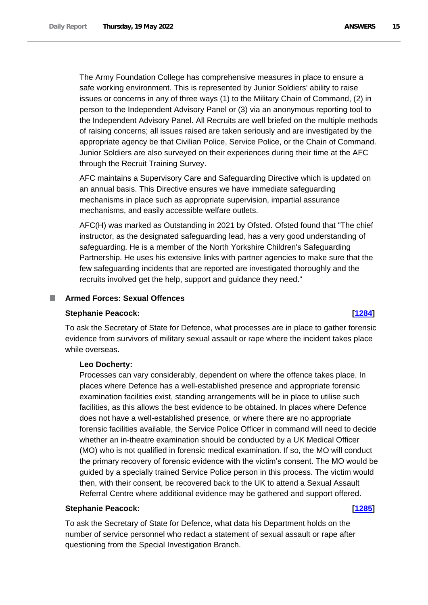The Army Foundation College has comprehensive measures in place to ensure a safe working environment. This is represented by Junior Soldiers' ability to raise issues or concerns in any of three ways (1) to the Military Chain of Command, (2) in person to the Independent Advisory Panel or (3) via an anonymous reporting tool to the Independent Advisory Panel. All Recruits are well briefed on the multiple methods of raising concerns; all issues raised are taken seriously and are investigated by the appropriate agency be that Civilian Police, Service Police, or the Chain of Command. Junior Soldiers are also surveyed on their experiences during their time at the AFC through the Recruit Training Survey.

AFC maintains a Supervisory Care and Safeguarding Directive which is updated on an annual basis. This Directive ensures we have immediate safeguarding mechanisms in place such as appropriate supervision, impartial assurance mechanisms, and easily accessible welfare outlets.

AFC(H) was marked as Outstanding in 2021 by Ofsted. Ofsted found that "The chief instructor, as the designated safeguarding lead, has a very good understanding of safeguarding. He is a member of the North Yorkshire Children's Safeguarding Partnership. He uses his extensive links with partner agencies to make sure that the few safeguarding incidents that are reported are investigated thoroughly and the recruits involved get the help, support and guidance they need."

### <span id="page-14-0"></span>**Armed Forces: Sexual Offences**

### **Stephanie Peacock: [\[1284\]](http://www.parliament.uk/business/publications/written-questions-answers-statements/written-question/Commons/2022-05-12/1284)**

To ask the Secretary of State for Defence, what processes are in place to gather forensic evidence from survivors of military sexual assault or rape where the incident takes place while overseas.

### **Leo Docherty:**

Processes can vary considerably, dependent on where the offence takes place. In places where Defence has a well-established presence and appropriate forensic examination facilities exist, standing arrangements will be in place to utilise such facilities, as this allows the best evidence to be obtained. In places where Defence does not have a well-established presence, or where there are no appropriate forensic facilities available, the Service Police Officer in command will need to decide whether an in-theatre examination should be conducted by a UK Medical Officer (MO) who is not qualified in forensic medical examination. If so, the MO will conduct the primary recovery of forensic evidence with the victim's consent. The MO would be guided by a specially trained Service Police person in this process. The victim would then, with their consent, be recovered back to the UK to attend a Sexual Assault Referral Centre where additional evidence may be gathered and support offered.

### **Stephanie Peacock: [\[1285\]](http://www.parliament.uk/business/publications/written-questions-answers-statements/written-question/Commons/2022-05-12/1285)**

To ask the Secretary of State for Defence, what data his Department holds on the number of service personnel who redact a statement of sexual assault or rape after questioning from the Special Investigation Branch.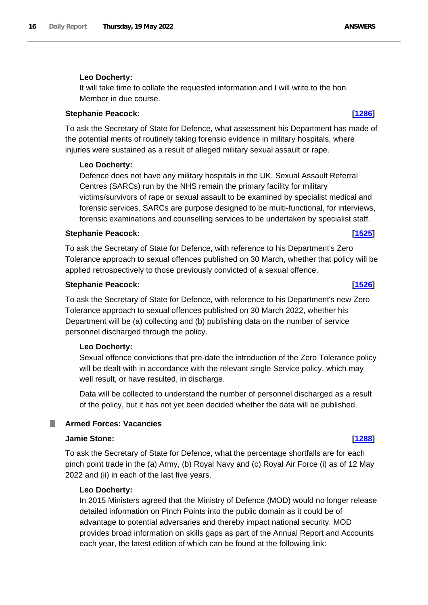# **Leo Docherty:**

It will take time to collate the requested information and I will write to the hon. Member in due course.

# **Stephanie Peacock: [\[1286\]](http://www.parliament.uk/business/publications/written-questions-answers-statements/written-question/Commons/2022-05-12/1286)**

To ask the Secretary of State for Defence, what assessment his Department has made of the potential merits of routinely taking forensic evidence in military hospitals, where injuries were sustained as a result of alleged military sexual assault or rape.

### **Leo Docherty:**

Defence does not have any military hospitals in the UK. Sexual Assault Referral Centres (SARCs) run by the NHS remain the primary facility for military victims/survivors of rape or sexual assault to be examined by specialist medical and forensic services. SARCs are purpose designed to be multi-functional, for interviews, forensic examinations and counselling services to be undertaken by specialist staff.

### **Stephanie Peacock: [\[1525\]](http://www.parliament.uk/business/publications/written-questions-answers-statements/written-question/Commons/2022-05-13/1525)**

To ask the Secretary of State for Defence, with reference to his Department's Zero Tolerance approach to sexual offences published on 30 March, whether that policy will be applied retrospectively to those previously convicted of a sexual offence.

### **Stephanie Peacock: [\[1526\]](http://www.parliament.uk/business/publications/written-questions-answers-statements/written-question/Commons/2022-05-13/1526)**

To ask the Secretary of State for Defence, with reference to his Department's new Zero Tolerance approach to sexual offences published on 30 March 2022, whether his Department will be (a) collecting and (b) publishing data on the number of service personnel discharged through the policy.

### **Leo Docherty:**

Sexual offence convictions that pre-date the introduction of the Zero Tolerance policy will be dealt with in accordance with the relevant single Service policy, which may well result, or have resulted, in discharge.

Data will be collected to understand the number of personnel discharged as a result of the policy, but it has not yet been decided whether the data will be published.

## <span id="page-15-0"></span>**Armed Forces: Vacancies**

### **Jamie Stone: [\[1288\]](http://www.parliament.uk/business/publications/written-questions-answers-statements/written-question/Commons/2022-05-12/1288)**

To ask the Secretary of State for Defence, what the percentage shortfalls are for each pinch point trade in the (a) Army, (b) Royal Navy and (c) Royal Air Force (i) as of 12 May 2022 and (ii) in each of the last five years.

### **Leo Docherty:**

In 2015 Ministers agreed that the Ministry of Defence (MOD) would no longer release detailed information on Pinch Points into the public domain as it could be of advantage to potential adversaries and thereby impact national security. MOD provides broad information on skills gaps as part of the Annual Report and Accounts each year, the latest edition of which can be found at the following link: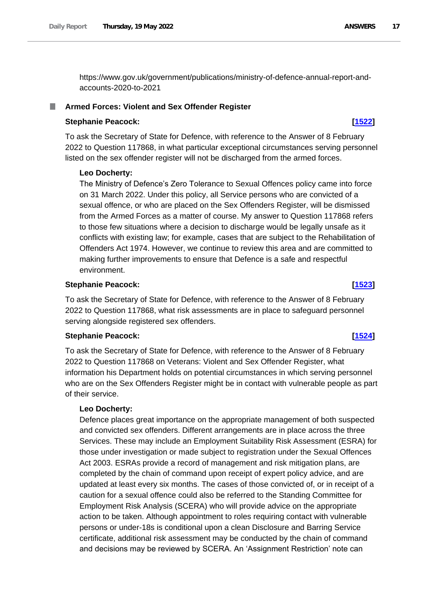https://www.gov.uk/government/publications/ministry-of-defence-annual-report-andaccounts-2020-to-2021

### <span id="page-16-0"></span>**Armed Forces: Violent and Sex Offender Register**

### **Stephanie Peacock: [\[1522\]](http://www.parliament.uk/business/publications/written-questions-answers-statements/written-question/Commons/2022-05-13/1522)**

To ask the Secretary of State for Defence, with reference to the Answer of 8 February 2022 to Question 117868, in what particular exceptional circumstances serving personnel listed on the sex offender register will not be discharged from the armed forces.

### **Leo Docherty:**

The Ministry of Defence's Zero Tolerance to Sexual Offences policy came into force on 31 March 2022. Under this policy, all Service persons who are convicted of a sexual offence, or who are placed on the Sex Offenders Register, will be dismissed from the Armed Forces as a matter of course. My answer to Question 117868 refers to those few situations where a decision to discharge would be legally unsafe as it conflicts with existing law; for example, cases that are subject to the Rehabilitation of Offenders Act 1974. However, we continue to review this area and are committed to making further improvements to ensure that Defence is a safe and respectful environment.

### **Stephanie Peacock: [\[1523\]](http://www.parliament.uk/business/publications/written-questions-answers-statements/written-question/Commons/2022-05-13/1523)**

To ask the Secretary of State for Defence, with reference to the Answer of 8 February 2022 to Question 117868, what risk assessments are in place to safeguard personnel serving alongside registered sex offenders.

### **Stephanie Peacock: [\[1524\]](http://www.parliament.uk/business/publications/written-questions-answers-statements/written-question/Commons/2022-05-13/1524)**

To ask the Secretary of State for Defence, with reference to the Answer of 8 February 2022 to Question 117868 on Veterans: Violent and Sex Offender Register, what information his Department holds on potential circumstances in which serving personnel who are on the Sex Offenders Register might be in contact with vulnerable people as part of their service.

### **Leo Docherty:**

Defence places great importance on the appropriate management of both suspected and convicted sex offenders. Different arrangements are in place across the three Services. These may include an Employment Suitability Risk Assessment (ESRA) for those under investigation or made subject to registration under the Sexual Offences Act 2003. ESRAs provide a record of management and risk mitigation plans, are completed by the chain of command upon receipt of expert policy advice, and are updated at least every six months. The cases of those convicted of, or in receipt of a caution for a sexual offence could also be referred to the Standing Committee for Employment Risk Analysis (SCERA) who will provide advice on the appropriate action to be taken. Although appointment to roles requiring contact with vulnerable persons or under-18s is conditional upon a clean Disclosure and Barring Service certificate, additional risk assessment may be conducted by the chain of command and decisions may be reviewed by SCERA. An 'Assignment Restriction' note can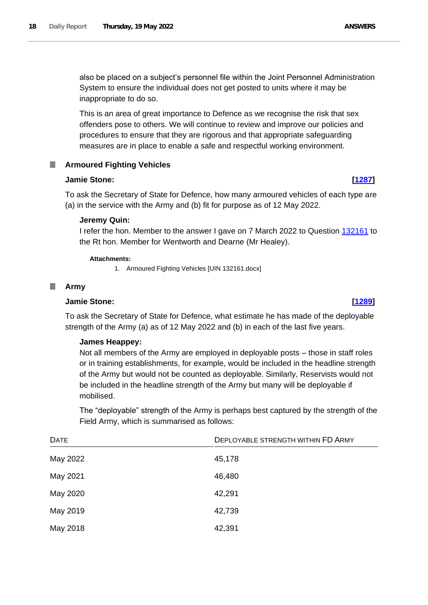also be placed on a subject's personnel file within the Joint Personnel Administration System to ensure the individual does not get posted to units where it may be inappropriate to do so.

This is an area of great importance to Defence as we recognise the risk that sex offenders pose to others. We will continue to review and improve our policies and procedures to ensure that they are rigorous and that appropriate safeguarding measures are in place to enable a safe and respectful working environment.

### <span id="page-17-0"></span>**Armoured Fighting Vehicles** .

### **Jamie Stone: [\[1287\]](http://www.parliament.uk/business/publications/written-questions-answers-statements/written-question/Commons/2022-05-12/1287)**

To ask the Secretary of State for Defence, how many armoured vehicles of each type are (a) in the service with the Army and (b) fit for purpose as of 12 May 2022.

### **Jeremy Quin:**

I refer the hon. Member to the answer I gave on 7 March 2022 to Question 132161 to the Rt hon. Member for Wentworth and Dearne (Mr Healey).

### **Attachments:**

1. Armoured Fighting Vehicles [UIN 132161.docx]

### <span id="page-17-1"></span>**Army**

### **Jamie Stone: [\[1289\]](http://www.parliament.uk/business/publications/written-questions-answers-statements/written-question/Commons/2022-05-12/1289)**

To ask the Secretary of State for Defence, what estimate he has made of the deployable strength of the Army (a) as of 12 May 2022 and (b) in each of the last five years.

### **James Heappey:**

Not all members of the Army are employed in deployable posts – those in staff roles or in training establishments, for example, would be included in the headline strength of the Army but would not be counted as deployable. Similarly, Reservists would not be included in the headline strength of the Army but many will be deployable if mobilised.

The "deployable" strength of the Army is perhaps best captured by the strength of the Field Army, which is summarised as follows:

| <b>DATE</b> | DEPLOYABLE STRENGTH WITHIN FD ARMY |
|-------------|------------------------------------|
| May 2022    | 45,178                             |
| May 2021    | 46,480                             |
| May 2020    | 42,291                             |
| May 2019    | 42,739                             |
| May 2018    | 42,391                             |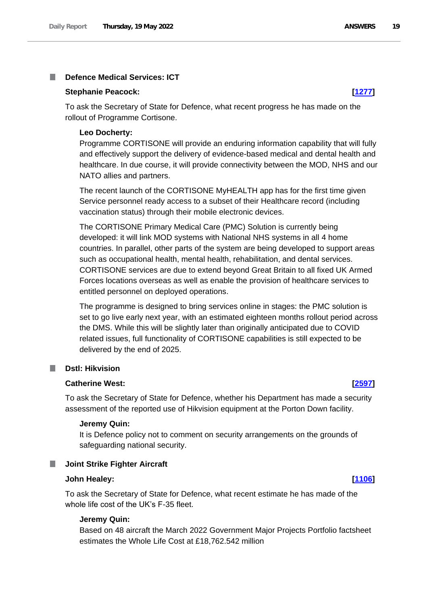### <span id="page-18-0"></span>**Defence Medical Services: ICT** I.

### **Stephanie Peacock: [\[1277\]](http://www.parliament.uk/business/publications/written-questions-answers-statements/written-question/Commons/2022-05-12/1277)**

To ask the Secretary of State for Defence, what recent progress he has made on the rollout of Programme Cortisone.

### **Leo Docherty:**

Programme CORTISONE will provide an enduring information capability that will fully and effectively support the delivery of evidence-based medical and dental health and healthcare. In due course, it will provide connectivity between the MOD, NHS and our NATO allies and partners.

The recent launch of the CORTISONE MyHEALTH app has for the first time given Service personnel ready access to a subset of their Healthcare record (including vaccination status) through their mobile electronic devices.

The CORTISONE Primary Medical Care (PMC) Solution is currently being developed: it will link MOD systems with National NHS systems in all 4 home countries. In parallel, other parts of the system are being developed to support areas such as occupational health, mental health, rehabilitation, and dental services. CORTISONE services are due to extend beyond Great Britain to all fixed UK Armed Forces locations overseas as well as enable the provision of healthcare services to entitled personnel on deployed operations.

The programme is designed to bring services online in stages: the PMC solution is set to go live early next year, with an estimated eighteen months rollout period across the DMS. While this will be slightly later than originally anticipated due to COVID related issues, full functionality of CORTISONE capabilities is still expected to be delivered by the end of 2025.

### <span id="page-18-1"></span>**Dstl: Hikvision** T.

### **Catherine West: [\[2597\]](http://www.parliament.uk/business/publications/written-questions-answers-statements/written-question/Commons/2022-05-16/2597)**

To ask the Secretary of State for Defence, whether his Department has made a security assessment of the reported use of Hikvision equipment at the Porton Down facility.

### **Jeremy Quin:**

It is Defence policy not to comment on security arrangements on the grounds of safeguarding national security.

### <span id="page-18-2"></span>**Joint Strike Fighter Aircraft**

### **John Healey: [\[1106\]](http://www.parliament.uk/business/publications/written-questions-answers-statements/written-question/Commons/2022-05-12/1106)**

To ask the Secretary of State for Defence, what recent estimate he has made of the whole life cost of the UK's F-35 fleet.

### **Jeremy Quin:**

Based on 48 aircraft the March 2022 Government Major Projects Portfolio factsheet estimates the Whole Life Cost at £18,762.542 million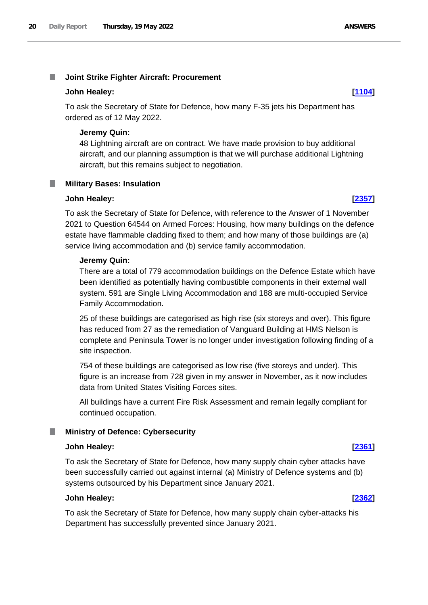### <span id="page-19-0"></span>T. **Joint Strike Fighter Aircraft: Procurement**

### **John Healey: [\[1104\]](http://www.parliament.uk/business/publications/written-questions-answers-statements/written-question/Commons/2022-05-12/1104)**

To ask the Secretary of State for Defence, how many F-35 jets his Department has ordered as of 12 May 2022.

### **Jeremy Quin:**

48 Lightning aircraft are on contract. We have made provision to buy additional aircraft, and our planning assumption is that we will purchase additional Lightning aircraft, but this remains subject to negotiation.

# <span id="page-19-1"></span>**Military Bases: Insulation**

### **John Healey: [\[2357\]](http://www.parliament.uk/business/publications/written-questions-answers-statements/written-question/Commons/2022-05-16/2357)**

To ask the Secretary of State for Defence, with reference to the Answer of 1 November 2021 to Question 64544 on Armed Forces: Housing, how many buildings on the defence estate have flammable cladding fixed to them; and how many of those buildings are (a) service living accommodation and (b) service family accommodation.

### **Jeremy Quin:**

There are a total of 779 accommodation buildings on the Defence Estate which have been identified as potentially having combustible components in their external wall system. 591 are Single Living Accommodation and 188 are multi-occupied Service Family Accommodation.

25 of these buildings are categorised as high rise (six storeys and over). This figure has reduced from 27 as the remediation of Vanguard Building at HMS Nelson is complete and Peninsula Tower is no longer under investigation following finding of a site inspection.

754 of these buildings are categorised as low rise (five storeys and under). This figure is an increase from 728 given in my answer in November, as it now includes data from United States Visiting Forces sites.

All buildings have a current Fire Risk Assessment and remain legally compliant for continued occupation.

### <span id="page-19-2"></span>**Ministry of Defence: Cybersecurity**

### **John Healey: [\[2361\]](http://www.parliament.uk/business/publications/written-questions-answers-statements/written-question/Commons/2022-05-16/2361)**

To ask the Secretary of State for Defence, how many supply chain cyber attacks have been successfully carried out against internal (a) Ministry of Defence systems and (b) systems outsourced by his Department since January 2021.

### **John Healey: [\[2362\]](http://www.parliament.uk/business/publications/written-questions-answers-statements/written-question/Commons/2022-05-16/2362)**

To ask the Secretary of State for Defence, how many supply chain cyber-attacks his Department has successfully prevented since January 2021.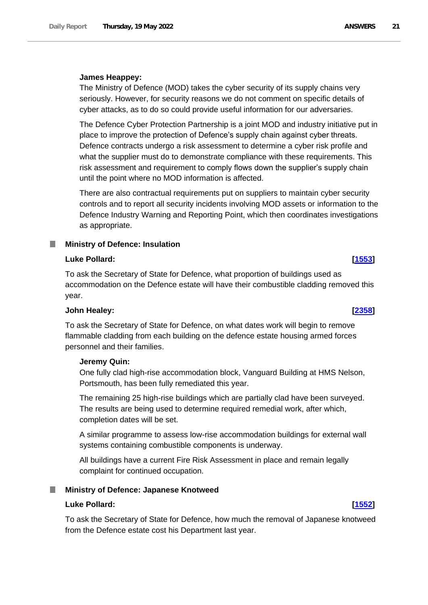The Ministry of Defence (MOD) takes the cyber security of its supply chains very seriously. However, for security reasons we do not comment on specific details of cyber attacks, as to do so could provide useful information for our adversaries.

The Defence Cyber Protection Partnership is a joint MOD and industry initiative put in place to improve the protection of Defence's supply chain against cyber threats. Defence contracts undergo a risk assessment to determine a cyber risk profile and what the supplier must do to demonstrate compliance with these requirements. This risk assessment and requirement to comply flows down the supplier's supply chain until the point where no MOD information is affected.

There are also contractual requirements put on suppliers to maintain cyber security controls and to report all security incidents involving MOD assets or information to the Defence Industry Warning and Reporting Point, which then coordinates investigations as appropriate.

### <span id="page-20-0"></span>ш **Ministry of Defence: Insulation**

# **Luke Pollard: [\[1553\]](http://www.parliament.uk/business/publications/written-questions-answers-statements/written-question/Commons/2022-05-13/1553)**

To ask the Secretary of State for Defence, what proportion of buildings used as accommodation on the Defence estate will have their combustible cladding removed this year.

### **John Healey: [\[2358\]](http://www.parliament.uk/business/publications/written-questions-answers-statements/written-question/Commons/2022-05-16/2358)**

To ask the Secretary of State for Defence, on what dates work will begin to remove flammable cladding from each building on the defence estate housing armed forces personnel and their families.

### **Jeremy Quin:**

One fully clad high-rise accommodation block, Vanguard Building at HMS Nelson, Portsmouth, has been fully remediated this year.

The remaining 25 high-rise buildings which are partially clad have been surveyed. The results are being used to determine required remedial work, after which, completion dates will be set.

A similar programme to assess low-rise accommodation buildings for external wall systems containing combustible components is underway.

All buildings have a current Fire Risk Assessment in place and remain legally complaint for continued occupation.

### <span id="page-20-1"></span>**Ministry of Defence: Japanese Knotweed**

### **Luke Pollard: [\[1552\]](http://www.parliament.uk/business/publications/written-questions-answers-statements/written-question/Commons/2022-05-13/1552)**

To ask the Secretary of State for Defence, how much the removal of Japanese knotweed from the Defence estate cost his Department last year.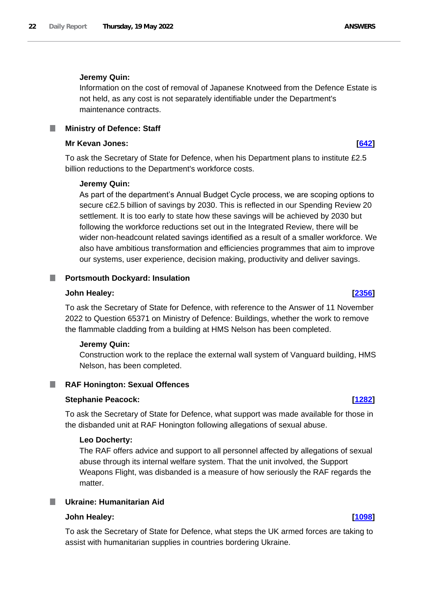### **Jeremy Quin:**

Information on the cost of removal of Japanese Knotweed from the Defence Estate is not held, as any cost is not separately identifiable under the Department's maintenance contracts.

### <span id="page-21-0"></span>**Mr Kevan Jones: [\[642\]](http://www.parliament.uk/business/publications/written-questions-answers-statements/written-question/Commons/2022-05-11/642)**

To ask the Secretary of State for Defence, when his Department plans to institute £2.5 billion reductions to the Department's workforce costs.

### **Jeremy Quin:**

As part of the department's Annual Budget Cycle process, we are scoping options to secure c£2.5 billion of savings by 2030. This is reflected in our Spending Review 20 settlement. It is too early to state how these savings will be achieved by 2030 but following the workforce reductions set out in the Integrated Review, there will be wider non-headcount related savings identified as a result of a smaller workforce. We also have ambitious transformation and efficiencies programmes that aim to improve our systems, user experience, decision making, productivity and deliver savings.

# <span id="page-21-1"></span>**Portsmouth Dockyard: Insulation**

### **John Healey: [\[2356\]](http://www.parliament.uk/business/publications/written-questions-answers-statements/written-question/Commons/2022-05-16/2356)**

To ask the Secretary of State for Defence, with reference to the Answer of 11 November 2022 to Question 65371 on Ministry of Defence: Buildings, whether the work to remove the flammable cladding from a building at HMS Nelson has been completed.

### **Jeremy Quin:**

Construction work to the replace the external wall system of Vanguard building, HMS Nelson, has been completed.

# <span id="page-21-2"></span>**RAF Honington: Sexual Offences**

### **Stephanie Peacock: [\[1282\]](http://www.parliament.uk/business/publications/written-questions-answers-statements/written-question/Commons/2022-05-12/1282)**

To ask the Secretary of State for Defence, what support was made available for those in the disbanded unit at RAF Honington following allegations of sexual abuse.

### **Leo Docherty:**

The RAF offers advice and support to all personnel affected by allegations of sexual abuse through its internal welfare system. That the unit involved, the Support Weapons Flight, was disbanded is a measure of how seriously the RAF regards the matter.

# <span id="page-21-3"></span>**Ukraine: Humanitarian Aid**

### **John Healey: [\[1098\]](http://www.parliament.uk/business/publications/written-questions-answers-statements/written-question/Commons/2022-05-12/1098)**

To ask the Secretary of State for Defence, what steps the UK armed forces are taking to assist with humanitarian supplies in countries bordering Ukraine.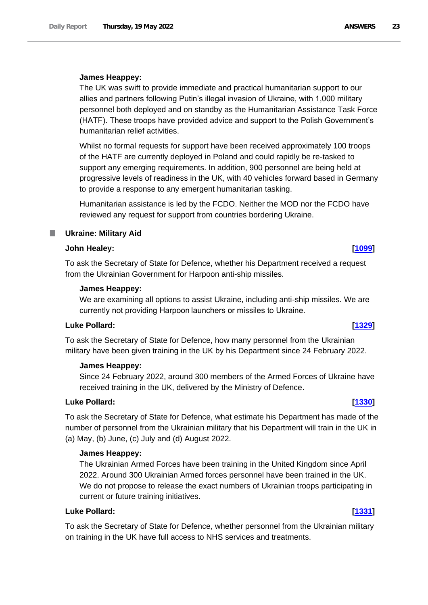### **James Heappey:**

The UK was swift to provide immediate and practical humanitarian support to our allies and partners following Putin's illegal invasion of Ukraine, with 1,000 military personnel both deployed and on standby as the Humanitarian Assistance Task Force (HATF). These troops have provided advice and support to the Polish Government's humanitarian relief activities.

Whilst no formal requests for support have been received approximately 100 troops of the HATF are currently deployed in Poland and could rapidly be re-tasked to support any emerging requirements. In addition, 900 personnel are being held at progressive levels of readiness in the UK, with 40 vehicles forward based in Germany to provide a response to any emergent humanitarian tasking.

Humanitarian assistance is led by the FCDO. Neither the MOD nor the FCDO have reviewed any request for support from countries bordering Ukraine.

# <span id="page-22-0"></span>**Ukraine: Military Aid**

### **John Healey: [\[1099\]](http://www.parliament.uk/business/publications/written-questions-answers-statements/written-question/Commons/2022-05-12/1099)**

To ask the Secretary of State for Defence, whether his Department received a request from the Ukrainian Government for Harpoon anti-ship missiles.

### **James Heappey:**

We are examining all options to assist Ukraine, including anti-ship missiles. We are currently not providing Harpoon launchers or missiles to Ukraine.

# **Luke Pollard: [\[1329\]](http://www.parliament.uk/business/publications/written-questions-answers-statements/written-question/Commons/2022-05-12/1329)**

To ask the Secretary of State for Defence, how many personnel from the Ukrainian military have been given training in the UK by his Department since 24 February 2022.

### **James Heappey:**

Since 24 February 2022, around 300 members of the Armed Forces of Ukraine have received training in the UK, delivered by the Ministry of Defence.

### **Luke Pollard: [\[1330\]](http://www.parliament.uk/business/publications/written-questions-answers-statements/written-question/Commons/2022-05-12/1330)**

To ask the Secretary of State for Defence, what estimate his Department has made of the number of personnel from the Ukrainian military that his Department will train in the UK in (a) May, (b) June, (c) July and (d) August 2022.

### **James Heappey:**

The Ukrainian Armed Forces have been training in the United Kingdom since April 2022. Around 300 Ukrainian Armed forces personnel have been trained in the UK. We do not propose to release the exact numbers of Ukrainian troops participating in current or future training initiatives.

### **Luke Pollard: [\[1331\]](http://www.parliament.uk/business/publications/written-questions-answers-statements/written-question/Commons/2022-05-12/1331)**

To ask the Secretary of State for Defence, whether personnel from the Ukrainian military on training in the UK have full access to NHS services and treatments.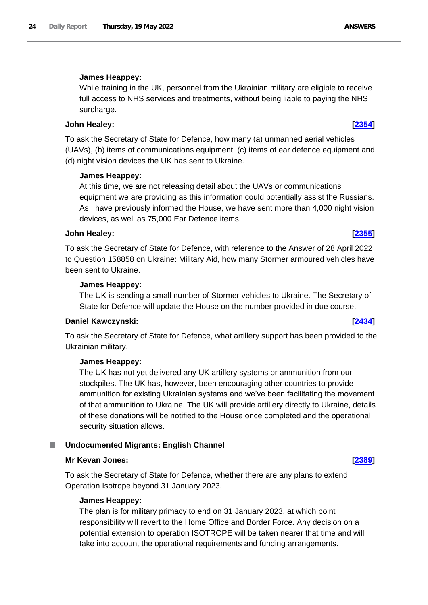# **James Heappey:**

While training in the UK, personnel from the Ukrainian military are eligible to receive full access to NHS services and treatments, without being liable to paying the NHS surcharge.

# **John Healey: [\[2354\]](http://www.parliament.uk/business/publications/written-questions-answers-statements/written-question/Commons/2022-05-16/2354)**

To ask the Secretary of State for Defence, how many (a) unmanned aerial vehicles (UAVs), (b) items of communications equipment, (c) items of ear defence equipment and (d) night vision devices the UK has sent to Ukraine.

# **James Heappey:**

At this time, we are not releasing detail about the UAVs or communications equipment we are providing as this information could potentially assist the Russians. As I have previously informed the House, we have sent more than 4,000 night vision devices, as well as 75,000 Ear Defence items.

### **John Healey: [\[2355\]](http://www.parliament.uk/business/publications/written-questions-answers-statements/written-question/Commons/2022-05-16/2355)**

To ask the Secretary of State for Defence, with reference to the Answer of 28 April 2022 to Question 158858 on Ukraine: Military Aid, how many Stormer armoured vehicles have been sent to Ukraine.

# **James Heappey:**

The UK is sending a small number of Stormer vehicles to Ukraine. The Secretary of State for Defence will update the House on the number provided in due course.

### **Daniel Kawczynski: [\[2434\]](http://www.parliament.uk/business/publications/written-questions-answers-statements/written-question/Commons/2022-05-16/2434)**

To ask the Secretary of State for Defence, what artillery support has been provided to the Ukrainian military.

### **James Heappey:**

The UK has not yet delivered any UK artillery systems or ammunition from our stockpiles. The UK has, however, been encouraging other countries to provide ammunition for existing Ukrainian systems and we've been facilitating the movement of that ammunition to Ukraine. The UK will provide artillery directly to Ukraine, details of these donations will be notified to the House once completed and the operational security situation allows.

### <span id="page-23-0"></span>ш **Undocumented Migrants: English Channel**

# **Mr Kevan Jones: [\[2389\]](http://www.parliament.uk/business/publications/written-questions-answers-statements/written-question/Commons/2022-05-16/2389)**

To ask the Secretary of State for Defence, whether there are any plans to extend Operation Isotrope beyond 31 January 2023.

### **James Heappey:**

The plan is for military primacy to end on 31 January 2023, at which point responsibility will revert to the Home Office and Border Force. Any decision on a potential extension to operation ISOTROPE will be taken nearer that time and will take into account the operational requirements and funding arrangements.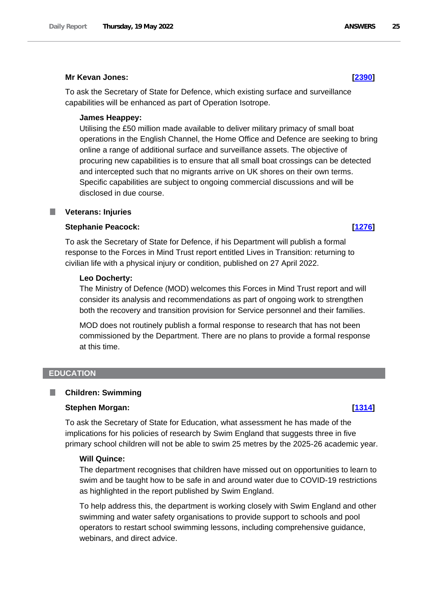# **Mr Kevan Jones: [\[2390\]](http://www.parliament.uk/business/publications/written-questions-answers-statements/written-question/Commons/2022-05-16/2390)**

To ask the Secretary of State for Defence, which existing surface and surveillance capabilities will be enhanced as part of Operation Isotrope.

# **James Heappey:**

Utilising the £50 million made available to deliver military primacy of small boat operations in the English Channel, the Home Office and Defence are seeking to bring online a range of additional surface and surveillance assets. The objective of procuring new capabilities is to ensure that all small boat crossings can be detected and intercepted such that no migrants arrive on UK shores on their own terms. Specific capabilities are subject to ongoing commercial discussions and will be disclosed in due course.

# <span id="page-24-0"></span>**Veterans: Injuries**

# **Stephanie Peacock: [\[1276\]](http://www.parliament.uk/business/publications/written-questions-answers-statements/written-question/Commons/2022-05-12/1276)**

To ask the Secretary of State for Defence, if his Department will publish a formal response to the Forces in Mind Trust report entitled Lives in Transition: returning to civilian life with a physical injury or condition, published on 27 April 2022.

### **Leo Docherty:**

The Ministry of Defence (MOD) welcomes this Forces in Mind Trust report and will consider its analysis and recommendations as part of ongoing work to strengthen both the recovery and transition provision for Service personnel and their families.

MOD does not routinely publish a formal response to research that has not been commissioned by the Department. There are no plans to provide a formal response at this time.

# <span id="page-24-1"></span>**EDUCATION**

### <span id="page-24-2"></span>**Children: Swimming** П

# **Stephen Morgan: [\[1314\]](http://www.parliament.uk/business/publications/written-questions-answers-statements/written-question/Commons/2022-05-12/1314)**

To ask the Secretary of State for Education, what assessment he has made of the implications for his policies of research by Swim England that suggests three in five primary school children will not be able to swim 25 metres by the 2025-26 academic year.

# **Will Quince:**

The department recognises that children have missed out on opportunities to learn to swim and be taught how to be safe in and around water due to COVID-19 restrictions as highlighted in the report published by Swim England.

To help address this, the department is working closely with Swim England and other swimming and water safety organisations to provide support to schools and pool operators to restart school swimming lessons, including comprehensive guidance, webinars, and direct advice.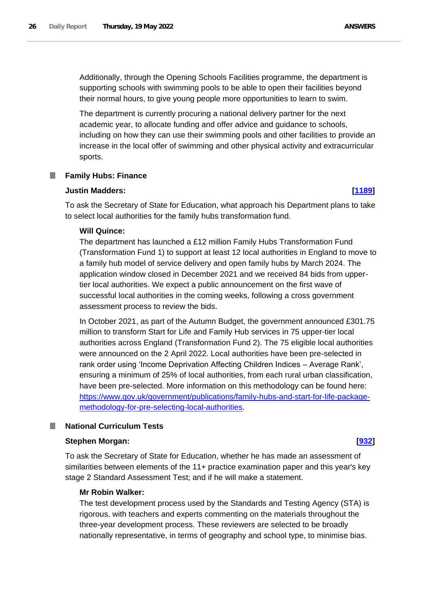Additionally, through the Opening Schools Facilities programme, the department is supporting schools with swimming pools to be able to open their facilities beyond their normal hours, to give young people more opportunities to learn to swim.

The department is currently procuring a national delivery partner for the next academic year, to allocate funding and offer advice and guidance to schools, including on how they can use their swimming pools and other facilities to provide an increase in the local offer of swimming and other physical activity and extracurricular sports.

### <span id="page-25-0"></span>**Family Hubs: Finance**

### **Justin Madders: [\[1189\]](http://www.parliament.uk/business/publications/written-questions-answers-statements/written-question/Commons/2022-05-12/1189)**

To ask the Secretary of State for Education, what approach his Department plans to take to select local authorities for the family hubs transformation fund.

## **Will Quince:**

The department has launched a £12 million Family Hubs Transformation Fund (Transformation Fund 1) to support at least 12 local authorities in England to move to a family hub model of service delivery and open family hubs by March 2024. The application window closed in December 2021 and we received 84 bids from uppertier local authorities. We expect a public announcement on the first wave of successful local authorities in the coming weeks, following a cross government assessment process to review the bids.

In October 2021, as part of the Autumn Budget, the government announced £301.75 million to transform Start for Life and Family Hub services in 75 upper-tier local authorities across England (Transformation Fund 2). The 75 eligible local authorities were announced on the 2 April 2022. Local authorities have been pre-selected in rank order using 'Income Deprivation Affecting Children Indices – Average Rank', ensuring a minimum of 25% of local authorities, from each rural urban classification, have been pre-selected. More information on this methodology can be found here: [https://www.gov.uk/government/publications/family-hubs-and-start-for-life-package](https://www.gov.uk/government/publications/family-hubs-and-start-for-life-package-methodology-for-pre-selecting-local-authorities)[methodology-for-pre-selecting-local-authorities.](https://www.gov.uk/government/publications/family-hubs-and-start-for-life-package-methodology-for-pre-selecting-local-authorities)

### <span id="page-25-1"></span>**National Curriculum Tests**

### **Stephen Morgan: [\[932\]](http://www.parliament.uk/business/publications/written-questions-answers-statements/written-question/Commons/2022-05-11/932)**

To ask the Secretary of State for Education, whether he has made an assessment of similarities between elements of the 11+ practice examination paper and this year's key stage 2 Standard Assessment Test; and if he will make a statement.

### **Mr Robin Walker:**

The test development process used by the Standards and Testing Agency (STA) is rigorous, with teachers and experts commenting on the materials throughout the three-year development process. These reviewers are selected to be broadly nationally representative, in terms of geography and school type, to minimise bias.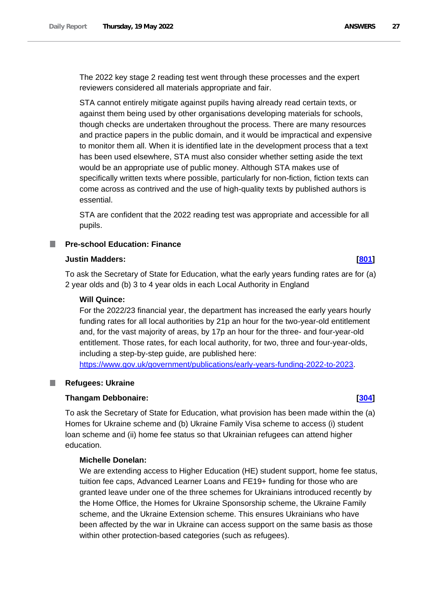The 2022 key stage 2 reading test went through these processes and the expert reviewers considered all materials appropriate and fair.

STA cannot entirely mitigate against pupils having already read certain texts, or against them being used by other organisations developing materials for schools, though checks are undertaken throughout the process. There are many resources and practice papers in the public domain, and it would be impractical and expensive to monitor them all. When it is identified late in the development process that a text has been used elsewhere, STA must also consider whether setting aside the text would be an appropriate use of public money. Although STA makes use of specifically written texts where possible, particularly for non-fiction, fiction texts can come across as contrived and the use of high-quality texts by published authors is essential.

STA are confident that the 2022 reading test was appropriate and accessible for all pupils.

### <span id="page-26-0"></span>**Pre-school Education: Finance**

### **Justin Madders: [\[801\]](http://www.parliament.uk/business/publications/written-questions-answers-statements/written-question/Commons/2022-05-11/801)**

To ask the Secretary of State for Education, what the early years funding rates are for (a) 2 year olds and (b) 3 to 4 year olds in each Local Authority in England

### **Will Quince:**

For the 2022/23 financial year, the department has increased the early years hourly funding rates for all local authorities by 21p an hour for the two-year-old entitlement and, for the vast majority of areas, by 17p an hour for the three- and four-year-old entitlement. Those rates, for each local authority, for two, three and four-year-olds, including a step-by-step guide, are published here:

https://www.gov.uk/government/publications/early-years-funding-2022-to-2023.

### <span id="page-26-1"></span>**Refugees: Ukraine**

### **Thangam Debbonaire: [\[304\]](http://www.parliament.uk/business/publications/written-questions-answers-statements/written-question/Commons/2022-05-10/304)**

To ask the Secretary of State for Education, what provision has been made within the (a) Homes for Ukraine scheme and (b) Ukraine Family Visa scheme to access (i) student loan scheme and (ii) home fee status so that Ukrainian refugees can attend higher education.

# **Michelle Donelan:**

We are extending access to Higher Education (HE) student support, home fee status, tuition fee caps, Advanced Learner Loans and FE19+ funding for those who are granted leave under one of the three schemes for Ukrainians introduced recently by the Home Office, the Homes for Ukraine Sponsorship scheme, the Ukraine Family scheme, and the Ukraine Extension scheme. This ensures Ukrainians who have been affected by the war in Ukraine can access support on the same basis as those within other protection-based categories (such as refugees).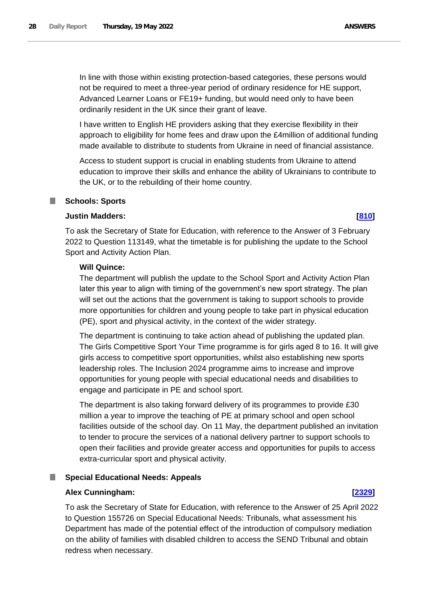In line with those within existing protection-based categories, these persons would not be required to meet a three-year period of ordinary residence for HE support, Advanced Learner Loans or FE19+ funding, but would need only to have been ordinarily resident in the UK since their grant of leave.

I have written to English HE providers asking that they exercise flexibility in their approach to eligibility for home fees and draw upon the £4million of additional funding made available to distribute to students from Ukraine in need of financial assistance.

Access to student support is crucial in enabling students from Ukraine to attend education to improve their skills and enhance the ability of Ukrainians to contribute to the UK, or to the rebuilding of their home country.

### <span id="page-27-0"></span>m. **Schools: Sports**

# **Justin Madders: [\[810\]](http://www.parliament.uk/business/publications/written-questions-answers-statements/written-question/Commons/2022-05-11/810)**

To ask the Secretary of State for Education, with reference to the Answer of 3 February 2022 to Question 113149, what the timetable is for publishing the update to the School Sport and Activity Action Plan.

# **Will Quince:**

The department will publish the update to the School Sport and Activity Action Plan later this year to align with timing of the government's new sport strategy. The plan will set out the actions that the government is taking to support schools to provide more opportunities for children and young people to take part in physical education (PE), sport and physical activity, in the context of the wider strategy.

The department is continuing to take action ahead of publishing the updated plan. The Girls Competitive Sport Your Time programme is for girls aged 8 to 16. It will give girls access to competitive sport opportunities, whilst also establishing new sports leadership roles. The Inclusion 2024 programme aims to increase and improve opportunities for young people with special educational needs and disabilities to engage and participate in PE and school sport.

The department is also taking forward delivery of its programmes to provide £30 million a year to improve the teaching of PE at primary school and open school facilities outside of the school day. On 11 May, the department published an invitation to tender to procure the services of a national delivery partner to support schools to open their facilities and provide greater access and opportunities for pupils to access extra-curricular sport and physical activity.

# <span id="page-27-1"></span>**Special Educational Needs: Appeals**

# **Alex Cunningham: [\[2329\]](http://www.parliament.uk/business/publications/written-questions-answers-statements/written-question/Commons/2022-05-16/2329)**

To ask the Secretary of State for Education, with reference to the Answer of 25 April 2022 to Question 155726 on Special Educational Needs: Tribunals, what assessment his Department has made of the potential effect of the introduction of compulsory mediation on the ability of families with disabled children to access the SEND Tribunal and obtain redress when necessary.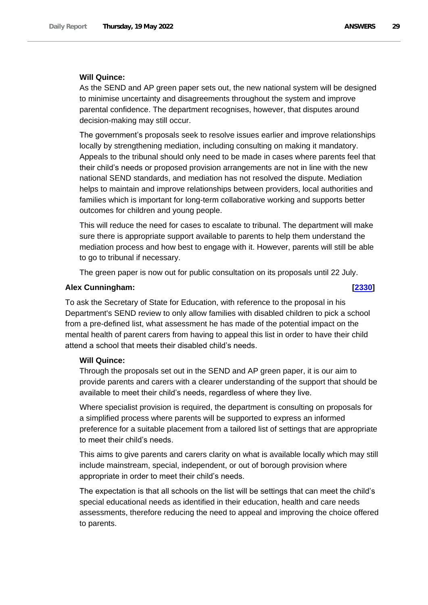## **Will Quince:**

As the SEND and AP green paper sets out, the new national system will be designed to minimise uncertainty and disagreements throughout the system and improve parental confidence. The department recognises, however, that disputes around decision-making may still occur.

The government's proposals seek to resolve issues earlier and improve relationships locally by strengthening mediation, including consulting on making it mandatory. Appeals to the tribunal should only need to be made in cases where parents feel that their child's needs or proposed provision arrangements are not in line with the new national SEND standards, and mediation has not resolved the dispute. Mediation helps to maintain and improve relationships between providers, local authorities and families which is important for long-term collaborative working and supports better outcomes for children and young people.

This will reduce the need for cases to escalate to tribunal. The department will make sure there is appropriate support available to parents to help them understand the mediation process and how best to engage with it. However, parents will still be able to go to tribunal if necessary.

The green paper is now out for public consultation on its proposals until 22 July.

### **Alex Cunningham: [\[2330\]](http://www.parliament.uk/business/publications/written-questions-answers-statements/written-question/Commons/2022-05-16/2330)**

To ask the Secretary of State for Education, with reference to the proposal in his Department's SEND review to only allow families with disabled children to pick a school from a pre-defined list, what assessment he has made of the potential impact on the mental health of parent carers from having to appeal this list in order to have their child attend a school that meets their disabled child's needs.

### **Will Quince:**

Through the proposals set out in the SEND and AP green paper, it is our aim to provide parents and carers with a clearer understanding of the support that should be available to meet their child's needs, regardless of where they live.

Where specialist provision is required, the department is consulting on proposals for a simplified process where parents will be supported to express an informed preference for a suitable placement from a tailored list of settings that are appropriate to meet their child's needs.

This aims to give parents and carers clarity on what is available locally which may still include mainstream, special, independent, or out of borough provision where appropriate in order to meet their child's needs.

The expectation is that all schools on the list will be settings that can meet the child's special educational needs as identified in their education, health and care needs assessments, therefore reducing the need to appeal and improving the choice offered to parents.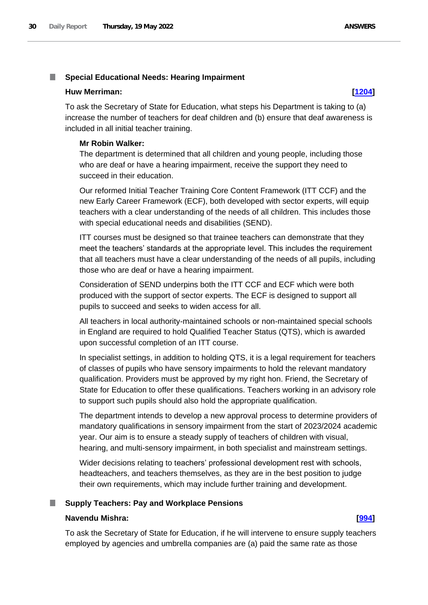### <span id="page-29-0"></span>П **Special Educational Needs: Hearing Impairment**

### **Huw Merriman: [\[1204\]](http://www.parliament.uk/business/publications/written-questions-answers-statements/written-question/Commons/2022-05-12/1204)**

To ask the Secretary of State for Education, what steps his Department is taking to (a) increase the number of teachers for deaf children and (b) ensure that deaf awareness is included in all initial teacher training.

### **Mr Robin Walker:**

The department is determined that all children and young people, including those who are deaf or have a hearing impairment, receive the support they need to succeed in their education.

Our reformed Initial Teacher Training Core Content Framework (ITT CCF) and the new Early Career Framework (ECF), both developed with sector experts, will equip teachers with a clear understanding of the needs of all children. This includes those with special educational needs and disabilities (SEND).

ITT courses must be designed so that trainee teachers can demonstrate that they meet the teachers' standards at the appropriate level. This includes the requirement that all teachers must have a clear understanding of the needs of all pupils, including those who are deaf or have a hearing impairment.

Consideration of SEND underpins both the ITT CCF and ECF which were both produced with the support of sector experts. The ECF is designed to support all pupils to succeed and seeks to widen access for all.

All teachers in local authority-maintained schools or non-maintained special schools in England are required to hold Qualified Teacher Status (QTS), which is awarded upon successful completion of an ITT course.

In specialist settings, in addition to holding QTS, it is a legal requirement for teachers of classes of pupils who have sensory impairments to hold the relevant mandatory qualification. Providers must be approved by my right hon. Friend, the Secretary of State for Education to offer these qualifications. Teachers working in an advisory role to support such pupils should also hold the appropriate qualification.

The department intends to develop a new approval process to determine providers of mandatory qualifications in sensory impairment from the start of 2023/2024 academic year. Our aim is to ensure a steady supply of teachers of children with visual, hearing, and multi-sensory impairment, in both specialist and mainstream settings.

Wider decisions relating to teachers' professional development rest with schools, headteachers, and teachers themselves, as they are in the best position to judge their own requirements, which may include further training and development.

### <span id="page-29-1"></span>**Supply Teachers: Pay and Workplace Pensions**

### **Navendu Mishra: [\[994\]](http://www.parliament.uk/business/publications/written-questions-answers-statements/written-question/Commons/2022-05-11/994)**

To ask the Secretary of State for Education, if he will intervene to ensure supply teachers employed by agencies and umbrella companies are (a) paid the same rate as those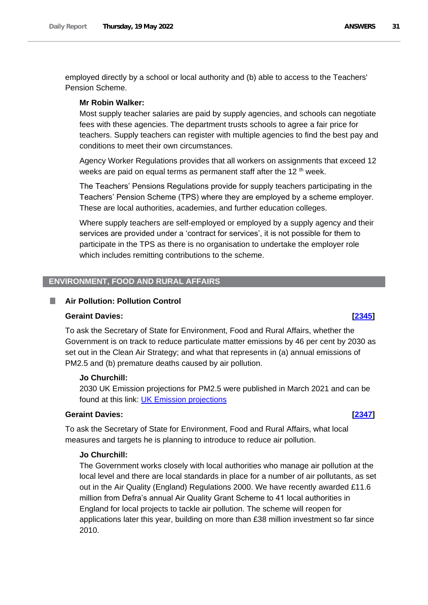employed directly by a school or local authority and (b) able to access to the Teachers' Pension Scheme.

### **Mr Robin Walker:**

Most supply teacher salaries are paid by supply agencies, and schools can negotiate fees with these agencies. The department trusts schools to agree a fair price for teachers. Supply teachers can register with multiple agencies to find the best pay and conditions to meet their own circumstances.

Agency Worker Regulations provides that all workers on assignments that exceed 12 weeks are paid on equal terms as permanent staff after the 12<sup>th</sup> week.

The Teachers' Pensions Regulations provide for supply teachers participating in the Teachers' Pension Scheme (TPS) where they are employed by a scheme employer. These are local authorities, academies, and further education colleges.

Where supply teachers are self-employed or employed by a supply agency and their services are provided under a 'contract for services', it is not possible for them to participate in the TPS as there is no organisation to undertake the employer role which includes remitting contributions to the scheme.

### <span id="page-30-0"></span>**ENVIRONMENT, FOOD AND RURAL AFFAIRS**

### <span id="page-30-1"></span>**Air Pollution: Pollution Control**

### **Geraint Davies: [\[2345\]](http://www.parliament.uk/business/publications/written-questions-answers-statements/written-question/Commons/2022-05-16/2345)**

To ask the Secretary of State for Environment, Food and Rural Affairs, whether the Government is on track to reduce particulate matter emissions by 46 per cent by 2030 as set out in the Clean Air Strategy; and what that represents in (a) annual emissions of PM2.5 and (b) premature deaths caused by air pollution.

### **Jo Churchill:**

2030 UK Emission projections for PM2.5 were published in March 2021 and can be found at this link: **UK Emission projections** 

### **Geraint Davies: [\[2347\]](http://www.parliament.uk/business/publications/written-questions-answers-statements/written-question/Commons/2022-05-16/2347)**

To ask the Secretary of State for Environment, Food and Rural Affairs, what local measures and targets he is planning to introduce to reduce air pollution.

### **Jo Churchill:**

The Government works closely with local authorities who manage air pollution at the local level and there are local standards in place for a number of air pollutants, as set out in the Air Quality (England) Regulations 2000. We have recently awarded £11.6 million from Defra's annual Air Quality Grant Scheme to 41 local authorities in England for local projects to tackle air pollution. The scheme will reopen for applications later this year, building on more than £38 million investment so far since 2010.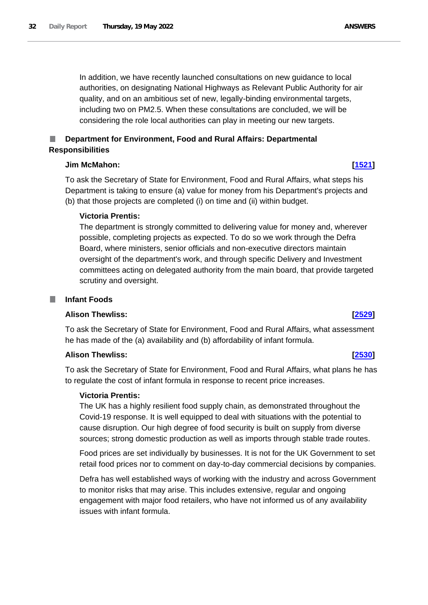In addition, we have recently launched consultations on new guidance to local authorities, on designating National Highways as Relevant Public Authority for air quality, and on an ambitious set of new, legally-binding environmental targets, including two on PM2.5. When these consultations are concluded, we will be considering the role local authorities can play in meeting our new targets.

# <span id="page-31-0"></span>**Department for Environment, Food and Rural Affairs: Departmental Responsibilities**

### **Jim McMahon: [\[1521\]](http://www.parliament.uk/business/publications/written-questions-answers-statements/written-question/Commons/2022-05-13/1521)**

To ask the Secretary of State for Environment, Food and Rural Affairs, what steps his Department is taking to ensure (a) value for money from his Department's projects and (b) that those projects are completed (i) on time and (ii) within budget.

### **Victoria Prentis:**

The department is strongly committed to delivering value for money and, wherever possible, completing projects as expected. To do so we work through the Defra Board, where ministers, senior officials and non-executive directors maintain oversight of the department's work, and through specific Delivery and Investment committees acting on delegated authority from the main board, that provide targeted scrutiny and oversight.

### <span id="page-31-1"></span>**Infant Foods** T.

## **Alison Thewliss: [\[2529\]](http://www.parliament.uk/business/publications/written-questions-answers-statements/written-question/Commons/2022-05-16/2529)**

To ask the Secretary of State for Environment, Food and Rural Affairs, what assessment he has made of the (a) availability and (b) affordability of infant formula.

### **Alison Thewliss: [\[2530\]](http://www.parliament.uk/business/publications/written-questions-answers-statements/written-question/Commons/2022-05-16/2530)**

To ask the Secretary of State for Environment, Food and Rural Affairs, what plans he has to regulate the cost of infant formula in response to recent price increases.

### **Victoria Prentis:**

The UK has a highly resilient food supply chain, as demonstrated throughout the Covid-19 response. It is well equipped to deal with situations with the potential to cause disruption. Our high degree of food security is built on supply from diverse sources; strong domestic production as well as imports through stable trade routes.

Food prices are set individually by businesses. It is not for the UK Government to set retail food prices nor to comment on day-to-day commercial decisions by companies.

Defra has well established ways of working with the industry and across Government to monitor risks that may arise. This includes extensive, regular and ongoing engagement with major food retailers, who have not informed us of any availability issues with infant formula.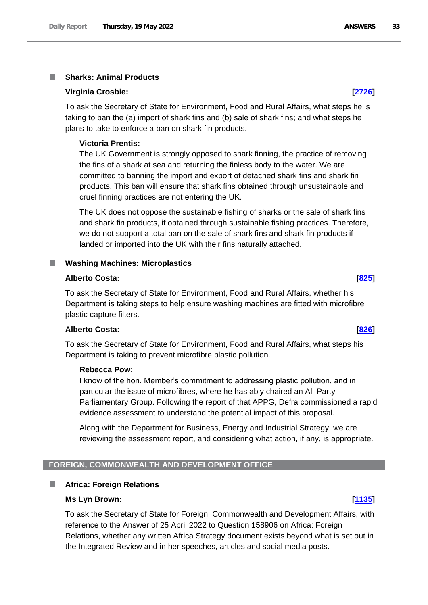### <span id="page-32-0"></span>**Sharks: Animal Products**

### **Virginia Crosbie: [\[2726\]](http://www.parliament.uk/business/publications/written-questions-answers-statements/written-question/Commons/2022-05-16/2726)**

To ask the Secretary of State for Environment, Food and Rural Affairs, what steps he is taking to ban the (a) import of shark fins and (b) sale of shark fins; and what steps he plans to take to enforce a ban on shark fin products.

### **Victoria Prentis:**

The UK Government is strongly opposed to shark finning, the practice of removing the fins of a shark at sea and returning the finless body to the water. We are committed to banning the import and export of detached shark fins and shark fin products. This ban will ensure that shark fins obtained through unsustainable and cruel finning practices are not entering the UK.

The UK does not oppose the sustainable fishing of sharks or the sale of shark fins and shark fin products, if obtained through sustainable fishing practices. Therefore, we do not support a total ban on the sale of shark fins and shark fin products if landed or imported into the UK with their fins naturally attached.

### <span id="page-32-1"></span>**Washing Machines: Microplastics** ш

### **Alberto Costa: [\[825\]](http://www.parliament.uk/business/publications/written-questions-answers-statements/written-question/Commons/2022-05-11/825)**

To ask the Secretary of State for Environment, Food and Rural Affairs, whether his Department is taking steps to help ensure washing machines are fitted with microfibre plastic capture filters.

# **Alberto Costa: [\[826\]](http://www.parliament.uk/business/publications/written-questions-answers-statements/written-question/Commons/2022-05-11/826)**

To ask the Secretary of State for Environment, Food and Rural Affairs, what steps his Department is taking to prevent microfibre plastic pollution.

### **Rebecca Pow:**

I know of the hon. Member's commitment to addressing plastic pollution, and in particular the issue of microfibres, where he has ably chaired an All-Party Parliamentary Group. Following the report of that APPG, Defra commissioned a rapid evidence assessment to understand the potential impact of this proposal.

Along with the Department for Business, Energy and Industrial Strategy, we are reviewing the assessment report, and considering what action, if any, is appropriate.

## <span id="page-32-2"></span>**FOREIGN, COMMONWEALTH AND DEVELOPMENT OFFICE**

### <span id="page-32-3"></span>**Africa: Foreign Relations** m.

### **Ms Lyn Brown: [\[1135\]](http://www.parliament.uk/business/publications/written-questions-answers-statements/written-question/Commons/2022-05-12/1135)**

To ask the Secretary of State for Foreign, Commonwealth and Development Affairs, with reference to the Answer of 25 April 2022 to Question 158906 on Africa: Foreign Relations, whether any written Africa Strategy document exists beyond what is set out in the Integrated Review and in her speeches, articles and social media posts.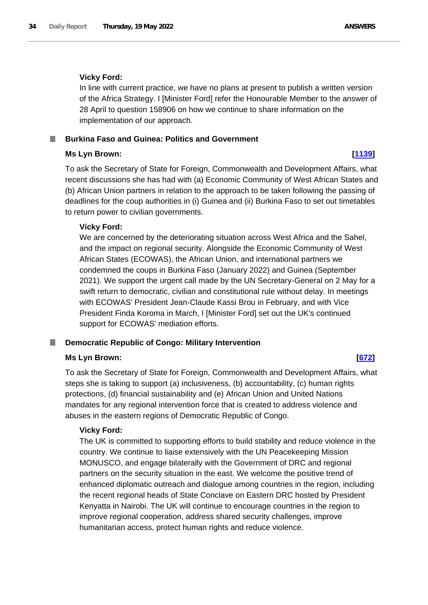### **Vicky Ford:**

In line with current practice, we have no plans at present to publish a written version of the Africa Strategy. I [Minister Ford] refer the Honourable Member to the answer of 28 April to question 158906 on how we continue to share information on the implementation of our approach.

### <span id="page-33-0"></span>**Burkina Faso and Guinea: Politics and Government**

### **Ms Lyn Brown: [\[1139\]](http://www.parliament.uk/business/publications/written-questions-answers-statements/written-question/Commons/2022-05-12/1139)**

To ask the Secretary of State for Foreign, Commonwealth and Development Affairs, what recent discussions she has had with (a) Economic Community of West African States and (b) African Union partners in relation to the approach to be taken following the passing of deadlines for the coup authorities in (i) Guinea and (ii) Burkina Faso to set out timetables to return power to civilian governments.

### **Vicky Ford:**

We are concerned by the deteriorating situation across West Africa and the Sahel, and the impact on regional security. Alongside the Economic Community of West African States (ECOWAS), the African Union, and international partners we condemned the coups in Burkina Faso (January 2022) and Guinea (September 2021). We support the urgent call made by the UN Secretary-General on 2 May for a swift return to democratic, civilian and constitutional rule without delay. In meetings with ECOWAS' President Jean-Claude Kassi Brou in February, and with Vice President Finda Koroma in March, I [Minister Ford] set out the UK's continued support for ECOWAS' mediation efforts.

### <span id="page-33-1"></span>**Democratic Republic of Congo: Military Intervention**

### **Ms Lyn Brown: [\[672\]](http://www.parliament.uk/business/publications/written-questions-answers-statements/written-question/Commons/2022-05-11/672)**

To ask the Secretary of State for Foreign, Commonwealth and Development Affairs, what steps she is taking to support (a) inclusiveness, (b) accountability, (c) human rights protections, (d) financial sustainability and (e) African Union and United Nations mandates for any regional intervention force that is created to address violence and abuses in the eastern regions of Democratic Republic of Congo.

### **Vicky Ford:**

The UK is committed to supporting efforts to build stability and reduce violence in the country. We continue to liaise extensively with the UN Peacekeeping Mission MONUSCO, and engage bilaterally with the Government of DRC and regional partners on the security situation in the east. We welcome the positive trend of enhanced diplomatic outreach and dialogue among countries in the region, including the recent regional heads of State Conclave on Eastern DRC hosted by President Kenyatta in Nairobi. The UK will continue to encourage countries in the region to improve regional cooperation, address shared security challenges, improve humanitarian access, protect human rights and reduce violence.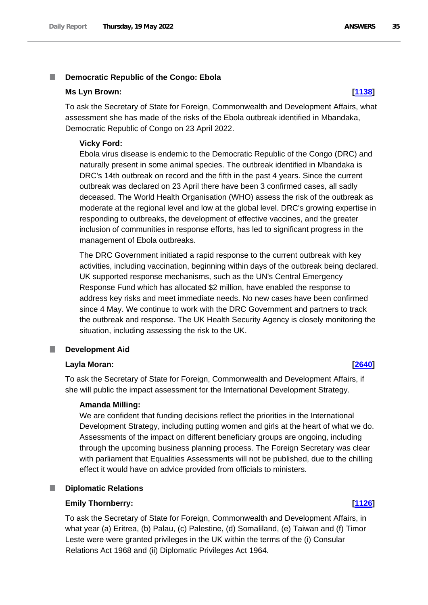### <span id="page-34-0"></span>T. **Democratic Republic of the Congo: Ebola**

### **Ms Lyn Brown: [\[1138\]](http://www.parliament.uk/business/publications/written-questions-answers-statements/written-question/Commons/2022-05-12/1138)**

To ask the Secretary of State for Foreign, Commonwealth and Development Affairs, what assessment she has made of the risks of the Ebola outbreak identified in Mbandaka, Democratic Republic of Congo on 23 April 2022.

### **Vicky Ford:**

Ebola virus disease is endemic to the Democratic Republic of the Congo (DRC) and naturally present in some animal species. The outbreak identified in Mbandaka is DRC's 14th outbreak on record and the fifth in the past 4 years. Since the current outbreak was declared on 23 April there have been 3 confirmed cases, all sadly deceased. The World Health Organisation (WHO) assess the risk of the outbreak as moderate at the regional level and low at the global level. DRC's growing expertise in responding to outbreaks, the development of effective vaccines, and the greater inclusion of communities in response efforts, has led to significant progress in the management of Ebola outbreaks.

The DRC Government initiated a rapid response to the current outbreak with key activities, including vaccination, beginning within days of the outbreak being declared. UK supported response mechanisms, such as the UN's Central Emergency Response Fund which has allocated \$2 million, have enabled the response to address key risks and meet immediate needs. No new cases have been confirmed since 4 May. We continue to work with the DRC Government and partners to track the outbreak and response. The UK Health Security Agency is closely monitoring the situation, including assessing the risk to the UK.

### <span id="page-34-1"></span>П **Development Aid**

### **Layla Moran: [\[2640\]](http://www.parliament.uk/business/publications/written-questions-answers-statements/written-question/Commons/2022-05-16/2640)**

To ask the Secretary of State for Foreign, Commonwealth and Development Affairs, if she will public the impact assessment for the International Development Strategy.

### **Amanda Milling:**

We are confident that funding decisions reflect the priorities in the International Development Strategy, including putting women and girls at the heart of what we do. Assessments of the impact on different beneficiary groups are ongoing, including through the upcoming business planning process. The Foreign Secretary was clear with parliament that Equalities Assessments will not be published, due to the chilling effect it would have on advice provided from officials to ministers.

### <span id="page-34-2"></span>**Diplomatic Relations**

### **Emily Thornberry: [\[1126\]](http://www.parliament.uk/business/publications/written-questions-answers-statements/written-question/Commons/2022-05-12/1126)**

To ask the Secretary of State for Foreign, Commonwealth and Development Affairs, in what year (a) Eritrea, (b) Palau, (c) Palestine, (d) Somaliland, (e) Taiwan and (f) Timor Leste were were granted privileges in the UK within the terms of the (i) Consular Relations Act 1968 and (ii) Diplomatic Privileges Act 1964.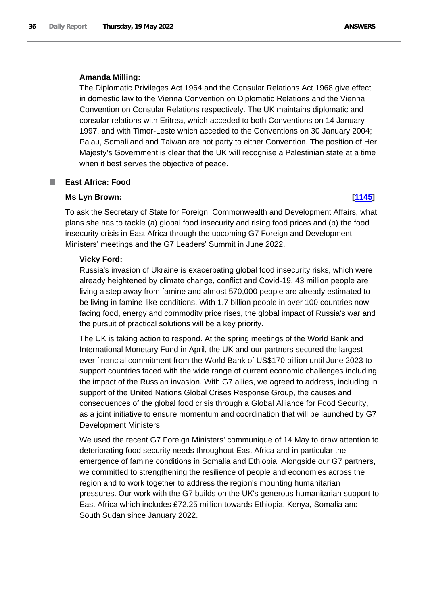### **Amanda Milling:**

The Diplomatic Privileges Act 1964 and the Consular Relations Act 1968 give effect in domestic law to the Vienna Convention on Diplomatic Relations and the Vienna Convention on Consular Relations respectively. The UK maintains diplomatic and consular relations with Eritrea, which acceded to both Conventions on 14 January 1997, and with Timor-Leste which acceded to the Conventions on 30 January 2004; Palau, Somaliland and Taiwan are not party to either Convention. The position of Her Majesty's Government is clear that the UK will recognise a Palestinian state at a time when it best serves the objective of peace.

### <span id="page-35-0"></span>**East Africa: Food** ш

### **Ms Lyn Brown: [\[1145\]](http://www.parliament.uk/business/publications/written-questions-answers-statements/written-question/Commons/2022-05-12/1145)**

To ask the Secretary of State for Foreign, Commonwealth and Development Affairs, what plans she has to tackle (a) global food insecurity and rising food prices and (b) the food insecurity crisis in East Africa through the upcoming G7 Foreign and Development Ministers' meetings and the G7 Leaders' Summit in June 2022.

### **Vicky Ford:**

Russia's invasion of Ukraine is exacerbating global food insecurity risks, which were already heightened by climate change, conflict and Covid-19. 43 million people are living a step away from famine and almost 570,000 people are already estimated to be living in famine-like conditions. With 1.7 billion people in over 100 countries now facing food, energy and commodity price rises, the global impact of Russia's war and the pursuit of practical solutions will be a key priority.

The UK is taking action to respond. At the spring meetings of the World Bank and International Monetary Fund in April, the UK and our partners secured the largest ever financial commitment from the World Bank of US\$170 billion until June 2023 to support countries faced with the wide range of current economic challenges including the impact of the Russian invasion. With G7 allies, we agreed to address, including in support of the United Nations Global Crises Response Group, the causes and consequences of the global food crisis through a Global Alliance for Food Security, as a joint initiative to ensure momentum and coordination that will be launched by G7 Development Ministers.

We used the recent G7 Foreign Ministers' communique of 14 May to draw attention to deteriorating food security needs throughout East Africa and in particular the emergence of famine conditions in Somalia and Ethiopia. Alongside our G7 partners, we committed to strengthening the resilience of people and economies across the region and to work together to address the region's mounting humanitarian pressures. Our work with the G7 builds on the UK's generous humanitarian support to East Africa which includes £72.25 million towards Ethiopia, Kenya, Somalia and South Sudan since January 2022.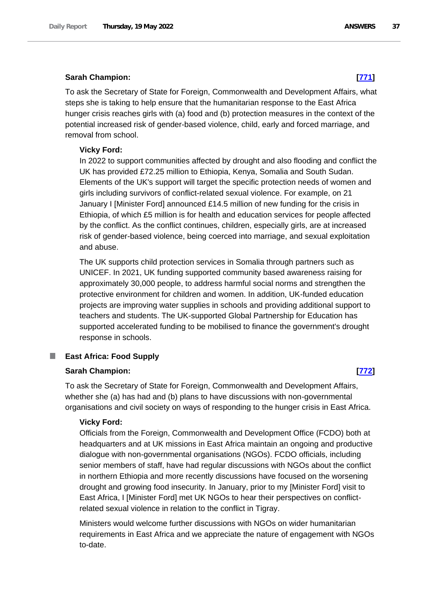# **Sarah Champion: [\[771\]](http://www.parliament.uk/business/publications/written-questions-answers-statements/written-question/Commons/2022-05-11/771)**

To ask the Secretary of State for Foreign, Commonwealth and Development Affairs, what steps she is taking to help ensure that the humanitarian response to the East Africa hunger crisis reaches girls with (a) food and (b) protection measures in the context of the potential increased risk of gender-based violence, child, early and forced marriage, and removal from school.

# **Vicky Ford:**

In 2022 to support communities affected by drought and also flooding and conflict the UK has provided £72.25 million to Ethiopia, Kenya, Somalia and South Sudan. Elements of the UK's support will target the specific protection needs of women and girls including survivors of conflict-related sexual violence. For example, on 21 January I [Minister Ford] announced £14.5 million of new funding for the crisis in Ethiopia, of which £5 million is for health and education services for people affected by the conflict. As the conflict continues, children, especially girls, are at increased risk of gender-based violence, being coerced into marriage, and sexual exploitation and abuse.

The UK supports child protection services in Somalia through partners such as UNICEF. In 2021, UK funding supported community based awareness raising for approximately 30,000 people, to address harmful social norms and strengthen the protective environment for children and women. In addition, UK-funded education projects are improving water supplies in schools and providing additional support to teachers and students. The UK-supported Global Partnership for Education has supported accelerated funding to be mobilised to finance the government's drought response in schools.

### T. **East Africa: Food Supply**

# **Sarah Champion: [\[772\]](http://www.parliament.uk/business/publications/written-questions-answers-statements/written-question/Commons/2022-05-11/772)**

To ask the Secretary of State for Foreign, Commonwealth and Development Affairs, whether she (a) has had and (b) plans to have discussions with non-governmental organisations and civil society on ways of responding to the hunger crisis in East Africa.

# **Vicky Ford:**

Officials from the Foreign, Commonwealth and Development Office (FCDO) both at headquarters and at UK missions in East Africa maintain an ongoing and productive dialogue with non-governmental organisations (NGOs). FCDO officials, including senior members of staff, have had regular discussions with NGOs about the conflict in northern Ethiopia and more recently discussions have focused on the worsening drought and growing food insecurity. In January, prior to my [Minister Ford] visit to East Africa, I [Minister Ford] met UK NGOs to hear their perspectives on conflictrelated sexual violence in relation to the conflict in Tigray.

Ministers would welcome further discussions with NGOs on wider humanitarian requirements in East Africa and we appreciate the nature of engagement with NGOs to-date.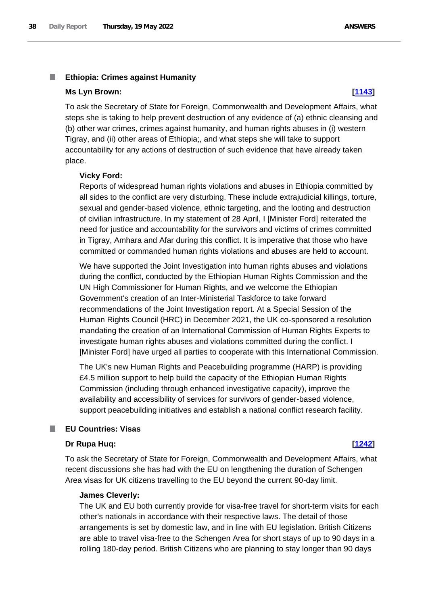### T. **Ethiopia: Crimes against Humanity**

### **Ms Lyn Brown: [\[1143\]](http://www.parliament.uk/business/publications/written-questions-answers-statements/written-question/Commons/2022-05-12/1143)**

To ask the Secretary of State for Foreign, Commonwealth and Development Affairs, what steps she is taking to help prevent destruction of any evidence of (a) ethnic cleansing and (b) other war crimes, crimes against humanity, and human rights abuses in (i) western Tigray, and (ii) other areas of Ethiopia;, and what steps she will take to support accountability for any actions of destruction of such evidence that have already taken place.

### **Vicky Ford:**

Reports of widespread human rights violations and abuses in Ethiopia committed by all sides to the conflict are very disturbing. These include extrajudicial killings, torture, sexual and gender-based violence, ethnic targeting, and the looting and destruction of civilian infrastructure. In my statement of 28 April, I [Minister Ford] reiterated the need for justice and accountability for the survivors and victims of crimes committed in Tigray, Amhara and Afar during this conflict. It is imperative that those who have committed or commanded human rights violations and abuses are held to account.

We have supported the Joint Investigation into human rights abuses and violations during the conflict, conducted by the Ethiopian Human Rights Commission and the UN High Commissioner for Human Rights, and we welcome the Ethiopian Government's creation of an Inter-Ministerial Taskforce to take forward recommendations of the Joint Investigation report. At a Special Session of the Human Rights Council (HRC) in December 2021, the UK co-sponsored a resolution mandating the creation of an International Commission of Human Rights Experts to investigate human rights abuses and violations committed during the conflict. I [Minister Ford] have urged all parties to cooperate with this International Commission.

The UK's new Human Rights and Peacebuilding programme (HARP) is providing £4.5 million support to help build the capacity of the Ethiopian Human Rights Commission (including through enhanced investigative capacity), improve the availability and accessibility of services for survivors of gender-based violence, support peacebuilding initiatives and establish a national conflict research facility.

### **EU Countries: Visas** T.

# **Dr Rupa Huq: [\[1242\]](http://www.parliament.uk/business/publications/written-questions-answers-statements/written-question/Commons/2022-05-12/1242)**

To ask the Secretary of State for Foreign, Commonwealth and Development Affairs, what recent discussions she has had with the EU on lengthening the duration of Schengen Area visas for UK citizens travelling to the EU beyond the current 90-day limit.

# **James Cleverly:**

The UK and EU both currently provide for visa-free travel for short-term visits for each other's nationals in accordance with their respective laws. The detail of those arrangements is set by domestic law, and in line with EU legislation. British Citizens are able to travel visa-free to the Schengen Area for short stays of up to 90 days in a rolling 180-day period. British Citizens who are planning to stay longer than 90 days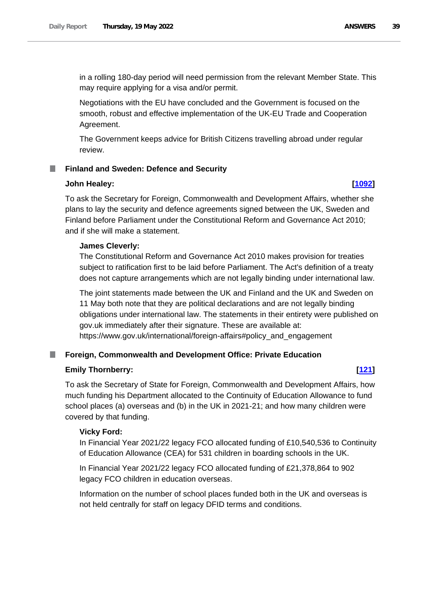in a rolling 180-day period will need permission from the relevant Member State. This may require applying for a visa and/or permit.

Negotiations with the EU have concluded and the Government is focused on the smooth, robust and effective implementation of the UK-EU Trade and Cooperation Agreement.

The Government keeps advice for British Citizens travelling abroad under regular review.

# **Finland and Sweden: Defence and Security**

# **John Healey: [\[1092\]](http://www.parliament.uk/business/publications/written-questions-answers-statements/written-question/Commons/2022-05-12/1092)**

To ask the Secretary for Foreign, Commonwealth and Development Affairs, whether she plans to lay the security and defence agreements signed between the UK, Sweden and Finland before Parliament under the Constitutional Reform and Governance Act 2010; and if she will make a statement.

# **James Cleverly:**

The Constitutional Reform and Governance Act 2010 makes provision for treaties subject to ratification first to be laid before Parliament. The Act's definition of a treaty does not capture arrangements which are not legally binding under international law.

The joint statements made between the UK and Finland and the UK and Sweden on 11 May both note that they are political declarations and are not legally binding obligations under international law. The statements in their entirety were published on gov.uk immediately after their signature. These are available at: https://www.gov.uk/international/foreign-affairs#policy\_and\_engagement

# **Foreign, Commonwealth and Development Office: Private Education**

# **Emily Thornberry: [\[121\]](http://www.parliament.uk/business/publications/written-questions-answers-statements/written-question/Commons/2022-05-10/121)**

To ask the Secretary of State for Foreign, Commonwealth and Development Affairs, how much funding his Department allocated to the Continuity of Education Allowance to fund school places (a) overseas and (b) in the UK in 2021-21; and how many children were covered by that funding.

# **Vicky Ford:**

In Financial Year 2021/22 legacy FCO allocated funding of £10,540,536 to Continuity of Education Allowance (CEA) for 531 children in boarding schools in the UK.

In Financial Year 2021/22 legacy FCO allocated funding of £21,378,864 to 902 legacy FCO children in education overseas.

Information on the number of school places funded both in the UK and overseas is not held centrally for staff on legacy DFID terms and conditions.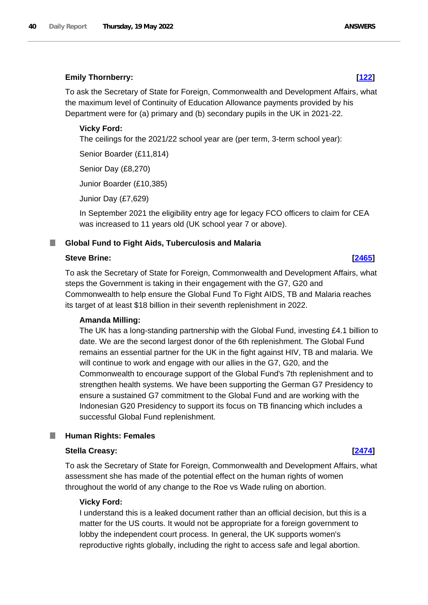# **Emily Thornberry: [\[122\]](http://www.parliament.uk/business/publications/written-questions-answers-statements/written-question/Commons/2022-05-10/122)**

To ask the Secretary of State for Foreign, Commonwealth and Development Affairs, what the maximum level of Continuity of Education Allowance payments provided by his Department were for (a) primary and (b) secondary pupils in the UK in 2021-22.

# **Vicky Ford:**

The ceilings for the 2021/22 school year are (per term, 3-term school year):

Senior Boarder (£11,814)

Senior Day (£8,270)

Junior Boarder (£10,385)

Junior Day (£7,629)

In September 2021 the eligibility entry age for legacy FCO officers to claim for CEA was increased to 11 years old (UK school year 7 or above).

### **Global Fund to Fight Aids, Tuberculosis and Malaria** .

### **Steve Brine: [\[2465\]](http://www.parliament.uk/business/publications/written-questions-answers-statements/written-question/Commons/2022-05-16/2465)**

To ask the Secretary of State for Foreign, Commonwealth and Development Affairs, what steps the Government is taking in their engagement with the G7, G20 and Commonwealth to help ensure the Global Fund To Fight AIDS, TB and Malaria reaches its target of at least \$18 billion in their seventh replenishment in 2022.

### **Amanda Milling:**

The UK has a long-standing partnership with the Global Fund, investing £4.1 billion to date. We are the second largest donor of the 6th replenishment. The Global Fund remains an essential partner for the UK in the fight against HIV, TB and malaria. We will continue to work and engage with our allies in the G7, G20, and the Commonwealth to encourage support of the Global Fund's 7th replenishment and to strengthen health systems. We have been supporting the German G7 Presidency to ensure a sustained G7 commitment to the Global Fund and are working with the Indonesian G20 Presidency to support its focus on TB financing which includes a successful Global Fund replenishment.

### **Human Rights: Females** L.

### **Stella Creasy: [\[2474\]](http://www.parliament.uk/business/publications/written-questions-answers-statements/written-question/Commons/2022-05-16/2474)**

To ask the Secretary of State for Foreign, Commonwealth and Development Affairs, what assessment she has made of the potential effect on the human rights of women throughout the world of any change to the Roe vs Wade ruling on abortion.

### **Vicky Ford:**

I understand this is a leaked document rather than an official decision, but this is a matter for the US courts. It would not be appropriate for a foreign government to lobby the independent court process. In general, the UK supports women's reproductive rights globally, including the right to access safe and legal abortion.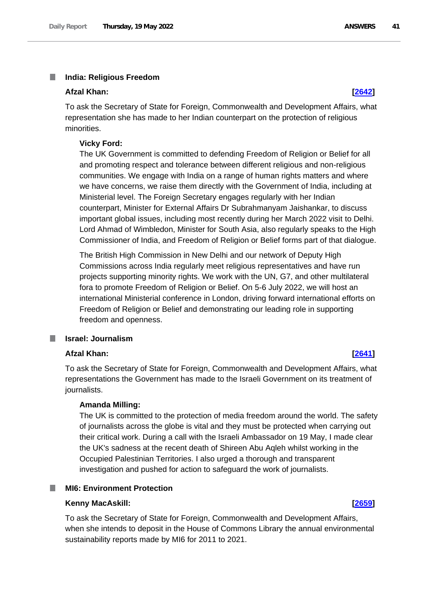### T. **India: Religious Freedom**

### **Afzal Khan: [\[2642\]](http://www.parliament.uk/business/publications/written-questions-answers-statements/written-question/Commons/2022-05-16/2642)**

To ask the Secretary of State for Foreign, Commonwealth and Development Affairs, what representation she has made to her Indian counterpart on the protection of religious minorities.

### **Vicky Ford:**

The UK Government is committed to defending Freedom of Religion or Belief for all and promoting respect and tolerance between different religious and non-religious communities. We engage with India on a range of human rights matters and where we have concerns, we raise them directly with the Government of India, including at Ministerial level. The Foreign Secretary engages regularly with her Indian counterpart, Minister for External Affairs Dr Subrahmanyam Jaishankar, to discuss important global issues, including most recently during her March 2022 visit to Delhi. Lord Ahmad of Wimbledon, Minister for South Asia, also regularly speaks to the High Commissioner of India, and Freedom of Religion or Belief forms part of that dialogue.

The British High Commission in New Delhi and our network of Deputy High Commissions across India regularly meet religious representatives and have run projects supporting minority rights. We work with the UN, G7, and other multilateral fora to promote Freedom of Religion or Belief. On 5-6 July 2022, we will host an international Ministerial conference in London, driving forward international efforts on Freedom of Religion or Belief and demonstrating our leading role in supporting freedom and openness.

## **Israel: Journalism**

# **Afzal Khan: [\[2641\]](http://www.parliament.uk/business/publications/written-questions-answers-statements/written-question/Commons/2022-05-16/2641)**

To ask the Secretary of State for Foreign, Commonwealth and Development Affairs, what representations the Government has made to the Israeli Government on its treatment of journalists.

# **Amanda Milling:**

The UK is committed to the protection of media freedom around the world. The safety of journalists across the globe is vital and they must be protected when carrying out their critical work. During a call with the Israeli Ambassador on 19 May, I made clear the UK's sadness at the recent death of Shireen Abu Aqleh whilst working in the Occupied Palestinian Territories. I also urged a thorough and transparent investigation and pushed for action to safeguard the work of journalists.

## **MI6: Environment Protection**

### **Kenny MacAskill: [\[2659\]](http://www.parliament.uk/business/publications/written-questions-answers-statements/written-question/Commons/2022-05-16/2659)**

To ask the Secretary of State for Foreign, Commonwealth and Development Affairs, when she intends to deposit in the House of Commons Library the annual environmental sustainability reports made by MI6 for 2011 to 2021.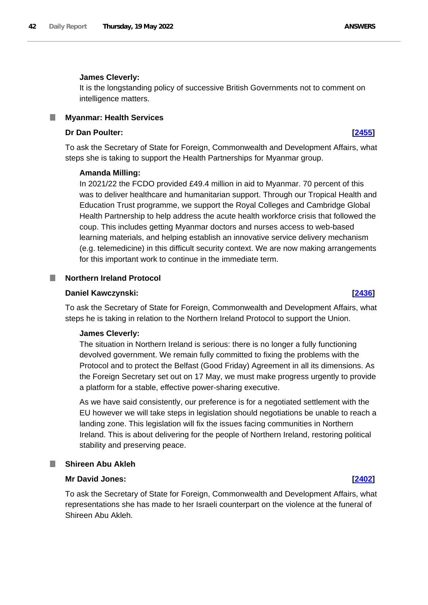# **James Cleverly:**

It is the longstanding policy of successive British Governments not to comment on intelligence matters.

# **Myanmar: Health Services**

## **Dr Dan Poulter: [\[2455\]](http://www.parliament.uk/business/publications/written-questions-answers-statements/written-question/Commons/2022-05-16/2455)**

To ask the Secretary of State for Foreign, Commonwealth and Development Affairs, what steps she is taking to support the Health Partnerships for Myanmar group.

## **Amanda Milling:**

In 2021/22 the FCDO provided £49.4 million in aid to Myanmar. 70 percent of this was to deliver healthcare and humanitarian support. Through our Tropical Health and Education Trust programme, we support the Royal Colleges and Cambridge Global Health Partnership to help address the acute health workforce crisis that followed the coup. This includes getting Myanmar doctors and nurses access to web-based learning materials, and helping establish an innovative service delivery mechanism (e.g. telemedicine) in this difficult security context. We are now making arrangements for this important work to continue in the immediate term.

# **Northern Ireland Protocol**

### **Daniel Kawczynski: [\[2436\]](http://www.parliament.uk/business/publications/written-questions-answers-statements/written-question/Commons/2022-05-16/2436)**

To ask the Secretary of State for Foreign, Commonwealth and Development Affairs, what steps he is taking in relation to the Northern Ireland Protocol to support the Union.

# **James Cleverly:**

The situation in Northern Ireland is serious: there is no longer a fully functioning devolved government. We remain fully committed to fixing the problems with the Protocol and to protect the Belfast (Good Friday) Agreement in all its dimensions. As the Foreign Secretary set out on 17 May, we must make progress urgently to provide a platform for a stable, effective power-sharing executive.

As we have said consistently, our preference is for a negotiated settlement with the EU however we will take steps in legislation should negotiations be unable to reach a landing zone. This legislation will fix the issues facing communities in Northern Ireland. This is about delivering for the people of Northern Ireland, restoring political stability and preserving peace.

### **Shireen Abu Akleh**

# **Mr David Jones: [\[2402\]](http://www.parliament.uk/business/publications/written-questions-answers-statements/written-question/Commons/2022-05-16/2402)**

To ask the Secretary of State for Foreign, Commonwealth and Development Affairs, what representations she has made to her Israeli counterpart on the violence at the funeral of Shireen Abu Akleh.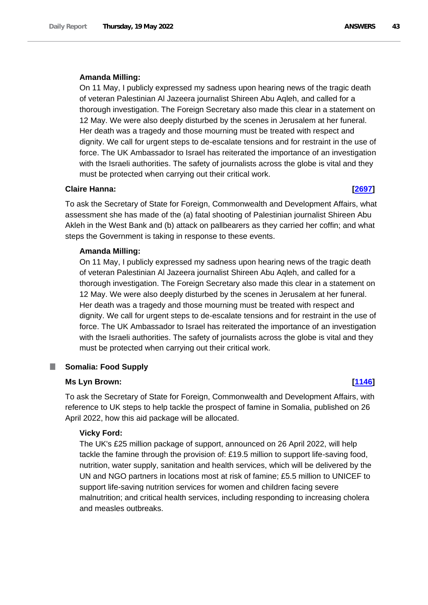### **Amanda Milling:**

On 11 May, I publicly expressed my sadness upon hearing news of the tragic death of veteran Palestinian Al Jazeera journalist Shireen Abu Aqleh, and called for a thorough investigation. The Foreign Secretary also made this clear in a statement on 12 May. We were also deeply disturbed by the scenes in Jerusalem at her funeral. Her death was a tragedy and those mourning must be treated with respect and dignity. We call for urgent steps to de-escalate tensions and for restraint in the use of force. The UK Ambassador to Israel has reiterated the importance of an investigation with the Israeli authorities. The safety of journalists across the globe is vital and they must be protected when carrying out their critical work.

### **Claire Hanna: [\[2697\]](http://www.parliament.uk/business/publications/written-questions-answers-statements/written-question/Commons/2022-05-16/2697)**

To ask the Secretary of State for Foreign, Commonwealth and Development Affairs, what assessment she has made of the (a) fatal shooting of Palestinian journalist Shireen Abu Akleh in the West Bank and (b) attack on pallbearers as they carried her coffin; and what steps the Government is taking in response to these events.

## **Amanda Milling:**

On 11 May, I publicly expressed my sadness upon hearing news of the tragic death of veteran Palestinian Al Jazeera journalist Shireen Abu Aqleh, and called for a thorough investigation. The Foreign Secretary also made this clear in a statement on 12 May. We were also deeply disturbed by the scenes in Jerusalem at her funeral. Her death was a tragedy and those mourning must be treated with respect and dignity. We call for urgent steps to de-escalate tensions and for restraint in the use of force. The UK Ambassador to Israel has reiterated the importance of an investigation with the Israeli authorities. The safety of journalists across the globe is vital and they must be protected when carrying out their critical work.

## **Somalia: Food Supply**

### **Ms Lyn Brown: [\[1146\]](http://www.parliament.uk/business/publications/written-questions-answers-statements/written-question/Commons/2022-05-12/1146)**

To ask the Secretary of State for Foreign, Commonwealth and Development Affairs, with reference to UK steps to help tackle the prospect of famine in Somalia, published on 26 April 2022, how this aid package will be allocated.

### **Vicky Ford:**

The UK's £25 million package of support, announced on 26 April 2022, will help tackle the famine through the provision of: £19.5 million to support life-saving food, nutrition, water supply, sanitation and health services, which will be delivered by the UN and NGO partners in locations most at risk of famine; £5.5 million to UNICEF to support life-saving nutrition services for women and children facing severe malnutrition; and critical health services, including responding to increasing cholera and measles outbreaks.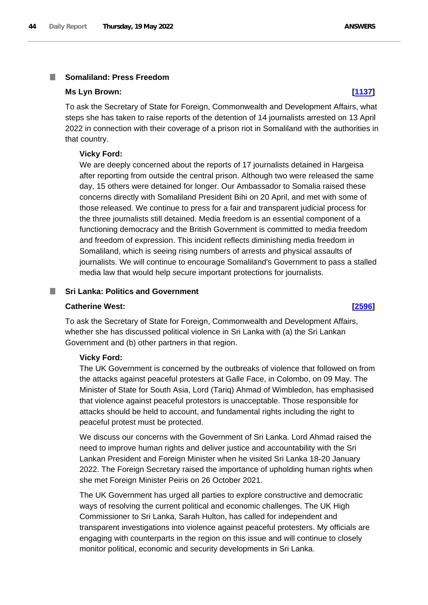### **Somaliland: Press Freedom** T.

### **Ms Lyn Brown: [\[1137\]](http://www.parliament.uk/business/publications/written-questions-answers-statements/written-question/Commons/2022-05-12/1137)**

To ask the Secretary of State for Foreign, Commonwealth and Development Affairs, what steps she has taken to raise reports of the detention of 14 journalists arrested on 13 April 2022 in connection with their coverage of a prison riot in Somaliland with the authorities in that country.

# **Vicky Ford:**

We are deeply concerned about the reports of 17 journalists detained in Hargeisa after reporting from outside the central prison. Although two were released the same day, 15 others were detained for longer. Our Ambassador to Somalia raised these concerns directly with Somaliland President Bihi on 20 April, and met with some of those released. We continue to press for a fair and transparent judicial process for the three journalists still detained. Media freedom is an essential component of a functioning democracy and the British Government is committed to media freedom and freedom of expression. This incident reflects diminishing media freedom in Somaliland, which is seeing rising numbers of arrests and physical assaults of journalists. We will continue to encourage Somaliland's Government to pass a stalled media law that would help secure important protections for journalists.

### **Sri Lanka: Politics and Government** T.

# **Catherine West: [\[2596\]](http://www.parliament.uk/business/publications/written-questions-answers-statements/written-question/Commons/2022-05-16/2596)**

To ask the Secretary of State for Foreign, Commonwealth and Development Affairs, whether she has discussed political violence in Sri Lanka with (a) the Sri Lankan Government and (b) other partners in that region.

# **Vicky Ford:**

The UK Government is concerned by the outbreaks of violence that followed on from the attacks against peaceful protesters at Galle Face, in Colombo, on 09 May. The Minister of State for South Asia, Lord (Tariq) Ahmad of Wimbledon, has emphasised that violence against peaceful protestors is unacceptable. Those responsible for attacks should be held to account, and fundamental rights including the right to peaceful protest must be protected.

We discuss our concerns with the Government of Sri Lanka. Lord Ahmad raised the need to improve human rights and deliver justice and accountability with the Sri Lankan President and Foreign Minister when he visited Sri Lanka 18-20 January 2022. The Foreign Secretary raised the importance of upholding human rights when she met Foreign Minister Peiris on 26 October 2021.

The UK Government has urged all parties to explore constructive and democratic ways of resolving the current political and economic challenges. The UK High Commissioner to Sri Lanka, Sarah Hulton, has called for independent and transparent investigations into violence against peaceful protesters. My officials are engaging with counterparts in the region on this issue and will continue to closely monitor political, economic and security developments in Sri Lanka.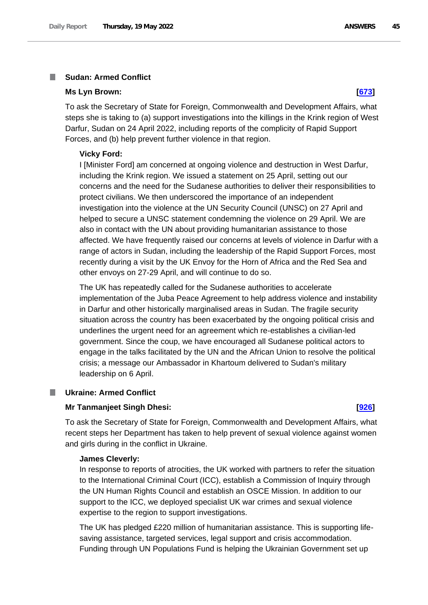### **Sudan: Armed Conflict** п

### **Ms Lyn Brown: [\[673\]](http://www.parliament.uk/business/publications/written-questions-answers-statements/written-question/Commons/2022-05-11/673)**

To ask the Secretary of State for Foreign, Commonwealth and Development Affairs, what steps she is taking to (a) support investigations into the killings in the Krink region of West Darfur, Sudan on 24 April 2022, including reports of the complicity of Rapid Support Forces, and (b) help prevent further violence in that region.

# **Vicky Ford:**

I [Minister Ford] am concerned at ongoing violence and destruction in West Darfur, including the Krink region. We issued a statement on 25 April, setting out our concerns and the need for the Sudanese authorities to deliver their responsibilities to protect civilians. We then underscored the importance of an independent investigation into the violence at the UN Security Council (UNSC) on 27 April and helped to secure a UNSC statement condemning the violence on 29 April. We are also in contact with the UN about providing humanitarian assistance to those affected. We have frequently raised our concerns at levels of violence in Darfur with a range of actors in Sudan, including the leadership of the Rapid Support Forces, most recently during a visit by the UK Envoy for the Horn of Africa and the Red Sea and other envoys on 27-29 April, and will continue to do so.

The UK has repeatedly called for the Sudanese authorities to accelerate implementation of the Juba Peace Agreement to help address violence and instability in Darfur and other historically marginalised areas in Sudan. The fragile security situation across the country has been exacerbated by the ongoing political crisis and underlines the urgent need for an agreement which re-establishes a civilian-led government. Since the coup, we have encouraged all Sudanese political actors to engage in the talks facilitated by the UN and the African Union to resolve the political crisis; a message our Ambassador in Khartoum delivered to Sudan's military leadership on 6 April.

### T. **Ukraine: Armed Conflict**

### **Mr Tanmanjeet Singh Dhesi: [\[926\]](http://www.parliament.uk/business/publications/written-questions-answers-statements/written-question/Commons/2022-05-11/926)**

To ask the Secretary of State for Foreign, Commonwealth and Development Affairs, what recent steps her Department has taken to help prevent of sexual violence against women and girls during in the conflict in Ukraine.

# **James Cleverly:**

In response to reports of atrocities, the UK worked with partners to refer the situation to the International Criminal Court (ICC), establish a Commission of Inquiry through the UN Human Rights Council and establish an OSCE Mission. In addition to our support to the ICC, we deployed specialist UK war crimes and sexual violence expertise to the region to support investigations.

The UK has pledged £220 million of humanitarian assistance. This is supporting lifesaving assistance, targeted services, legal support and crisis accommodation. Funding through UN Populations Fund is helping the Ukrainian Government set up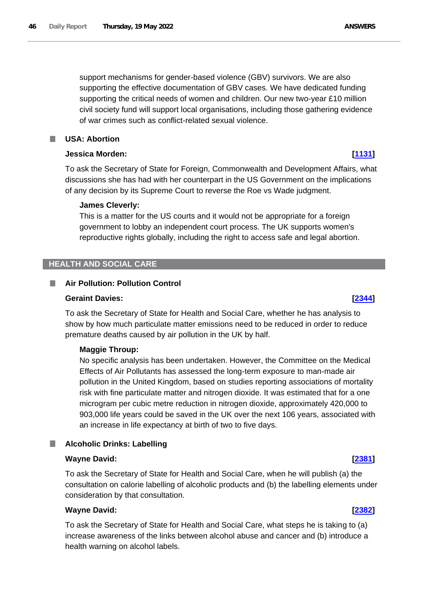support mechanisms for gender-based violence (GBV) survivors. We are also supporting the effective documentation of GBV cases. We have dedicated funding supporting the critical needs of women and children. Our new two-year £10 million civil society fund will support local organisations, including those gathering evidence of war crimes such as conflict-related sexual violence.

# **USA: Abortion**

# **Jessica Morden: [\[1131\]](http://www.parliament.uk/business/publications/written-questions-answers-statements/written-question/Commons/2022-05-12/1131)**

To ask the Secretary of State for Foreign, Commonwealth and Development Affairs, what discussions she has had with her counterpart in the US Government on the implications of any decision by its Supreme Court to reverse the Roe vs Wade judgment.

# **James Cleverly:**

This is a matter for the US courts and it would not be appropriate for a foreign government to lobby an independent court process. The UK supports women's reproductive rights globally, including the right to access safe and legal abortion.

# **HEALTH AND SOCIAL CARE**

### **Air Pollution: Pollution Control** a an

# **Geraint Davies: [\[2344\]](http://www.parliament.uk/business/publications/written-questions-answers-statements/written-question/Commons/2022-05-16/2344)**

To ask the Secretary of State for Health and Social Care, whether he has analysis to show by how much particulate matter emissions need to be reduced in order to reduce premature deaths caused by air pollution in the UK by half.

# **Maggie Throup:**

No specific analysis has been undertaken. However, the Committee on the Medical Effects of Air Pollutants has assessed the long-term exposure to man-made air pollution in the United Kingdom, based on studies reporting associations of mortality risk with fine particulate matter and nitrogen dioxide. It was estimated that for a one microgram per cubic metre reduction in nitrogen dioxide, approximately 420,000 to 903,000 life years could be saved in the UK over the next 106 years, associated with an increase in life expectancy at birth of two to five days.

### **Alcoholic Drinks: Labelling** T.

# **Wayne David: [\[2381\]](http://www.parliament.uk/business/publications/written-questions-answers-statements/written-question/Commons/2022-05-16/2381)**

To ask the Secretary of State for Health and Social Care, when he will publish (a) the consultation on calorie labelling of alcoholic products and (b) the labelling elements under consideration by that consultation.

# **Wayne David: [\[2382\]](http://www.parliament.uk/business/publications/written-questions-answers-statements/written-question/Commons/2022-05-16/2382)**

To ask the Secretary of State for Health and Social Care, what steps he is taking to (a) increase awareness of the links between alcohol abuse and cancer and (b) introduce a health warning on alcohol labels.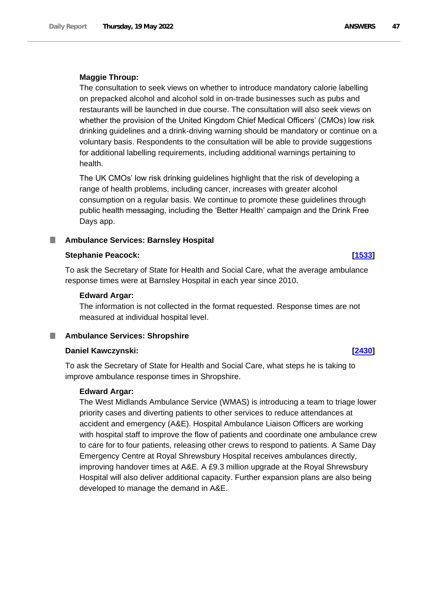# **Maggie Throup:**

The consultation to seek views on whether to introduce mandatory calorie labelling on prepacked alcohol and alcohol sold in on-trade businesses such as pubs and restaurants will be launched in due course. The consultation will also seek views on whether the provision of the United Kingdom Chief Medical Officers' (CMOs) low risk drinking guidelines and a drink-driving warning should be mandatory or continue on a voluntary basis. Respondents to the consultation will be able to provide suggestions for additional labelling requirements, including additional warnings pertaining to health.

The UK CMOs' low risk drinking guidelines highlight that the risk of developing a range of health problems, including cancer, increases with greater alcohol consumption on a regular basis. We continue to promote these guidelines through public health messaging, including the 'Better Health' campaign and the Drink Free Days app.

# **Ambulance Services: Barnsley Hospital**

## **Stephanie Peacock: [\[1533\]](http://www.parliament.uk/business/publications/written-questions-answers-statements/written-question/Commons/2022-05-13/1533)**

To ask the Secretary of State for Health and Social Care, what the average ambulance response times were at Barnsley Hospital in each year since 2010.

## **Edward Argar:**

The information is not collected in the format requested. Response times are not measured at individual hospital level.

# **Ambulance Services: Shropshire**

# **Daniel Kawczynski: [\[2430\]](http://www.parliament.uk/business/publications/written-questions-answers-statements/written-question/Commons/2022-05-16/2430)**

To ask the Secretary of State for Health and Social Care, what steps he is taking to improve ambulance response times in Shropshire.

### **Edward Argar:**

The West Midlands Ambulance Service (WMAS) is introducing a team to triage lower priority cases and diverting patients to other services to reduce attendances at accident and emergency (A&E). Hospital Ambulance Liaison Officers are working with hospital staff to improve the flow of patients and coordinate one ambulance crew to care for to four patients, releasing other crews to respond to patients. A Same Day Emergency Centre at Royal Shrewsbury Hospital receives ambulances directly, improving handover times at A&E. A £9.3 million upgrade at the Royal Shrewsbury Hospital will also deliver additional capacity. Further expansion plans are also being developed to manage the demand in A&E.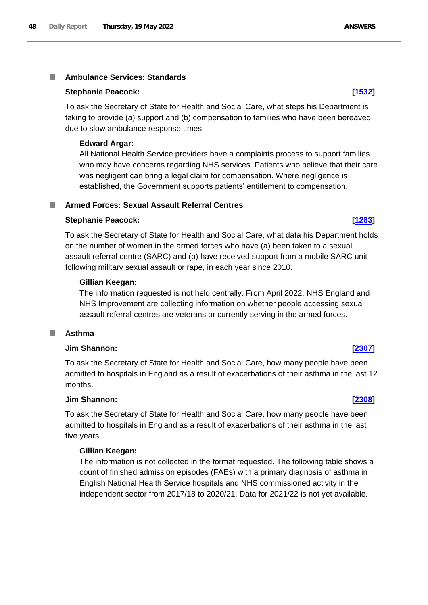### **Ambulance Services: Standards I**

# **Stephanie Peacock: [\[1532\]](http://www.parliament.uk/business/publications/written-questions-answers-statements/written-question/Commons/2022-05-13/1532)**

To ask the Secretary of State for Health and Social Care, what steps his Department is taking to provide (a) support and (b) compensation to families who have been bereaved due to slow ambulance response times.

# **Edward Argar:**

All National Health Service providers have a complaints process to support families who may have concerns regarding NHS services. Patients who believe that their care was negligent can bring a legal claim for compensation. Where negligence is established, the Government supports patients' entitlement to compensation.

# **Armed Forces: Sexual Assault Referral Centres**

# **Stephanie Peacock: [\[1283\]](http://www.parliament.uk/business/publications/written-questions-answers-statements/written-question/Commons/2022-05-12/1283)**

To ask the Secretary of State for Health and Social Care, what data his Department holds on the number of women in the armed forces who have (a) been taken to a sexual assault referral centre (SARC) and (b) have received support from a mobile SARC unit following military sexual assault or rape, in each year since 2010.

# **Gillian Keegan:**

The information requested is not held centrally. From April 2022, NHS England and NHS Improvement are collecting information on whether people accessing sexual assault referral centres are veterans or currently serving in the armed forces.

### **Asthma** T.

## **Jim Shannon: [\[2307\]](http://www.parliament.uk/business/publications/written-questions-answers-statements/written-question/Commons/2022-05-16/2307)**

To ask the Secretary of State for Health and Social Care, how many people have been admitted to hospitals in England as a result of exacerbations of their asthma in the last 12 months.

### **Jim Shannon: [\[2308\]](http://www.parliament.uk/business/publications/written-questions-answers-statements/written-question/Commons/2022-05-16/2308)**

To ask the Secretary of State for Health and Social Care, how many people have been admitted to hospitals in England as a result of exacerbations of their asthma in the last five years.

# **Gillian Keegan:**

The information is not collected in the format requested. The following table shows a count of finished admission episodes (FAEs) with a primary diagnosis of asthma in English National Health Service hospitals and NHS commissioned activity in the independent sector from 2017/18 to 2020/21. Data for 2021/22 is not yet available.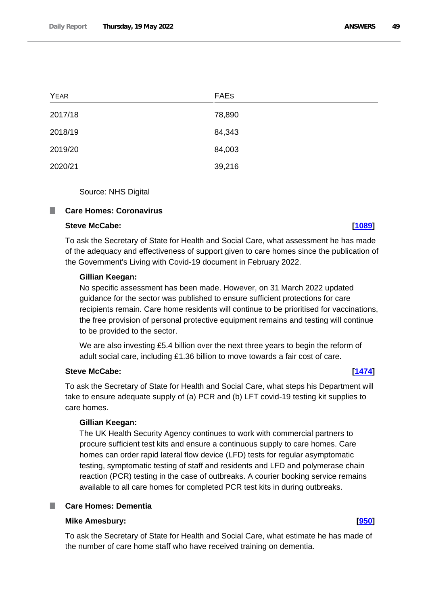| <b>YEAR</b> | <b>FAES</b> |
|-------------|-------------|
| 2017/18     | 78,890      |
| 2018/19     | 84,343      |
| 2019/20     | 84,003      |
| 2020/21     | 39,216      |

Source: NHS Digital

### **I Care Homes: Coronavirus**

# **Steve McCabe: [\[1089\]](http://www.parliament.uk/business/publications/written-questions-answers-statements/written-question/Commons/2022-05-12/1089)**

To ask the Secretary of State for Health and Social Care, what assessment he has made of the adequacy and effectiveness of support given to care homes since the publication of the Government's Living with Covid-19 document in February 2022.

### **Gillian Keegan:**

No specific assessment has been made. However, on 31 March 2022 updated guidance for the sector was published to ensure sufficient protections for care recipients remain. Care home residents will continue to be prioritised for vaccinations, the free provision of personal protective equipment remains and testing will continue to be provided to the sector.

We are also investing £5.4 billion over the next three years to begin the reform of adult social care, including £1.36 billion to move towards a fair cost of care.

# **Steve McCabe: [\[1474\]](http://www.parliament.uk/business/publications/written-questions-answers-statements/written-question/Commons/2022-05-13/1474)**

To ask the Secretary of State for Health and Social Care, what steps his Department will take to ensure adequate supply of (a) PCR and (b) LFT covid-19 testing kit supplies to care homes.

## **Gillian Keegan:**

The UK Health Security Agency continues to work with commercial partners to procure sufficient test kits and ensure a continuous supply to care homes. Care homes can order rapid lateral flow device (LFD) tests for regular asymptomatic testing, symptomatic testing of staff and residents and LFD and polymerase chain reaction (PCR) testing in the case of outbreaks. A courier booking service remains available to all care homes for completed PCR test kits in during outbreaks.

# **Care Homes: Dementia**

# **Mike Amesbury: [\[950\]](http://www.parliament.uk/business/publications/written-questions-answers-statements/written-question/Commons/2022-05-11/950)**

To ask the Secretary of State for Health and Social Care, what estimate he has made of the number of care home staff who have received training on dementia.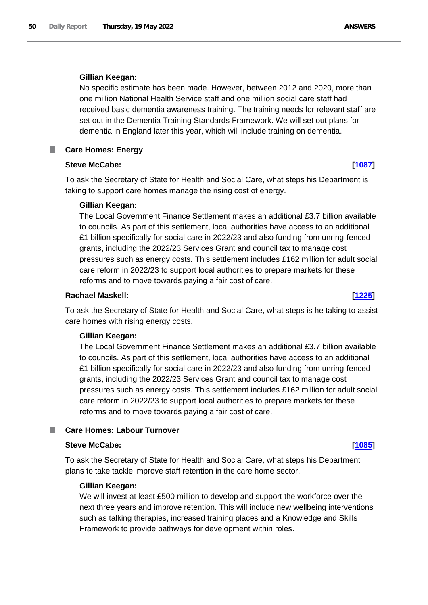# **Gillian Keegan:**

No specific estimate has been made. However, between 2012 and 2020, more than one million National Health Service staff and one million social care staff had received basic dementia awareness training. The training needs for relevant staff are set out in the Dementia Training Standards Framework. We will set out plans for dementia in England later this year, which will include training on dementia.

### **Care Homes: Energy** ш

# **Steve McCabe: [\[1087\]](http://www.parliament.uk/business/publications/written-questions-answers-statements/written-question/Commons/2022-05-12/1087)**

To ask the Secretary of State for Health and Social Care, what steps his Department is taking to support care homes manage the rising cost of energy.

# **Gillian Keegan:**

The Local Government Finance Settlement makes an additional £3.7 billion available to councils. As part of this settlement, local authorities have access to an additional £1 billion specifically for social care in 2022/23 and also funding from unring-fenced grants, including the 2022/23 Services Grant and council tax to manage cost pressures such as energy costs. This settlement includes £162 million for adult social care reform in 2022/23 to support local authorities to prepare markets for these reforms and to move towards paying a fair cost of care.

# **Rachael Maskell: [\[1225\]](http://www.parliament.uk/business/publications/written-questions-answers-statements/written-question/Commons/2022-05-12/1225)**

To ask the Secretary of State for Health and Social Care, what steps is he taking to assist care homes with rising energy costs.

# **Gillian Keegan:**

The Local Government Finance Settlement makes an additional £3.7 billion available to councils. As part of this settlement, local authorities have access to an additional £1 billion specifically for social care in 2022/23 and also funding from unring-fenced grants, including the 2022/23 Services Grant and council tax to manage cost pressures such as energy costs. This settlement includes £162 million for adult social care reform in 2022/23 to support local authorities to prepare markets for these reforms and to move towards paying a fair cost of care.

# **Care Homes: Labour Turnover**

# **Steve McCabe: [\[1085\]](http://www.parliament.uk/business/publications/written-questions-answers-statements/written-question/Commons/2022-05-12/1085)**

To ask the Secretary of State for Health and Social Care, what steps his Department plans to take tackle improve staff retention in the care home sector.

# **Gillian Keegan:**

We will invest at least £500 million to develop and support the workforce over the next three years and improve retention. This will include new wellbeing interventions such as talking therapies, increased training places and a Knowledge and Skills Framework to provide pathways for development within roles.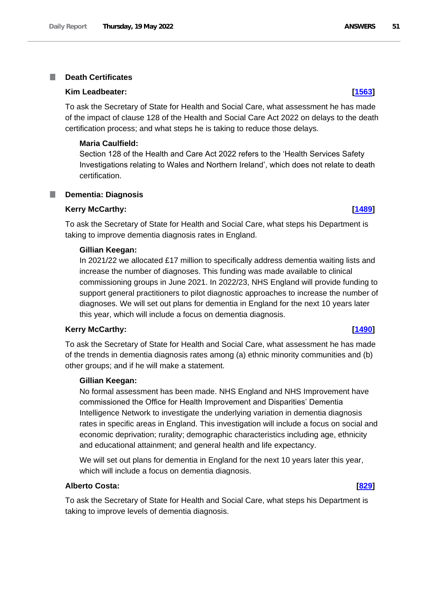### **Death Certificates** T.

## **Kim Leadbeater: [\[1563\]](http://www.parliament.uk/business/publications/written-questions-answers-statements/written-question/Commons/2022-05-13/1563)**

To ask the Secretary of State for Health and Social Care, what assessment he has made of the impact of clause 128 of the Health and Social Care Act 2022 on delays to the death certification process; and what steps he is taking to reduce those delays.

### **Maria Caulfield:**

Section 128 of the Health and Care Act 2022 refers to the 'Health Services Safety Investigations relating to Wales and Northern Ireland', which does not relate to death certification.

### **Dementia: Diagnosis** ш

### **Kerry McCarthy: [\[1489\]](http://www.parliament.uk/business/publications/written-questions-answers-statements/written-question/Commons/2022-05-13/1489)**

To ask the Secretary of State for Health and Social Care, what steps his Department is taking to improve dementia diagnosis rates in England.

### **Gillian Keegan:**

In 2021/22 we allocated £17 million to specifically address dementia waiting lists and increase the number of diagnoses. This funding was made available to clinical commissioning groups in June 2021. In 2022/23, NHS England will provide funding to support general practitioners to pilot diagnostic approaches to increase the number of diagnoses. We will set out plans for dementia in England for the next 10 years later this year, which will include a focus on dementia diagnosis.

## **Kerry McCarthy: [\[1490\]](http://www.parliament.uk/business/publications/written-questions-answers-statements/written-question/Commons/2022-05-13/1490)**

To ask the Secretary of State for Health and Social Care, what assessment he has made of the trends in dementia diagnosis rates among (a) ethnic minority communities and (b) other groups; and if he will make a statement.

## **Gillian Keegan:**

No formal assessment has been made. NHS England and NHS Improvement have commissioned the Office for Health Improvement and Disparities' Dementia Intelligence Network to investigate the underlying variation in dementia diagnosis rates in specific areas in England. This investigation will include a focus on social and economic deprivation; rurality; demographic characteristics including age, ethnicity and educational attainment; and general health and life expectancy.

We will set out plans for dementia in England for the next 10 years later this year, which will include a focus on dementia diagnosis.

## **Alberto Costa: [\[829\]](http://www.parliament.uk/business/publications/written-questions-answers-statements/written-question/Commons/2022-05-11/829)**

To ask the Secretary of State for Health and Social Care, what steps his Department is taking to improve levels of dementia diagnosis.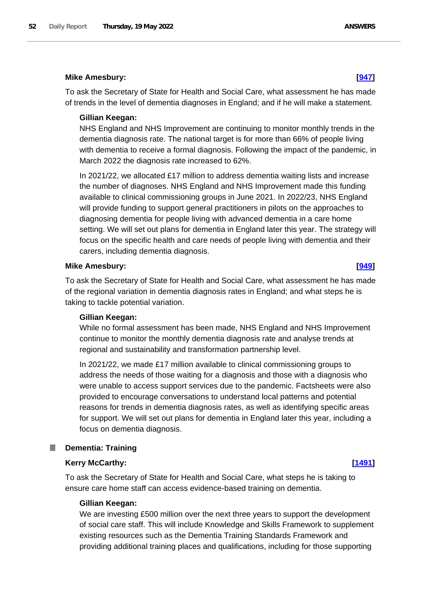## **Mike Amesbury: [\[947\]](http://www.parliament.uk/business/publications/written-questions-answers-statements/written-question/Commons/2022-05-11/947)**

To ask the Secretary of State for Health and Social Care, what assessment he has made of trends in the level of dementia diagnoses in England; and if he will make a statement.

## **Gillian Keegan:**

NHS England and NHS Improvement are continuing to monitor monthly trends in the dementia diagnosis rate. The national target is for more than 66% of people living with dementia to receive a formal diagnosis. Following the impact of the pandemic, in March 2022 the diagnosis rate increased to 62%.

In 2021/22, we allocated £17 million to address dementia waiting lists and increase the number of diagnoses. NHS England and NHS Improvement made this funding available to clinical commissioning groups in June 2021. In 2022/23, NHS England will provide funding to support general practitioners in pilots on the approaches to diagnosing dementia for people living with advanced dementia in a care home setting. We will set out plans for dementia in England later this year. The strategy will focus on the specific health and care needs of people living with dementia and their carers, including dementia diagnosis.

### **Mike Amesbury: [\[949\]](http://www.parliament.uk/business/publications/written-questions-answers-statements/written-question/Commons/2022-05-11/949)**

To ask the Secretary of State for Health and Social Care, what assessment he has made of the regional variation in dementia diagnosis rates in England; and what steps he is taking to tackle potential variation.

### **Gillian Keegan:**

While no formal assessment has been made, NHS England and NHS Improvement continue to monitor the monthly dementia diagnosis rate and analyse trends at regional and sustainability and transformation partnership level.

In 2021/22, we made £17 million available to clinical commissioning groups to address the needs of those waiting for a diagnosis and those with a diagnosis who were unable to access support services due to the pandemic. Factsheets were also provided to encourage conversations to understand local patterns and potential reasons for trends in dementia diagnosis rates, as well as identifying specific areas for support. We will set out plans for dementia in England later this year, including a focus on dementia diagnosis.

### **Dementia: Training**

### **Kerry McCarthy: [\[1491\]](http://www.parliament.uk/business/publications/written-questions-answers-statements/written-question/Commons/2022-05-13/1491)**

To ask the Secretary of State for Health and Social Care, what steps he is taking to ensure care home staff can access evidence-based training on dementia.

## **Gillian Keegan:**

We are investing £500 million over the next three years to support the development of social care staff. This will include Knowledge and Skills Framework to supplement existing resources such as the Dementia Training Standards Framework and providing additional training places and qualifications, including for those supporting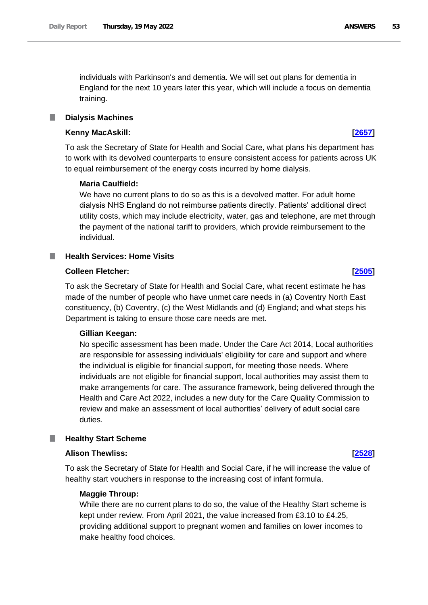individuals with Parkinson's and dementia. We will set out plans for dementia in England for the next 10 years later this year, which will include a focus on dementia training.

### **Dialysis Machines** L.

## **Kenny MacAskill: [\[2657\]](http://www.parliament.uk/business/publications/written-questions-answers-statements/written-question/Commons/2022-05-16/2657)**

To ask the Secretary of State for Health and Social Care, what plans his department has to work with its devolved counterparts to ensure consistent access for patients across UK to equal reimbursement of the energy costs incurred by home dialysis.

## **Maria Caulfield:**

We have no current plans to do so as this is a devolved matter. For adult home dialysis NHS England do not reimburse patients directly. Patients' additional direct utility costs, which may include electricity, water, gas and telephone, are met through the payment of the national tariff to providers, which provide reimbursement to the individual.

# **Health Services: Home Visits**

## **Colleen Fletcher: [\[2505\]](http://www.parliament.uk/business/publications/written-questions-answers-statements/written-question/Commons/2022-05-16/2505)**

To ask the Secretary of State for Health and Social Care, what recent estimate he has made of the number of people who have unmet care needs in (a) Coventry North East constituency, (b) Coventry, (c) the West Midlands and (d) England; and what steps his Department is taking to ensure those care needs are met.

# **Gillian Keegan:**

No specific assessment has been made. Under the Care Act 2014, Local authorities are responsible for assessing individuals' eligibility for care and support and where the individual is eligible for financial support, for meeting those needs. Where individuals are not eligible for financial support, local authorities may assist them to make arrangements for care. The assurance framework, being delivered through the Health and Care Act 2022, includes a new duty for the Care Quality Commission to review and make an assessment of local authorities' delivery of adult social care duties.

### **Healthy Start Scheme** a an

# **Alison Thewliss: [\[2528\]](http://www.parliament.uk/business/publications/written-questions-answers-statements/written-question/Commons/2022-05-16/2528)**

To ask the Secretary of State for Health and Social Care, if he will increase the value of healthy start vouchers in response to the increasing cost of infant formula.

# **Maggie Throup:**

While there are no current plans to do so, the value of the Healthy Start scheme is kept under review. From April 2021, the value increased from £3.10 to £4.25, providing additional support to pregnant women and families on lower incomes to make healthy food choices.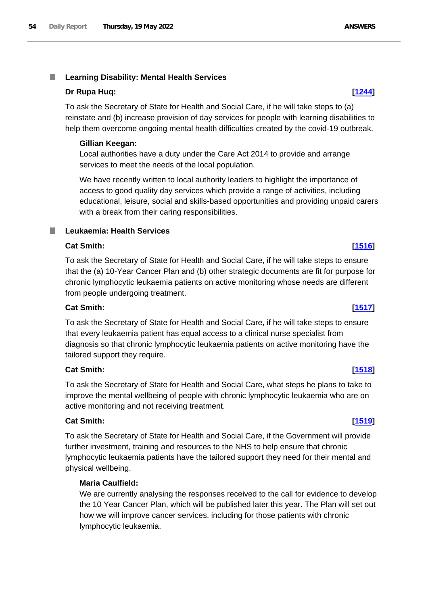### T. **Learning Disability: Mental Health Services**

# **Dr Rupa Huq: [\[1244\]](http://www.parliament.uk/business/publications/written-questions-answers-statements/written-question/Commons/2022-05-12/1244)**

To ask the Secretary of State for Health and Social Care, if he will take steps to (a) reinstate and (b) increase provision of day services for people with learning disabilities to help them overcome ongoing mental health difficulties created by the covid-19 outbreak.

# **Gillian Keegan:**

Local authorities have a duty under the Care Act 2014 to provide and arrange services to meet the needs of the local population.

We have recently written to local authority leaders to highlight the importance of access to good quality day services which provide a range of activities, including educational, leisure, social and skills-based opportunities and providing unpaid carers with a break from their caring responsibilities.

### T. **Leukaemia: Health Services**

# **Cat Smith: [\[1516\]](http://www.parliament.uk/business/publications/written-questions-answers-statements/written-question/Commons/2022-05-13/1516)**

To ask the Secretary of State for Health and Social Care, if he will take steps to ensure that the (a) 10-Year Cancer Plan and (b) other strategic documents are fit for purpose for chronic lymphocytic leukaemia patients on active monitoring whose needs are different from people undergoing treatment.

# **Cat Smith: [\[1517\]](http://www.parliament.uk/business/publications/written-questions-answers-statements/written-question/Commons/2022-05-13/1517)**

To ask the Secretary of State for Health and Social Care, if he will take steps to ensure that every leukaemia patient has equal access to a clinical nurse specialist from diagnosis so that chronic lymphocytic leukaemia patients on active monitoring have the tailored support they require.

# **Cat Smith: [\[1518\]](http://www.parliament.uk/business/publications/written-questions-answers-statements/written-question/Commons/2022-05-13/1518)**

To ask the Secretary of State for Health and Social Care, what steps he plans to take to improve the mental wellbeing of people with chronic lymphocytic leukaemia who are on active monitoring and not receiving treatment.

# **Cat Smith: [\[1519\]](http://www.parliament.uk/business/publications/written-questions-answers-statements/written-question/Commons/2022-05-13/1519)**

To ask the Secretary of State for Health and Social Care, if the Government will provide further investment, training and resources to the NHS to help ensure that chronic lymphocytic leukaemia patients have the tailored support they need for their mental and physical wellbeing.

# **Maria Caulfield:**

We are currently analysing the responses received to the call for evidence to develop the 10 Year Cancer Plan, which will be published later this year. The Plan will set out how we will improve cancer services, including for those patients with chronic lymphocytic leukaemia.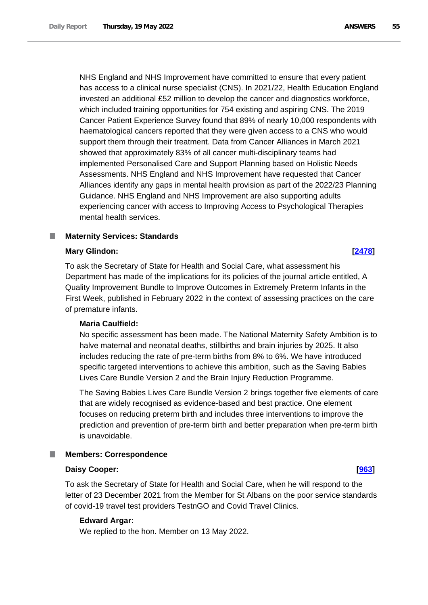NHS England and NHS Improvement have committed to ensure that every patient has access to a clinical nurse specialist (CNS). In 2021/22, Health Education England invested an additional £52 million to develop the cancer and diagnostics workforce, which included training opportunities for 754 existing and aspiring CNS. The 2019 Cancer Patient Experience Survey found that 89% of nearly 10,000 respondents with haematological cancers reported that they were given access to a CNS who would support them through their treatment. Data from Cancer Alliances in March 2021 showed that approximately 83% of all cancer multi-disciplinary teams had implemented Personalised Care and Support Planning based on Holistic Needs Assessments. NHS England and NHS Improvement have requested that Cancer Alliances identify any gaps in mental health provision as part of the 2022/23 Planning Guidance. NHS England and NHS Improvement are also supporting adults experiencing cancer with access to Improving Access to Psychological Therapies mental health services.

# **Maternity Services: Standards**

## **Mary Glindon: [\[2478\]](http://www.parliament.uk/business/publications/written-questions-answers-statements/written-question/Commons/2022-05-16/2478)**

To ask the Secretary of State for Health and Social Care, what assessment his Department has made of the implications for its policies of the journal article entitled, A Quality Improvement Bundle to Improve Outcomes in Extremely Preterm Infants in the First Week, published in February 2022 in the context of assessing practices on the care of premature infants.

# **Maria Caulfield:**

No specific assessment has been made. The National Maternity Safety Ambition is to halve maternal and neonatal deaths, stillbirths and brain injuries by 2025. It also includes reducing the rate of pre-term births from 8% to 6%. We have introduced specific targeted interventions to achieve this ambition, such as the Saving Babies Lives Care Bundle Version 2 and the Brain Injury Reduction Programme.

The Saving Babies Lives Care Bundle Version 2 brings together five elements of care that are widely recognised as evidence-based and best practice. One element focuses on reducing preterm birth and includes three interventions to improve the prediction and prevention of pre-term birth and better preparation when pre-term birth is unavoidable.

### **Members: Correspondence** ш

### **Daisy Cooper: [\[963\]](http://www.parliament.uk/business/publications/written-questions-answers-statements/written-question/Commons/2022-05-11/963)**

To ask the Secretary of State for Health and Social Care, when he will respond to the letter of 23 December 2021 from the Member for St Albans on the poor service standards of covid-19 travel test providers TestnGO and Covid Travel Clinics.

# **Edward Argar:**

We replied to the hon. Member on 13 May 2022.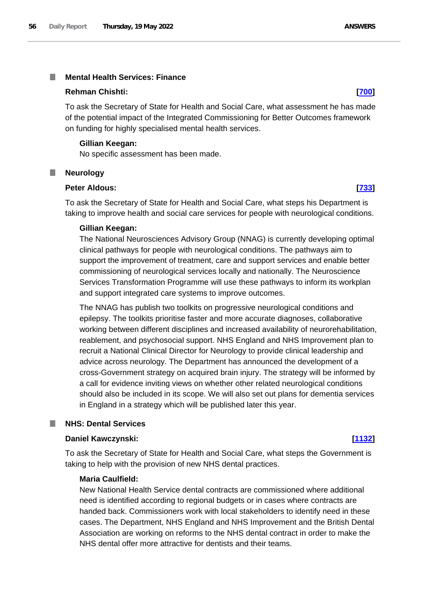### **Mental Health Services: Finance** I.

## **Rehman Chishti: [\[700\]](http://www.parliament.uk/business/publications/written-questions-answers-statements/written-question/Commons/2022-05-11/700)**

To ask the Secretary of State for Health and Social Care, what assessment he has made of the potential impact of the Integrated Commissioning for Better Outcomes framework on funding for highly specialised mental health services.

### **Gillian Keegan:**

No specific assessment has been made.

### **Neurology**

### **Peter Aldous: [\[733\]](http://www.parliament.uk/business/publications/written-questions-answers-statements/written-question/Commons/2022-05-11/733)**

To ask the Secretary of State for Health and Social Care, what steps his Department is taking to improve health and social care services for people with neurological conditions.

### **Gillian Keegan:**

The National Neurosciences Advisory Group (NNAG) is currently developing optimal clinical pathways for people with neurological conditions. The pathways aim to support the improvement of treatment, care and support services and enable better commissioning of neurological services locally and nationally. The Neuroscience Services Transformation Programme will use these pathways to inform its workplan and support integrated care systems to improve outcomes.

The NNAG has publish two toolkits on progressive neurological conditions and epilepsy. The toolkits prioritise faster and more accurate diagnoses, collaborative working between different disciplines and increased availability of neurorehabilitation, reablement, and psychosocial support. NHS England and NHS Improvement plan to recruit a National Clinical Director for Neurology to provide clinical leadership and advice across neurology. The Department has announced the development of a cross-Government strategy on acquired brain injury. The strategy will be informed by a call for evidence inviting views on whether other related neurological conditions should also be included in its scope. We will also set out plans for dementia services in England in a strategy which will be published later this year.

# **NHS: Dental Services**

### **Daniel Kawczynski: [\[1132\]](http://www.parliament.uk/business/publications/written-questions-answers-statements/written-question/Commons/2022-05-12/1132)**

To ask the Secretary of State for Health and Social Care, what steps the Government is taking to help with the provision of new NHS dental practices.

## **Maria Caulfield:**

New National Health Service dental contracts are commissioned where additional need is identified according to regional budgets or in cases where contracts are handed back. Commissioners work with local stakeholders to identify need in these cases. The Department, NHS England and NHS Improvement and the British Dental Association are working on reforms to the NHS dental contract in order to make the NHS dental offer more attractive for dentists and their teams.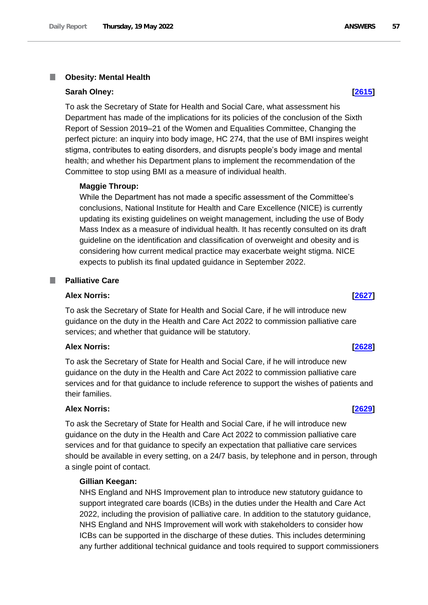### П **Obesity: Mental Health**

### **Sarah Olney: [\[2615\]](http://www.parliament.uk/business/publications/written-questions-answers-statements/written-question/Commons/2022-05-16/2615)**

To ask the Secretary of State for Health and Social Care, what assessment his Department has made of the implications for its policies of the conclusion of the Sixth Report of Session 2019–21 of the Women and Equalities Committee, Changing the perfect picture: an inquiry into body image, HC 274, that the use of BMI inspires weight stigma, contributes to eating disorders, and disrupts people's body image and mental health; and whether his Department plans to implement the recommendation of the Committee to stop using BMI as a measure of individual health.

## **Maggie Throup:**

While the Department has not made a specific assessment of the Committee's conclusions, National Institute for Health and Care Excellence (NICE) is currently updating its existing guidelines on weight management, including the use of Body Mass Index as a measure of individual health. It has recently consulted on its draft guideline on the identification and classification of overweight and obesity and is considering how current medical practice may exacerbate weight stigma. NICE expects to publish its final updated guidance in September 2022.

# **Palliative Care**

# **Alex Norris: [\[2627\]](http://www.parliament.uk/business/publications/written-questions-answers-statements/written-question/Commons/2022-05-16/2627)**

To ask the Secretary of State for Health and Social Care, if he will introduce new guidance on the duty in the Health and Care Act 2022 to commission palliative care services; and whether that guidance will be statutory.

### **Alex Norris: [\[2628\]](http://www.parliament.uk/business/publications/written-questions-answers-statements/written-question/Commons/2022-05-16/2628)**

To ask the Secretary of State for Health and Social Care, if he will introduce new guidance on the duty in the Health and Care Act 2022 to commission palliative care services and for that guidance to include reference to support the wishes of patients and their families.

# **Alex Norris: [\[2629\]](http://www.parliament.uk/business/publications/written-questions-answers-statements/written-question/Commons/2022-05-16/2629)**

To ask the Secretary of State for Health and Social Care, if he will introduce new guidance on the duty in the Health and Care Act 2022 to commission palliative care services and for that guidance to specify an expectation that palliative care services should be available in every setting, on a 24/7 basis, by telephone and in person, through a single point of contact.

## **Gillian Keegan:**

NHS England and NHS Improvement plan to introduce new statutory guidance to support integrated care boards (ICBs) in the duties under the Health and Care Act 2022, including the provision of palliative care. In addition to the statutory guidance, NHS England and NHS Improvement will work with stakeholders to consider how ICBs can be supported in the discharge of these duties. This includes determining any further additional technical guidance and tools required to support commissioners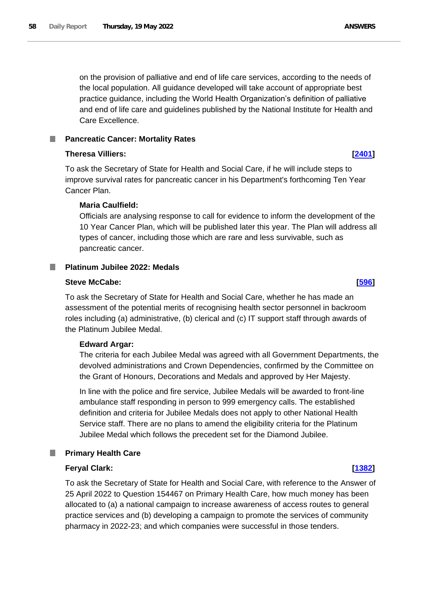on the provision of palliative and end of life care services, according to the needs of the local population. All guidance developed will take account of appropriate best practice guidance, including the World Health Organization's definition of palliative and end of life care and guidelines published by the National Institute for Health and Care Excellence.

# **Pancreatic Cancer: Mortality Rates**

# **Theresa Villiers: [\[2401\]](http://www.parliament.uk/business/publications/written-questions-answers-statements/written-question/Commons/2022-05-16/2401)**

To ask the Secretary of State for Health and Social Care, if he will include steps to improve survival rates for pancreatic cancer in his Department's forthcoming Ten Year Cancer Plan.

# **Maria Caulfield:**

Officials are analysing response to call for evidence to inform the development of the 10 Year Cancer Plan, which will be published later this year. The Plan will address all types of cancer, including those which are rare and less survivable, such as pancreatic cancer.

### **Platinum Jubilee 2022: Medals** T.

# **Steve McCabe: [\[596\]](http://www.parliament.uk/business/publications/written-questions-answers-statements/written-question/Commons/2022-05-11/596)**

To ask the Secretary of State for Health and Social Care, whether he has made an assessment of the potential merits of recognising health sector personnel in backroom roles including (a) administrative, (b) clerical and (c) IT support staff through awards of the Platinum Jubilee Medal.

# **Edward Argar:**

The criteria for each Jubilee Medal was agreed with all Government Departments, the devolved administrations and Crown Dependencies, confirmed by the Committee on the Grant of Honours, Decorations and Medals and approved by Her Majesty.

In line with the police and fire service, Jubilee Medals will be awarded to front-line ambulance staff responding in person to 999 emergency calls. The established definition and criteria for Jubilee Medals does not apply to other National Health Service staff. There are no plans to amend the eligibility criteria for the Platinum Jubilee Medal which follows the precedent set for the Diamond Jubilee.

### L. **Primary Health Care**

# **Feryal Clark: [\[1382\]](http://www.parliament.uk/business/publications/written-questions-answers-statements/written-question/Commons/2022-05-12/1382)**

To ask the Secretary of State for Health and Social Care, with reference to the Answer of 25 April 2022 to Question 154467 on Primary Health Care, how much money has been allocated to (a) a national campaign to increase awareness of access routes to general practice services and (b) developing a campaign to promote the services of community pharmacy in 2022-23; and which companies were successful in those tenders.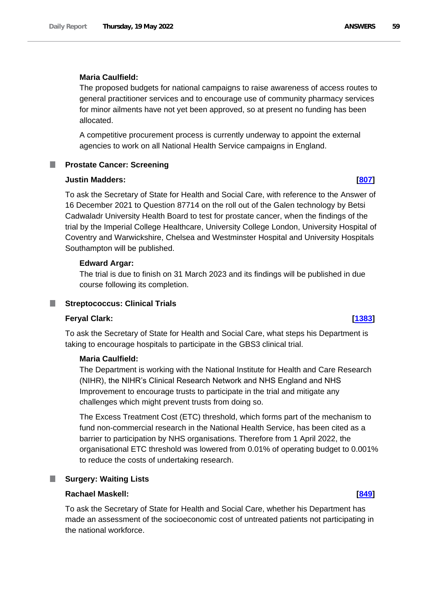# **Maria Caulfield:**

The proposed budgets for national campaigns to raise awareness of access routes to general practitioner services and to encourage use of community pharmacy services for minor ailments have not yet been approved, so at present no funding has been allocated.

A competitive procurement process is currently underway to appoint the external agencies to work on all National Health Service campaigns in England.

# **Prostate Cancer: Screening**

### **Justin Madders: [\[807\]](http://www.parliament.uk/business/publications/written-questions-answers-statements/written-question/Commons/2022-05-11/807)**

To ask the Secretary of State for Health and Social Care, with reference to the Answer of 16 December 2021 to Question 87714 on the roll out of the Galen technology by Betsi Cadwaladr University Health Board to test for prostate cancer, when the findings of the trial by the Imperial College Healthcare, University College London, University Hospital of Coventry and Warwickshire, Chelsea and Westminster Hospital and University Hospitals Southampton will be published.

## **Edward Argar:**

The trial is due to finish on 31 March 2023 and its findings will be published in due course following its completion.

### **Streptococcus: Clinical Trials** a a s

## **Feryal Clark: [\[1383\]](http://www.parliament.uk/business/publications/written-questions-answers-statements/written-question/Commons/2022-05-12/1383)**

To ask the Secretary of State for Health and Social Care, what steps his Department is taking to encourage hospitals to participate in the GBS3 clinical trial.

# **Maria Caulfield:**

The Department is working with the National Institute for Health and Care Research (NIHR), the NIHR's Clinical Research Network and NHS England and NHS Improvement to encourage trusts to participate in the trial and mitigate any challenges which might prevent trusts from doing so.

The Excess Treatment Cost (ETC) threshold, which forms part of the mechanism to fund non-commercial research in the National Health Service, has been cited as a barrier to participation by NHS organisations. Therefore from 1 April 2022, the organisational ETC threshold was lowered from 0.01% of operating budget to 0.001% to reduce the costs of undertaking research.

### **Surgery: Waiting Lists** a a s

## **Rachael Maskell: [\[849\]](http://www.parliament.uk/business/publications/written-questions-answers-statements/written-question/Commons/2022-05-11/849)**

To ask the Secretary of State for Health and Social Care, whether his Department has made an assessment of the socioeconomic cost of untreated patients not participating in the national workforce.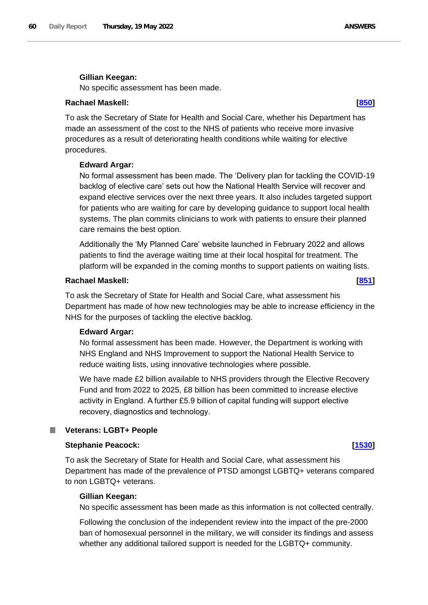## **Gillian Keegan:**

No specific assessment has been made.

# **Rachael Maskell: [\[850\]](http://www.parliament.uk/business/publications/written-questions-answers-statements/written-question/Commons/2022-05-11/850)**

To ask the Secretary of State for Health and Social Care, whether his Department has made an assessment of the cost to the NHS of patients who receive more invasive procedures as a result of deteriorating health conditions while waiting for elective procedures.

## **Edward Argar:**

No formal assessment has been made. The 'Delivery plan for tackling the COVID-19 backlog of elective care' sets out how the National Health Service will recover and expand elective services over the next three years. It also includes targeted support for patients who are waiting for care by developing guidance to support local health systems. The plan commits clinicians to work with patients to ensure their planned care remains the best option.

Additionally the 'My Planned Care' website launched in February 2022 and allows patients to find the average waiting time at their local hospital for treatment. The platform will be expanded in the coming months to support patients on waiting lists.

# **Rachael Maskell: [\[851\]](http://www.parliament.uk/business/publications/written-questions-answers-statements/written-question/Commons/2022-05-11/851)**

To ask the Secretary of State for Health and Social Care, what assessment his Department has made of how new technologies may be able to increase efficiency in the NHS for the purposes of tackling the elective backlog.

### **Edward Argar:**

No formal assessment has been made. However, the Department is working with NHS England and NHS Improvement to support the National Health Service to reduce waiting lists, using innovative technologies where possible.

We have made £2 billion available to NHS providers through the Elective Recovery Fund and from 2022 to 2025, £8 billion has been committed to increase elective activity in England. A further £5.9 billion of capital funding will support elective recovery, diagnostics and technology.

## **Veterans: LGBT+ People**

### **Stephanie Peacock: [\[1530\]](http://www.parliament.uk/business/publications/written-questions-answers-statements/written-question/Commons/2022-05-13/1530)**

To ask the Secretary of State for Health and Social Care, what assessment his Department has made of the prevalence of PTSD amongst LGBTQ+ veterans compared to non LGBTQ+ veterans.

### **Gillian Keegan:**

No specific assessment has been made as this information is not collected centrally.

Following the conclusion of the independent review into the impact of the pre-2000 ban of homosexual personnel in the military, we will consider its findings and assess whether any additional tailored support is needed for the LGBTQ+ community.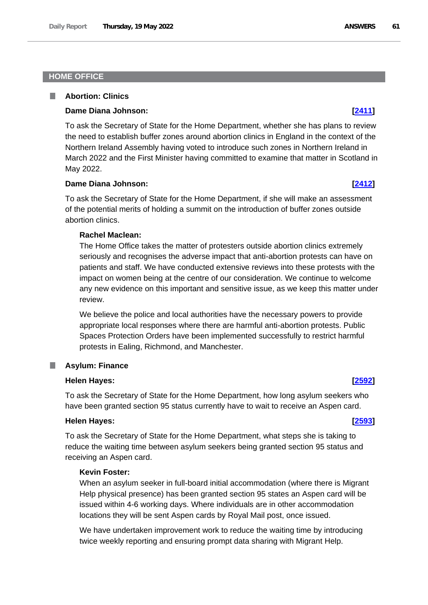# **HOME OFFICE**

### П **Abortion: Clinics**

### **Dame Diana Johnson: [\[2411\]](http://www.parliament.uk/business/publications/written-questions-answers-statements/written-question/Commons/2022-05-16/2411)**

To ask the Secretary of State for the Home Department, whether she has plans to review the need to establish buffer zones around abortion clinics in England in the context of the Northern Ireland Assembly having voted to introduce such zones in Northern Ireland in March 2022 and the First Minister having committed to examine that matter in Scotland in May 2022.

### **Dame Diana Johnson: [\[2412\]](http://www.parliament.uk/business/publications/written-questions-answers-statements/written-question/Commons/2022-05-16/2412)**

To ask the Secretary of State for the Home Department, if she will make an assessment of the potential merits of holding a summit on the introduction of buffer zones outside abortion clinics.

# **Rachel Maclean:**

The Home Office takes the matter of protesters outside abortion clinics extremely seriously and recognises the adverse impact that anti-abortion protests can have on patients and staff. We have conducted extensive reviews into these protests with the impact on women being at the centre of our consideration. We continue to welcome any new evidence on this important and sensitive issue, as we keep this matter under review.

We believe the police and local authorities have the necessary powers to provide appropriate local responses where there are harmful anti-abortion protests. Public Spaces Protection Orders have been implemented successfully to restrict harmful protests in Ealing, Richmond, and Manchester.

## **Asylum: Finance**

### **Helen Hayes: [\[2592\]](http://www.parliament.uk/business/publications/written-questions-answers-statements/written-question/Commons/2022-05-16/2592)**

To ask the Secretary of State for the Home Department, how long asylum seekers who have been granted section 95 status currently have to wait to receive an Aspen card.

## **Helen Hayes: [\[2593\]](http://www.parliament.uk/business/publications/written-questions-answers-statements/written-question/Commons/2022-05-16/2593)**

To ask the Secretary of State for the Home Department, what steps she is taking to reduce the waiting time between asylum seekers being granted section 95 status and receiving an Aspen card.

# **Kevin Foster:**

When an asylum seeker in full-board initial accommodation (where there is Migrant Help physical presence) has been granted section 95 states an Aspen card will be issued within 4-6 working days. Where individuals are in other accommodation locations they will be sent Aspen cards by Royal Mail post, once issued.

We have undertaken improvement work to reduce the waiting time by introducing twice weekly reporting and ensuring prompt data sharing with Migrant Help.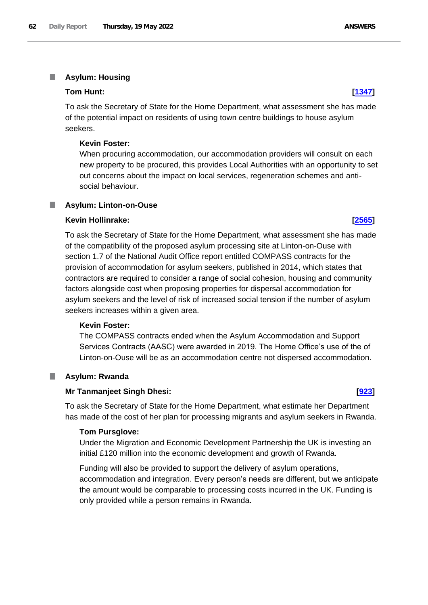### T. **Asylum: Housing**

## **Tom Hunt: [\[1347\]](http://www.parliament.uk/business/publications/written-questions-answers-statements/written-question/Commons/2022-05-12/1347)**

To ask the Secretary of State for the Home Department, what assessment she has made of the potential impact on residents of using town centre buildings to house asylum seekers.

# **Kevin Foster:**

When procuring accommodation, our accommodation providers will consult on each new property to be procured, this provides Local Authorities with an opportunity to set out concerns about the impact on local services, regeneration schemes and antisocial behaviour.

# **Asylum: Linton-on-Ouse**

## **Kevin Hollinrake: [\[2565\]](http://www.parliament.uk/business/publications/written-questions-answers-statements/written-question/Commons/2022-05-16/2565)**

To ask the Secretary of State for the Home Department, what assessment she has made of the compatibility of the proposed asylum processing site at Linton-on-Ouse with section 1.7 of the National Audit Office report entitled COMPASS contracts for the provision of accommodation for asylum seekers, published in 2014, which states that contractors are required to consider a range of social cohesion, housing and community factors alongside cost when proposing properties for dispersal accommodation for asylum seekers and the level of risk of increased social tension if the number of asylum seekers increases within a given area.

# **Kevin Foster:**

The COMPASS contracts ended when the Asylum Accommodation and Support Services Contracts (AASC) were awarded in 2019. The Home Office's use of the of Linton-on-Ouse will be as an accommodation centre not dispersed accommodation.

### **Asylum: Rwanda** ш

# **Mr Tanmanjeet Singh Dhesi: [\[923\]](http://www.parliament.uk/business/publications/written-questions-answers-statements/written-question/Commons/2022-05-11/923)**

To ask the Secretary of State for the Home Department, what estimate her Department has made of the cost of her plan for processing migrants and asylum seekers in Rwanda.

### **Tom Pursglove:**

Under the Migration and Economic Development Partnership the UK is investing an initial £120 million into the economic development and growth of Rwanda.

Funding will also be provided to support the delivery of asylum operations, accommodation and integration. Every person's needs are different, but we anticipate the amount would be comparable to processing costs incurred in the UK. Funding is only provided while a person remains in Rwanda.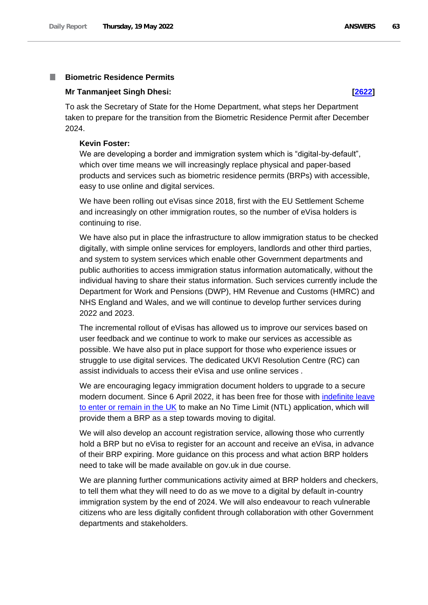### **Biometric Residence Permits I**

# **Mr Tanmanjeet Singh Dhesi: [\[2622\]](http://www.parliament.uk/business/publications/written-questions-answers-statements/written-question/Commons/2022-05-16/2622)**

To ask the Secretary of State for the Home Department, what steps her Department taken to prepare for the transition from the Biometric Residence Permit after December 2024.

### **Kevin Foster:**

We are developing a border and immigration system which is "digital-by-default", which over time means we will increasingly replace physical and paper-based products and services such as biometric residence permits (BRPs) with accessible, easy to use online and digital services.

We have been rolling out eVisas since 2018, first with the EU Settlement Scheme and increasingly on other immigration routes, so the number of eVisa holders is continuing to rise.

We have also put in place the infrastructure to allow immigration status to be checked digitally, with simple online services for employers, landlords and other third parties, and system to system services which enable other Government departments and public authorities to access immigration status information automatically, without the individual having to share their status information. Such services currently include the Department for Work and Pensions (DWP), HM Revenue and Customs (HMRC) and NHS England and Wales, and we will continue to develop further services during 2022 and 2023.

The incremental rollout of eVisas has allowed us to improve our services based on user feedback and we continue to work to make our services as accessible as possible. We have also put in place support for those who experience issues or struggle to use digital services. The dedicated UKVI Resolution Centre (RC) can assist individuals to access their eVisa and use online services *.*

We are encouraging legacy immigration document holders to upgrade to a secure modern document. Since 6 April 2022, it has been free for those with [indefinite leave](https://www.gov.uk/guidance/indefinite-leave-to-remain-in-the-uk)  [to enter or remain in the UK](https://www.gov.uk/guidance/indefinite-leave-to-remain-in-the-uk) to make an No Time Limit (NTL) application, which will provide them a BRP as a step towards moving to digital.

We will also develop an account registration service, allowing those who currently hold a BRP but no eVisa to register for an account and receive an eVisa, in advance of their BRP expiring. More guidance on this process and what action BRP holders need to take will be made available on gov.uk in due course.

We are planning further communications activity aimed at BRP holders and checkers, to tell them what they will need to do as we move to a digital by default in-country immigration system by the end of 2024. We will also endeavour to reach vulnerable citizens who are less digitally confident through collaboration with other Government departments and stakeholders.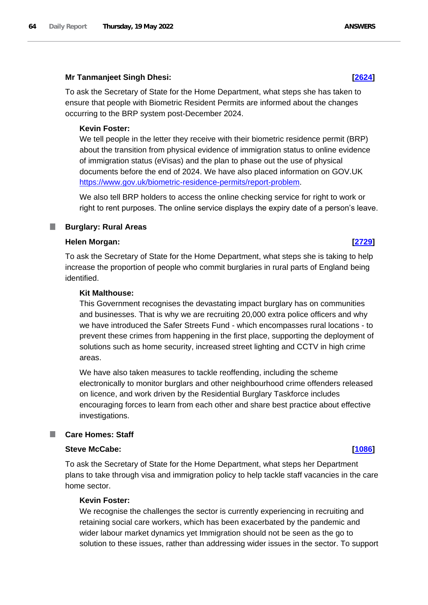# **Mr Tanmanjeet Singh Dhesi: [\[2624\]](http://www.parliament.uk/business/publications/written-questions-answers-statements/written-question/Commons/2022-05-16/2624)**

To ask the Secretary of State for the Home Department, what steps she has taken to ensure that people with Biometric Resident Permits are informed about the changes occurring to the BRP system post-December 2024.

# **Kevin Foster:**

We tell people in the letter they receive with their biometric residence permit (BRP) about the transition from physical evidence of immigration status to online evidence of immigration status (eVisas) and the plan to phase out the use of physical documents before the end of 2024. We have also placed information on GOV.UK https://www.gov.uk/biometric-residence-permits/report-problem.

We also tell BRP holders to access the online checking service for right to work or right to rent purposes. The online service displays the expiry date of a person's leave.

### **Burglary: Rural Areas** ш

# **Helen Morgan: [\[2729\]](http://www.parliament.uk/business/publications/written-questions-answers-statements/written-question/Commons/2022-05-16/2729)**

To ask the Secretary of State for the Home Department, what steps she is taking to help increase the proportion of people who commit burglaries in rural parts of England being identified.

# **Kit Malthouse:**

This Government recognises the devastating impact burglary has on communities and businesses. That is why we are recruiting 20,000 extra police officers and why we have introduced the Safer Streets Fund - which encompasses rural locations - to prevent these crimes from happening in the first place, supporting the deployment of solutions such as home security, increased street lighting and CCTV in high crime areas.

We have also taken measures to tackle reoffending, including the scheme electronically to monitor burglars and other neighbourhood crime offenders released on licence, and work driven by the Residential Burglary Taskforce includes encouraging forces to learn from each other and share best practice about effective investigations.

### ш **Care Homes: Staff**

### **Steve McCabe: [\[1086\]](http://www.parliament.uk/business/publications/written-questions-answers-statements/written-question/Commons/2022-05-12/1086)**

To ask the Secretary of State for the Home Department, what steps her Department plans to take through visa and immigration policy to help tackle staff vacancies in the care home sector.

# **Kevin Foster:**

We recognise the challenges the sector is currently experiencing in recruiting and retaining social care workers, which has been exacerbated by the pandemic and wider labour market dynamics yet Immigration should not be seen as the go to solution to these issues, rather than addressing wider issues in the sector. To support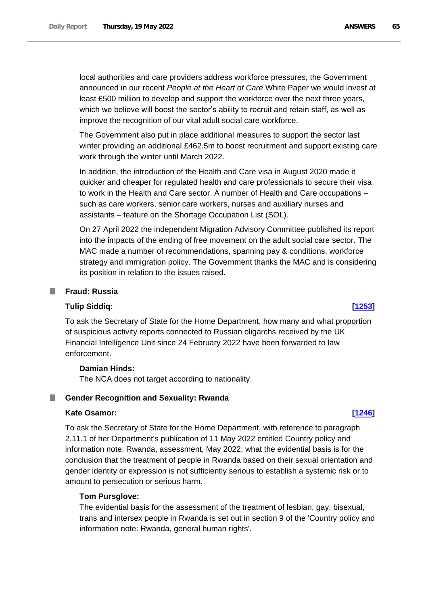local authorities and care providers address workforce pressures, the Government announced in our recent *People at the Heart of Care* White Paper we would invest at least £500 million to develop and support the workforce over the next three years, which we believe will boost the sector's ability to recruit and retain staff, as well as improve the recognition of our vital adult social care workforce.

The Government also put in place additional measures to support the sector last winter providing an additional £462.5m to boost recruitment and support existing care work through the winter until March 2022.

In addition, the introduction of the Health and Care visa in August 2020 made it quicker and cheaper for regulated health and care professionals to secure their visa to work in the Health and Care sector. A number of Health and Care occupations – such as care workers, senior care workers, nurses and auxiliary nurses and assistants – feature on the Shortage Occupation List (SOL).

On 27 April 2022 the independent Migration Advisory Committee published its report into the impacts of the ending of free movement on the adult social care sector. The MAC made a number of recommendations, spanning pay & conditions, workforce strategy and immigration policy. The Government thanks the MAC and is considering its position in relation to the issues raised.

# **Fraud: Russia**

### **Tulip Siddiq: [\[1253\]](http://www.parliament.uk/business/publications/written-questions-answers-statements/written-question/Commons/2022-05-12/1253)**

To ask the Secretary of State for the Home Department, how many and what proportion of suspicious activity reports connected to Russian oligarchs received by the UK Financial Intelligence Unit since 24 February 2022 have been forwarded to law enforcement.

# **Damian Hinds:**

The NCA does not target according to nationality.

# **E** Gender Recognition and Sexuality: Rwanda

### **Kate Osamor: [\[1246\]](http://www.parliament.uk/business/publications/written-questions-answers-statements/written-question/Commons/2022-05-12/1246)**

To ask the Secretary of State for the Home Department, with reference to paragraph 2.11.1 of her Department's publication of 11 May 2022 entitled Country policy and information note: Rwanda, assessment, May 2022, what the evidential basis is for the conclusion that the treatment of people in Rwanda based on their sexual orientation and gender identity or expression is not sufficiently serious to establish a systemic risk or to amount to persecution or serious harm.

### **Tom Pursglove:**

The evidential basis for the assessment of the treatment of lesbian, gay, bisexual, trans and intersex people in Rwanda is set out in section 9 of the 'Country policy and information note: Rwanda, general human rights'.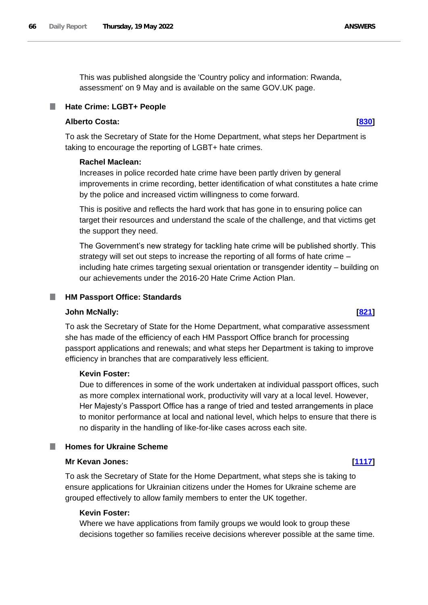This was published alongside the 'Country policy and information: Rwanda, assessment' on 9 May and is available on the same GOV.UK page.

# **Hate Crime: LGBT+ People**

# **Alberto Costa: [\[830\]](http://www.parliament.uk/business/publications/written-questions-answers-statements/written-question/Commons/2022-05-11/830)**

To ask the Secretary of State for the Home Department, what steps her Department is taking to encourage the reporting of LGBT+ hate crimes.

# **Rachel Maclean:**

Increases in police recorded hate crime have been partly driven by general improvements in crime recording, better identification of what constitutes a hate crime by the police and increased victim willingness to come forward.

This is positive and reflects the hard work that has gone in to ensuring police can target their resources and understand the scale of the challenge, and that victims get the support they need.

The Government's new strategy for tackling hate crime will be published shortly. This strategy will set out steps to increase the reporting of all forms of hate crime – including hate crimes targeting sexual orientation or transgender identity – building on our achievements under the 2016-20 Hate Crime Action Plan.

## **HM Passport Office: Standards**

## **John McNally: [\[821\]](http://www.parliament.uk/business/publications/written-questions-answers-statements/written-question/Commons/2022-05-11/821)**

To ask the Secretary of State for the Home Department, what comparative assessment she has made of the efficiency of each HM Passport Office branch for processing passport applications and renewals; and what steps her Department is taking to improve efficiency in branches that are comparatively less efficient.

# **Kevin Foster:**

Due to differences in some of the work undertaken at individual passport offices, such as more complex international work, productivity will vary at a local level. However, Her Majesty's Passport Office has a range of tried and tested arrangements in place to monitor performance at local and national level, which helps to ensure that there is no disparity in the handling of like-for-like cases across each site.

# **Homes for Ukraine Scheme**

### **Mr Kevan Jones: [\[1117\]](http://www.parliament.uk/business/publications/written-questions-answers-statements/written-question/Commons/2022-05-12/1117)**

To ask the Secretary of State for the Home Department, what steps she is taking to ensure applications for Ukrainian citizens under the Homes for Ukraine scheme are grouped effectively to allow family members to enter the UK together.

### **Kevin Foster:**

Where we have applications from family groups we would look to group these decisions together so families receive decisions wherever possible at the same time.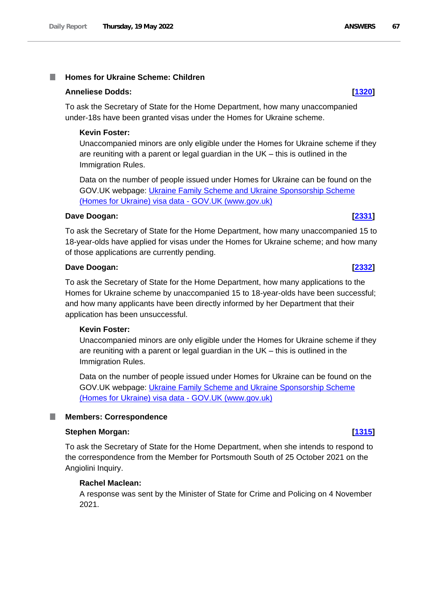### **Homes for Ukraine Scheme: Children** T.

## **Anneliese Dodds: [\[1320\]](http://www.parliament.uk/business/publications/written-questions-answers-statements/written-question/Commons/2022-05-12/1320)**

To ask the Secretary of State for the Home Department, how many unaccompanied under-18s have been granted visas under the Homes for Ukraine scheme.

# **Kevin Foster:**

Unaccompanied minors are only eligible under the Homes for Ukraine scheme if they are reuniting with a parent or legal guardian in the UK – this is outlined in the Immigration Rules.

Data on the number of people issued under Homes for Ukraine can be found on the GOV.UK webpage: [Ukraine Family Scheme and Ukraine Sponsorship Scheme](https://gbr01.safelinks.protection.outlook.com/?url=https%3A%2F%2Fwww.gov.uk%2Fgovernment%2Fpublications%2Fukraine-family-scheme-application-data%2Fukraine-family-scheme-and-ukraine-sponsorship-scheme-homes-for-ukraine-visa-data&data=05%7C01%7CKeith.Edwards42%40homeoffice.gov.uk%7Cd57883fc1c294055a34808da34d3f8f2%7Cf24d93ecb2914192a08af182245945c2%7C0%7C0%7C637880382255722728%7CUnknown%7CTWFpbGZsb3d8eyJWIjoiMC4wLjAwMDAiLCJQIjoiV2luMzIiLCJBTiI6Ik1haWwiLCJXVCI6Mn0%3D%7C3000%7C%7C%7C&sdata=qRsAIXVxgKSQ879dV%2BSTQRFX4C6Al2e5Ls2wFgC4qa8%3D&reserved=0)  [\(Homes for Ukraine\) visa data -](https://gbr01.safelinks.protection.outlook.com/?url=https%3A%2F%2Fwww.gov.uk%2Fgovernment%2Fpublications%2Fukraine-family-scheme-application-data%2Fukraine-family-scheme-and-ukraine-sponsorship-scheme-homes-for-ukraine-visa-data&data=05%7C01%7CKeith.Edwards42%40homeoffice.gov.uk%7Cd57883fc1c294055a34808da34d3f8f2%7Cf24d93ecb2914192a08af182245945c2%7C0%7C0%7C637880382255722728%7CUnknown%7CTWFpbGZsb3d8eyJWIjoiMC4wLjAwMDAiLCJQIjoiV2luMzIiLCJBTiI6Ik1haWwiLCJXVCI6Mn0%3D%7C3000%7C%7C%7C&sdata=qRsAIXVxgKSQ879dV%2BSTQRFX4C6Al2e5Ls2wFgC4qa8%3D&reserved=0) GOV.UK (www.gov.uk)

# **Dave Doogan: [\[2331\]](http://www.parliament.uk/business/publications/written-questions-answers-statements/written-question/Commons/2022-05-16/2331)**

To ask the Secretary of State for the Home Department, how many unaccompanied 15 to 18-year-olds have applied for visas under the Homes for Ukraine scheme; and how many of those applications are currently pending.

# **Dave Doogan: [\[2332\]](http://www.parliament.uk/business/publications/written-questions-answers-statements/written-question/Commons/2022-05-16/2332)**

To ask the Secretary of State for the Home Department, how many applications to the Homes for Ukraine scheme by unaccompanied 15 to 18-year-olds have been successful; and how many applicants have been directly informed by her Department that their application has been unsuccessful.

# **Kevin Foster:**

Unaccompanied minors are only eligible under the Homes for Ukraine scheme if they are reuniting with a parent or legal guardian in the UK – this is outlined in the Immigration Rules.

Data on the number of people issued under Homes for Ukraine can be found on the GOV.UK webpage: [Ukraine Family Scheme and Ukraine Sponsorship Scheme](https://gbr01.safelinks.protection.outlook.com/?url=https%3A%2F%2Fwww.gov.uk%2Fgovernment%2Fpublications%2Fukraine-family-scheme-application-data%2Fukraine-family-scheme-and-ukraine-sponsorship-scheme-homes-for-ukraine-visa-data&data=05%7C01%7CKeith.Edwards42%40homeoffice.gov.uk%7Cb5c225d726754ae967c308da37f9d698%7Cf24d93ecb2914192a08af182245945c2%7C0%7C0%7C637883843419043967%7CUnknown%7CTWFpbGZsb3d8eyJWIjoiMC4wLjAwMDAiLCJQIjoiV2luMzIiLCJBTiI6Ik1haWwiLCJXVCI6Mn0%3D%7C3000%7C%7C%7C&sdata=wybHdwx%2BLx06ChkkjDGypcD%2B6KrUOu6E9yFlcmpfgAQ%3D&reserved=0)  [\(Homes for Ukraine\) visa data -](https://gbr01.safelinks.protection.outlook.com/?url=https%3A%2F%2Fwww.gov.uk%2Fgovernment%2Fpublications%2Fukraine-family-scheme-application-data%2Fukraine-family-scheme-and-ukraine-sponsorship-scheme-homes-for-ukraine-visa-data&data=05%7C01%7CKeith.Edwards42%40homeoffice.gov.uk%7Cb5c225d726754ae967c308da37f9d698%7Cf24d93ecb2914192a08af182245945c2%7C0%7C0%7C637883843419043967%7CUnknown%7CTWFpbGZsb3d8eyJWIjoiMC4wLjAwMDAiLCJQIjoiV2luMzIiLCJBTiI6Ik1haWwiLCJXVCI6Mn0%3D%7C3000%7C%7C%7C&sdata=wybHdwx%2BLx06ChkkjDGypcD%2B6KrUOu6E9yFlcmpfgAQ%3D&reserved=0) GOV.UK (www.gov.uk)

### **Members: Correspondence**

# **Stephen Morgan: [\[1315\]](http://www.parliament.uk/business/publications/written-questions-answers-statements/written-question/Commons/2022-05-12/1315)**

To ask the Secretary of State for the Home Department, when she intends to respond to the correspondence from the Member for Portsmouth South of 25 October 2021 on the Angiolini Inquiry.

# **Rachel Maclean:**

A response was sent by the Minister of State for Crime and Policing on 4 November 2021.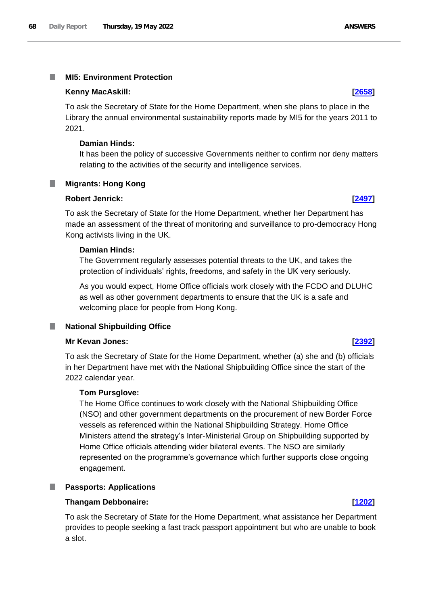### **MI5: Environment Protection** T.

## **Kenny MacAskill: [\[2658\]](http://www.parliament.uk/business/publications/written-questions-answers-statements/written-question/Commons/2022-05-16/2658)**

To ask the Secretary of State for the Home Department, when she plans to place in the Library the annual environmental sustainability reports made by MI5 for the years 2011 to 2021.

## **Damian Hinds:**

It has been the policy of successive Governments neither to confirm nor deny matters relating to the activities of the security and intelligence services.

# **Migrants: Hong Kong**

# **Robert Jenrick: [\[2497\]](http://www.parliament.uk/business/publications/written-questions-answers-statements/written-question/Commons/2022-05-16/2497)**

To ask the Secretary of State for the Home Department, whether her Department has made an assessment of the threat of monitoring and surveillance to pro-democracy Hong Kong activists living in the UK.

# **Damian Hinds:**

The Government regularly assesses potential threats to the UK, and takes the protection of individuals' rights, freedoms, and safety in the UK very seriously.

As you would expect, Home Office officials work closely with the FCDO and DLUHC as well as other government departments to ensure that the UK is a safe and welcoming place for people from Hong Kong.

# **National Shipbuilding Office**

# **Mr Kevan Jones: [\[2392\]](http://www.parliament.uk/business/publications/written-questions-answers-statements/written-question/Commons/2022-05-16/2392)**

To ask the Secretary of State for the Home Department, whether (a) she and (b) officials in her Department have met with the National Shipbuilding Office since the start of the 2022 calendar year.

# **Tom Pursglove:**

The Home Office continues to work closely with the National Shipbuilding Office (NSO) and other government departments on the procurement of new Border Force vessels as referenced within the National Shipbuilding Strategy. Home Office Ministers attend the strategy's Inter-Ministerial Group on Shipbuilding supported by Home Office officials attending wider bilateral events. The NSO are similarly represented on the programme's governance which further supports close ongoing engagement.

### ш **Passports: Applications**

## **Thangam Debbonaire: [\[1202\]](http://www.parliament.uk/business/publications/written-questions-answers-statements/written-question/Commons/2022-05-12/1202)**

To ask the Secretary of State for the Home Department, what assistance her Department provides to people seeking a fast track passport appointment but who are unable to book a slot.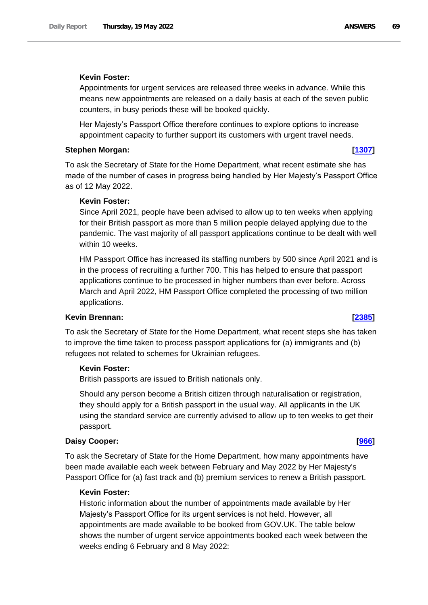# **Kevin Foster:**

Appointments for urgent services are released three weeks in advance. While this means new appointments are released on a daily basis at each of the seven public counters, in busy periods these will be booked quickly.

Her Majesty's Passport Office therefore continues to explore options to increase appointment capacity to further support its customers with urgent travel needs.

### **Stephen Morgan: [\[1307\]](http://www.parliament.uk/business/publications/written-questions-answers-statements/written-question/Commons/2022-05-12/1307)**

To ask the Secretary of State for the Home Department, what recent estimate she has made of the number of cases in progress being handled by Her Majesty's Passport Office as of 12 May 2022.

# **Kevin Foster:**

Since April 2021, people have been advised to allow up to ten weeks when applying for their British passport as more than 5 million people delayed applying due to the pandemic. The vast majority of all passport applications continue to be dealt with well within 10 weeks.

HM Passport Office has increased its staffing numbers by 500 since April 2021 and is in the process of recruiting a further 700. This has helped to ensure that passport applications continue to be processed in higher numbers than ever before. Across March and April 2022, HM Passport Office completed the processing of two million applications.

### **Kevin Brennan: [\[2385\]](http://www.parliament.uk/business/publications/written-questions-answers-statements/written-question/Commons/2022-05-16/2385)**

To ask the Secretary of State for the Home Department, what recent steps she has taken to improve the time taken to process passport applications for (a) immigrants and (b) refugees not related to schemes for Ukrainian refugees.

## **Kevin Foster:**

British passports are issued to British nationals only.

Should any person become a British citizen through naturalisation or registration, they should apply for a British passport in the usual way. All applicants in the UK using the standard service are currently advised to allow up to ten weeks to get their passport.

### **Daisy Cooper: [\[966\]](http://www.parliament.uk/business/publications/written-questions-answers-statements/written-question/Commons/2022-05-11/966)**

To ask the Secretary of State for the Home Department, how many appointments have been made available each week between February and May 2022 by Her Majesty's Passport Office for (a) fast track and (b) premium services to renew a British passport.

# **Kevin Foster:**

Historic information about the number of appointments made available by Her Majesty's Passport Office for its urgent services is not held. However, all appointments are made available to be booked from GOV.UK. The table below shows the number of urgent service appointments booked each week between the weeks ending 6 February and 8 May 2022: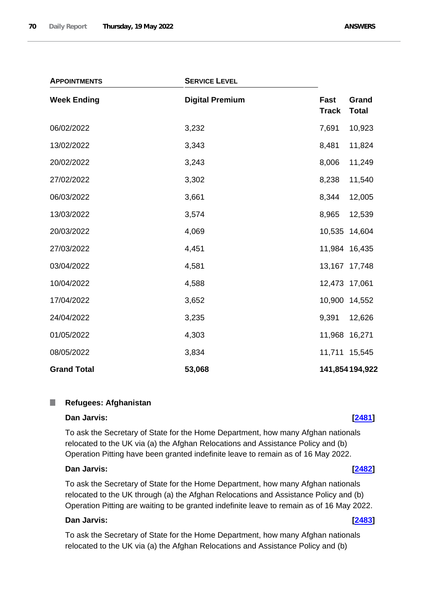| <b>SERVICE LEVEL</b><br><b>APPOINTMENTS</b> |                        |                                               |
|---------------------------------------------|------------------------|-----------------------------------------------|
| <b>Week Ending</b>                          | <b>Digital Premium</b> | Fast<br>Grand<br><b>Track</b><br><b>Total</b> |
| 06/02/2022                                  | 3,232                  | 7,691<br>10,923                               |
| 13/02/2022                                  | 3,343                  | 8,481<br>11,824                               |
| 20/02/2022                                  | 3,243                  | 8,006<br>11,249                               |
| 27/02/2022                                  | 3,302                  | 8,238<br>11,540                               |
| 06/03/2022                                  | 3,661                  | 8,344<br>12,005                               |
| 13/03/2022                                  | 3,574                  | 8,965<br>12,539                               |
| 20/03/2022                                  | 4,069                  | 10,535<br>14,604                              |
| 27/03/2022                                  | 4,451                  | 11,984 16,435                                 |
| 03/04/2022                                  | 4,581                  | 13,167 17,748                                 |
| 10/04/2022                                  | 4,588                  | 12,473 17,061                                 |
| 17/04/2022                                  | 3,652                  | 10,900<br>14,552                              |
| 24/04/2022                                  | 3,235                  | 9,391<br>12,626                               |
| 01/05/2022                                  | 4,303                  | 11,968 16,271                                 |
| 08/05/2022                                  | 3,834                  | 11,711<br>15,545                              |
| <b>Grand Total</b>                          | 53,068                 | 141,854 194,922                               |

### $\mathbb{R}^n$ **Refugees: Afghanistan**

# **Dan Jarvis: [\[2481\]](http://www.parliament.uk/business/publications/written-questions-answers-statements/written-question/Commons/2022-05-16/2481)**

To ask the Secretary of State for the Home Department, how many Afghan nationals relocated to the UK via (a) the Afghan Relocations and Assistance Policy and (b) Operation Pitting have been granted indefinite leave to remain as of 16 May 2022.

# **Dan Jarvis: [\[2482\]](http://www.parliament.uk/business/publications/written-questions-answers-statements/written-question/Commons/2022-05-16/2482)**

To ask the Secretary of State for the Home Department, how many Afghan nationals relocated to the UK through (a) the Afghan Relocations and Assistance Policy and (b) Operation Pitting are waiting to be granted indefinite leave to remain as of 16 May 2022.

# **Dan Jarvis: [\[2483\]](http://www.parliament.uk/business/publications/written-questions-answers-statements/written-question/Commons/2022-05-16/2483)**

To ask the Secretary of State for the Home Department, how many Afghan nationals relocated to the UK via (a) the Afghan Relocations and Assistance Policy and (b)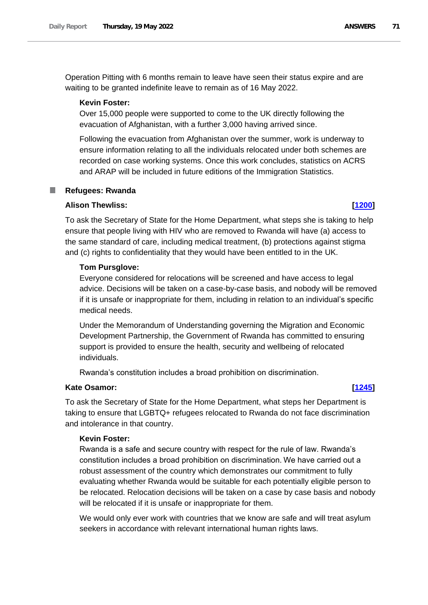Operation Pitting with 6 months remain to leave have seen their status expire and are waiting to be granted indefinite leave to remain as of 16 May 2022.

# **Kevin Foster:**

Over 15,000 people were supported to come to the UK directly following the evacuation of Afghanistan, with a further 3,000 having arrived since.

Following the evacuation from Afghanistan over the summer, work is underway to ensure information relating to all the individuals relocated under both schemes are recorded on case working systems. Once this work concludes, statistics on ACRS and ARAP will be included in future editions of the Immigration Statistics.

## **Refugees: Rwanda**

# **Alison Thewliss: [\[1200\]](http://www.parliament.uk/business/publications/written-questions-answers-statements/written-question/Commons/2022-05-12/1200)**

To ask the Secretary of State for the Home Department, what steps she is taking to help ensure that people living with HIV who are removed to Rwanda will have (a) access to the same standard of care, including medical treatment, (b) protections against stigma and (c) rights to confidentiality that they would have been entitled to in the UK.

# **Tom Pursglove:**

Everyone considered for relocations will be screened and have access to legal advice. Decisions will be taken on a case-by-case basis, and nobody will be removed if it is unsafe or inappropriate for them, including in relation to an individual's specific medical needs.

Under the Memorandum of Understanding governing the Migration and Economic Development Partnership, the Government of Rwanda has committed to ensuring support is provided to ensure the health, security and wellbeing of relocated individuals.

Rwanda's constitution includes a broad prohibition on discrimination.

# **Kate Osamor: [\[1245\]](http://www.parliament.uk/business/publications/written-questions-answers-statements/written-question/Commons/2022-05-12/1245)**

To ask the Secretary of State for the Home Department, what steps her Department is taking to ensure that LGBTQ+ refugees relocated to Rwanda do not face discrimination and intolerance in that country.

# **Kevin Foster:**

Rwanda is a safe and secure country with respect for the rule of law. Rwanda's constitution includes a broad prohibition on discrimination. We have carried out a robust assessment of the country which demonstrates our commitment to fully evaluating whether Rwanda would be suitable for each potentially eligible person to be relocated. Relocation decisions will be taken on a case by case basis and nobody will be relocated if it is unsafe or inappropriate for them.

We would only ever work with countries that we know are safe and will treat asylum seekers in accordance with relevant international human rights laws.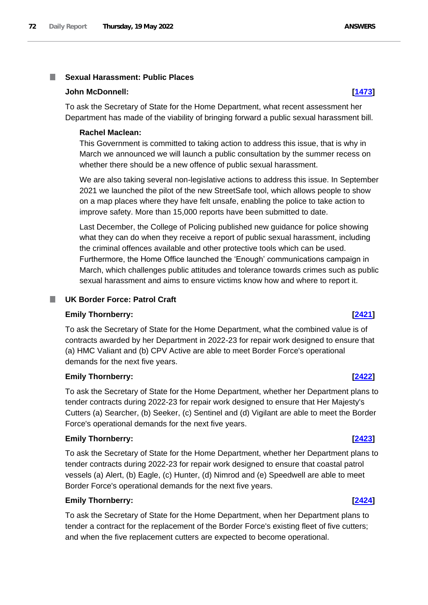### **Sexual Harassment: Public Places I**

### **John McDonnell: [\[1473\]](http://www.parliament.uk/business/publications/written-questions-answers-statements/written-question/Commons/2022-05-13/1473)**

To ask the Secretary of State for the Home Department, what recent assessment her Department has made of the viability of bringing forward a public sexual harassment bill.

### **Rachel Maclean:**

This Government is committed to taking action to address this issue, that is why in March we announced we will launch a public consultation by the summer recess on whether there should be a new offence of public sexual harassment.

We are also taking several non-legislative actions to address this issue. In September 2021 we launched the pilot of the new StreetSafe tool, which allows people to show on a map places where they have felt unsafe, enabling the police to take action to improve safety. More than 15,000 reports have been submitted to date.

Last December, the College of Policing published new guidance for police showing what they can do when they receive a report of public sexual harassment, including the criminal offences available and other protective tools which can be used. Furthermore, the Home Office launched the 'Enough' communications campaign in March, which challenges public attitudes and tolerance towards crimes such as public sexual harassment and aims to ensure victims know how and where to report it.

## **UK Border Force: Patrol Craft**

### **Emily Thornberry: [\[2421\]](http://www.parliament.uk/business/publications/written-questions-answers-statements/written-question/Commons/2022-05-16/2421)**

To ask the Secretary of State for the Home Department, what the combined value is of contracts awarded by her Department in 2022-23 for repair work designed to ensure that (a) HMC Valiant and (b) CPV Active are able to meet Border Force's operational demands for the next five years.

## **Emily Thornberry: [\[2422\]](http://www.parliament.uk/business/publications/written-questions-answers-statements/written-question/Commons/2022-05-16/2422)**

To ask the Secretary of State for the Home Department, whether her Department plans to tender contracts during 2022-23 for repair work designed to ensure that Her Majesty's Cutters (a) Searcher, (b) Seeker, (c) Sentinel and (d) Vigilant are able to meet the Border Force's operational demands for the next five years.

### **Emily Thornberry: [\[2423\]](http://www.parliament.uk/business/publications/written-questions-answers-statements/written-question/Commons/2022-05-16/2423)**

To ask the Secretary of State for the Home Department, whether her Department plans to tender contracts during 2022-23 for repair work designed to ensure that coastal patrol vessels (a) Alert, (b) Eagle, (c) Hunter, (d) Nimrod and (e) Speedwell are able to meet Border Force's operational demands for the next five years.

# **Emily Thornberry: [\[2424\]](http://www.parliament.uk/business/publications/written-questions-answers-statements/written-question/Commons/2022-05-16/2424)**

To ask the Secretary of State for the Home Department, when her Department plans to tender a contract for the replacement of the Border Force's existing fleet of five cutters; and when the five replacement cutters are expected to become operational.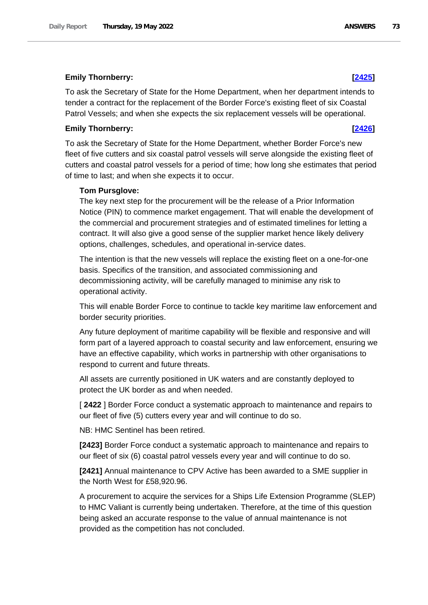# **Emily Thornberry: [\[2425\]](http://www.parliament.uk/business/publications/written-questions-answers-statements/written-question/Commons/2022-05-16/2425)**

To ask the Secretary of State for the Home Department, when her department intends to tender a contract for the replacement of the Border Force's existing fleet of six Coastal Patrol Vessels; and when she expects the six replacement vessels will be operational.

## **Emily Thornberry: [\[2426\]](http://www.parliament.uk/business/publications/written-questions-answers-statements/written-question/Commons/2022-05-16/2426)**

To ask the Secretary of State for the Home Department, whether Border Force's new fleet of five cutters and six coastal patrol vessels will serve alongside the existing fleet of cutters and coastal patrol vessels for a period of time; how long she estimates that period of time to last; and when she expects it to occur.

## **Tom Pursglove:**

The key next step for the procurement will be the release of a Prior Information Notice (PIN) to commence market engagement. That will enable the development of the commercial and procurement strategies and of estimated timelines for letting a contract. It will also give a good sense of the supplier market hence likely delivery options, challenges, schedules, and operational in-service dates.

The intention is that the new vessels will replace the existing fleet on a one-for-one basis. Specifics of the transition, and associated commissioning and decommissioning activity, will be carefully managed to minimise any risk to operational activity.

This will enable Border Force to continue to tackle key maritime law enforcement and border security priorities.

Any future deployment of maritime capability will be flexible and responsive and will form part of a layered approach to coastal security and law enforcement, ensuring we have an effective capability, which works in partnership with other organisations to respond to current and future threats.

All assets are currently positioned in UK waters and are constantly deployed to protect the UK border as and when needed.

[ **2422** ] Border Force conduct a systematic approach to maintenance and repairs to our fleet of five (5) cutters every year and will continue to do so.

NB: HMC Sentinel has been retired.

**[2423]** Border Force conduct a systematic approach to maintenance and repairs to our fleet of six (6) coastal patrol vessels every year and will continue to do so.

**[2421]** Annual maintenance to CPV Active has been awarded to a SME supplier in the North West for £58,920.96.

A procurement to acquire the services for a Ships Life Extension Programme (SLEP) to HMC Valiant is currently being undertaken. Therefore, at the time of this question being asked an accurate response to the value of annual maintenance is not provided as the competition has not concluded.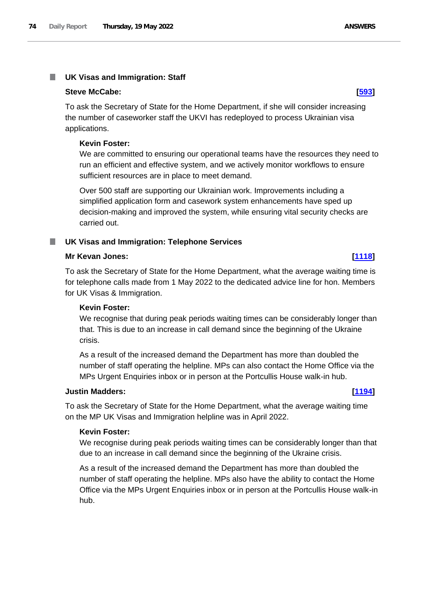### **UK Visas and Immigration: Staff** ш

### **Steve McCabe: [\[593\]](http://www.parliament.uk/business/publications/written-questions-answers-statements/written-question/Commons/2022-05-11/593)**

To ask the Secretary of State for the Home Department, if she will consider increasing the number of caseworker staff the UKVI has redeployed to process Ukrainian visa applications.

## **Kevin Foster:**

We are committed to ensuring our operational teams have the resources they need to run an efficient and effective system, and we actively monitor workflows to ensure sufficient resources are in place to meet demand.

Over 500 staff are supporting our Ukrainian work. Improvements including a simplified application form and casework system enhancements have sped up decision-making and improved the system, while ensuring vital security checks are carried out.

# **UK Visas and Immigration: Telephone Services**

# **Mr Kevan Jones: [\[1118\]](http://www.parliament.uk/business/publications/written-questions-answers-statements/written-question/Commons/2022-05-12/1118)**

To ask the Secretary of State for the Home Department, what the average waiting time is for telephone calls made from 1 May 2022 to the dedicated advice line for hon. Members for UK Visas & Immigration.

# **Kevin Foster:**

We recognise that during peak periods waiting times can be considerably longer than that. This is due to an increase in call demand since the beginning of the Ukraine crisis.

As a result of the increased demand the Department has more than doubled the number of staff operating the helpline. MPs can also contact the Home Office via the MPs Urgent Enquiries inbox or in person at the Portcullis House walk-in hub.

# **Justin Madders: [\[1194\]](http://www.parliament.uk/business/publications/written-questions-answers-statements/written-question/Commons/2022-05-12/1194)**

To ask the Secretary of State for the Home Department, what the average waiting time on the MP UK Visas and Immigration helpline was in April 2022.

### **Kevin Foster:**

We recognise during peak periods waiting times can be considerably longer than that due to an increase in call demand since the beginning of the Ukraine crisis.

As a result of the increased demand the Department has more than doubled the number of staff operating the helpline. MPs also have the ability to contact the Home Office via the MPs Urgent Enquiries inbox or in person at the Portcullis House walk-in hub.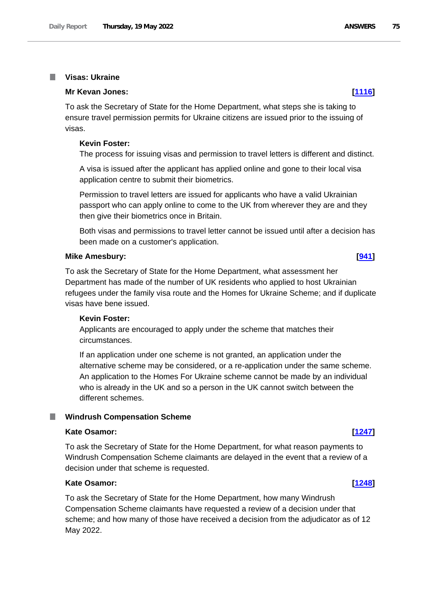### **Visas: Ukraine In**

### **Mr Kevan Jones: [\[1116\]](http://www.parliament.uk/business/publications/written-questions-answers-statements/written-question/Commons/2022-05-12/1116)**

To ask the Secretary of State for the Home Department, what steps she is taking to ensure travel permission permits for Ukraine citizens are issued prior to the issuing of visas.

### **Kevin Foster:**

The process for issuing visas and permission to travel letters is different and distinct.

A visa is issued after the applicant has applied online and gone to their local visa application centre to submit their biometrics.

Permission to travel letters are issued for applicants who have a valid Ukrainian passport who can apply online to come to the UK from wherever they are and they then give their biometrics once in Britain.

Both visas and permissions to travel letter cannot be issued until after a decision has been made on a customer's application.

### **Mike Amesbury: [\[941\]](http://www.parliament.uk/business/publications/written-questions-answers-statements/written-question/Commons/2022-05-11/941)**

To ask the Secretary of State for the Home Department, what assessment her Department has made of the number of UK residents who applied to host Ukrainian refugees under the family visa route and the Homes for Ukraine Scheme; and if duplicate visas have bene issued.

## **Kevin Foster:**

Applicants are encouraged to apply under the scheme that matches their circumstances.

If an application under one scheme is not granted, an application under the alternative scheme may be considered, or a re-application under the same scheme. An application to the Homes For Ukraine scheme cannot be made by an individual who is already in the UK and so a person in the UK cannot switch between the different schemes.

### **Windrush Compensation Scheme**

### **Kate Osamor: [\[1247\]](http://www.parliament.uk/business/publications/written-questions-answers-statements/written-question/Commons/2022-05-12/1247)**

To ask the Secretary of State for the Home Department, for what reason payments to Windrush Compensation Scheme claimants are delayed in the event that a review of a decision under that scheme is requested.

# **Kate Osamor: [\[1248\]](http://www.parliament.uk/business/publications/written-questions-answers-statements/written-question/Commons/2022-05-12/1248)**

To ask the Secretary of State for the Home Department, how many Windrush Compensation Scheme claimants have requested a review of a decision under that scheme; and how many of those have received a decision from the adjudicator as of 12 May 2022.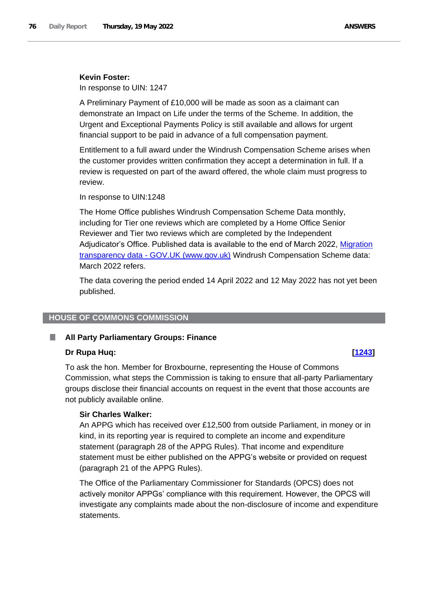## **Kevin Foster:**

In response to UIN: 1247

A Preliminary Payment of £10,000 will be made as soon as a claimant can demonstrate an Impact on Life under the terms of the Scheme. In addition, the Urgent and Exceptional Payments Policy is still available and allows for urgent financial support to be paid in advance of a full compensation payment.

Entitlement to a full award under the Windrush Compensation Scheme arises when the customer provides written confirmation they accept a determination in full. If a review is requested on part of the award offered, the whole claim must progress to review.

In response to UIN:1248

The Home Office publishes Windrush Compensation Scheme Data monthly, including for Tier one reviews which are completed by a Home Office Senior Reviewer and Tier two reviews which are completed by the Independent Adjudicator's Office. Published data is available to the end of March 2022, Migration transparency data - [GOV.UK \(www.gov.uk\)](https://www.gov.uk/government/collections/migration-transparency-data#windrush-compensation-scheme) Windrush Compensation Scheme data: March 2022 refers.

The data covering the period ended 14 April 2022 and 12 May 2022 has not yet been published.

## **HOUSE OF COMMONS COMMISSION**

### ш **All Party Parliamentary Groups: Finance**

# **Dr Rupa Huq: [\[1243\]](http://www.parliament.uk/business/publications/written-questions-answers-statements/written-question/Commons/2022-05-12/1243)**

To ask the hon. Member for Broxbourne, representing the House of Commons Commission, what steps the Commission is taking to ensure that all-party Parliamentary groups disclose their financial accounts on request in the event that those accounts are not publicly available online.

# **Sir Charles Walker:**

An APPG which has received over £12,500 from outside Parliament, in money or in kind, in its reporting year is required to complete an income and expenditure statement (paragraph 28 of the APPG Rules). That income and expenditure statement must be either published on the APPG's website or provided on request (paragraph 21 of the APPG Rules).

The Office of the Parliamentary Commissioner for Standards (OPCS) does not actively monitor APPGs' compliance with this requirement. However, the OPCS will investigate any complaints made about the non-disclosure of income and expenditure statements.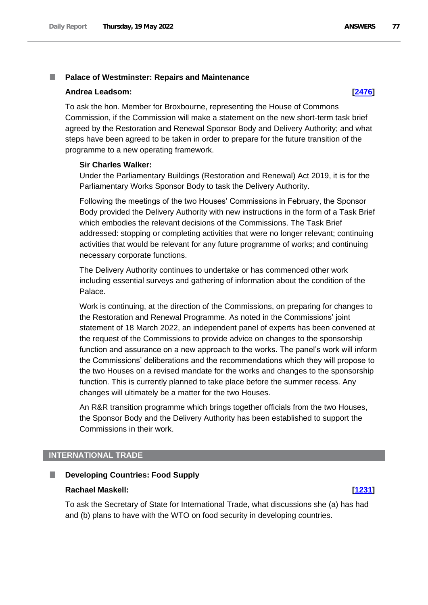### **Palace of Westminster: Repairs and Maintenance**

### **Andrea Leadsom: [\[2476\]](http://www.parliament.uk/business/publications/written-questions-answers-statements/written-question/Commons/2022-05-16/2476)**

To ask the hon. Member for Broxbourne, representing the House of Commons Commission, if the Commission will make a statement on the new short-term task brief agreed by the Restoration and Renewal Sponsor Body and Delivery Authority; and what steps have been agreed to be taken in order to prepare for the future transition of the programme to a new operating framework.

### **Sir Charles Walker:**

Under the Parliamentary Buildings (Restoration and Renewal) Act 2019, it is for the Parliamentary Works Sponsor Body to task the Delivery Authority.

Following the meetings of the two Houses' Commissions in February, the Sponsor Body provided the Delivery Authority with new instructions in the form of a Task Brief which embodies the relevant decisions of the Commissions. The Task Brief addressed: stopping or completing activities that were no longer relevant; continuing activities that would be relevant for any future programme of works; and continuing necessary corporate functions.

The Delivery Authority continues to undertake or has commenced other work including essential surveys and gathering of information about the condition of the Palace.

Work is continuing, at the direction of the Commissions, on preparing for changes to the Restoration and Renewal Programme. As noted in the Commissions' joint statement of 18 March 2022, an independent panel of experts has been convened at the request of the Commissions to provide advice on changes to the sponsorship function and assurance on a new approach to the works. The panel's work will inform the Commissions' deliberations and the recommendations which they will propose to the two Houses on a revised mandate for the works and changes to the sponsorship function. This is currently planned to take place before the summer recess. Any changes will ultimately be a matter for the two Houses.

An R&R transition programme which brings together officials from the two Houses, the Sponsor Body and the Delivery Authority has been established to support the Commissions in their work.

### **INTERNATIONAL TRADE**

### п **Developing Countries: Food Supply**

### **Rachael Maskell: [\[1231\]](http://www.parliament.uk/business/publications/written-questions-answers-statements/written-question/Commons/2022-05-12/1231)**

To ask the Secretary of State for International Trade, what discussions she (a) has had and (b) plans to have with the WTO on food security in developing countries.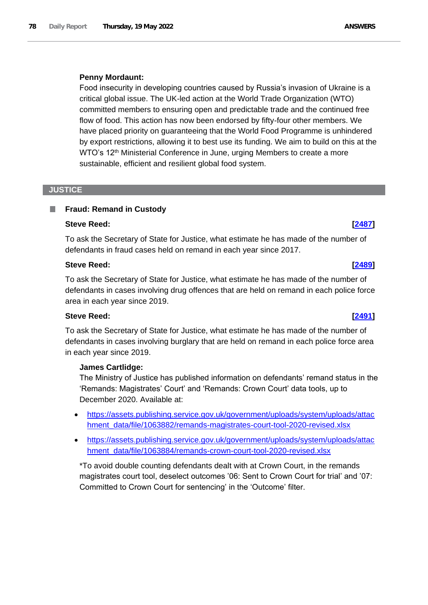# **Penny Mordaunt:**

Food insecurity in developing countries caused by Russia's invasion of Ukraine is a critical global issue. The UK-led action at the World Trade Organization (WTO) committed members to ensuring open and predictable trade and the continued free flow of food. This action has now been endorsed by fifty-four other members. We have placed priority on guaranteeing that the World Food Programme is unhindered by export restrictions, allowing it to best use its funding. We aim to build on this at the WTO's 12<sup>th</sup> Ministerial Conference in June, urging Members to create a more sustainable, efficient and resilient global food system.

# **JUSTICE**

### ш **Fraud: Remand in Custody**

## **Steve Reed: [\[2487\]](http://www.parliament.uk/business/publications/written-questions-answers-statements/written-question/Commons/2022-05-16/2487)**

To ask the Secretary of State for Justice, what estimate he has made of the number of defendants in fraud cases held on remand in each year since 2017.

# **Steve Reed: [\[2489\]](http://www.parliament.uk/business/publications/written-questions-answers-statements/written-question/Commons/2022-05-16/2489)**

To ask the Secretary of State for Justice, what estimate he has made of the number of defendants in cases involving drug offences that are held on remand in each police force area in each year since 2019.

# **Steve Reed: [\[2491\]](http://www.parliament.uk/business/publications/written-questions-answers-statements/written-question/Commons/2022-05-16/2491)**

To ask the Secretary of State for Justice, what estimate he has made of the number of defendants in cases involving burglary that are held on remand in each police force area in each year since 2019.

# **James Cartlidge:**

The Ministry of Justice has published information on defendants' remand status in the 'Remands: Magistrates' Court' and 'Remands: Crown Court' data tools, up to December 2020. Available at:

- [https://assets.publishing.service.gov.uk/government/uploads/system/uploads/attac](https://assets.publishing.service.gov.uk/government/uploads/system/uploads/attachment_data/file/1063882/remands-magistrates-court-tool-2020-revised.xlsx) [hment\\_data/file/1063882/remands-magistrates-court-tool-2020-revised.xlsx](https://assets.publishing.service.gov.uk/government/uploads/system/uploads/attachment_data/file/1063882/remands-magistrates-court-tool-2020-revised.xlsx)
- [https://assets.publishing.service.gov.uk/government/uploads/system/uploads/attac](https://assets.publishing.service.gov.uk/government/uploads/system/uploads/attachment_data/file/1063884/remands-crown-court-tool-2020-revised.xlsx) [hment\\_data/file/1063884/remands-crown-court-tool-2020-revised.xlsx](https://assets.publishing.service.gov.uk/government/uploads/system/uploads/attachment_data/file/1063884/remands-crown-court-tool-2020-revised.xlsx)

\*To avoid double counting defendants dealt with at Crown Court, in the remands magistrates court tool, deselect outcomes '06: Sent to Crown Court for trial' and '07: Committed to Crown Court for sentencing' in the 'Outcome' filter.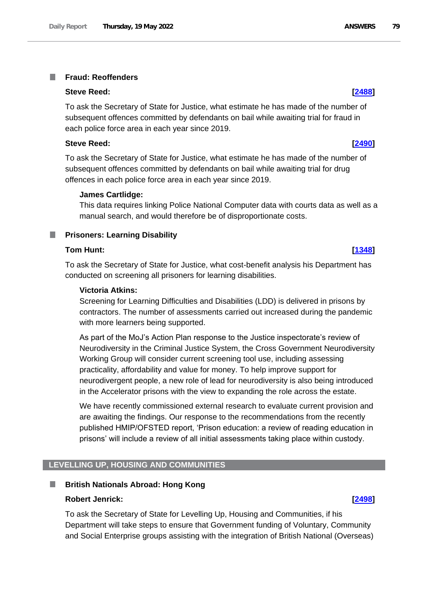### **Fraud: Reoffenders** T.

### **Steve Reed: [\[2488\]](http://www.parliament.uk/business/publications/written-questions-answers-statements/written-question/Commons/2022-05-16/2488)**

To ask the Secretary of State for Justice, what estimate he has made of the number of subsequent offences committed by defendants on bail while awaiting trial for fraud in each police force area in each year since 2019.

### **Steve Reed: [\[2490\]](http://www.parliament.uk/business/publications/written-questions-answers-statements/written-question/Commons/2022-05-16/2490)**

To ask the Secretary of State for Justice, what estimate he has made of the number of subsequent offences committed by defendants on bail while awaiting trial for drug offences in each police force area in each year since 2019.

## **James Cartlidge:**

This data requires linking Police National Computer data with courts data as well as a manual search, and would therefore be of disproportionate costs.

# **Prisoners: Learning Disability**

# **Tom Hunt: [\[1348\]](http://www.parliament.uk/business/publications/written-questions-answers-statements/written-question/Commons/2022-05-12/1348)**

To ask the Secretary of State for Justice, what cost-benefit analysis his Department has conducted on screening all prisoners for learning disabilities.

### **Victoria Atkins:**

Screening for Learning Difficulties and Disabilities (LDD) is delivered in prisons by contractors. The number of assessments carried out increased during the pandemic with more learners being supported.

As part of the MoJ's Action Plan response to the Justice inspectorate's review of Neurodiversity in the Criminal Justice System, the Cross Government Neurodiversity Working Group will consider current screening tool use, including assessing practicality, affordability and value for money. To help improve support for neurodivergent people, a new role of lead for neurodiversity is also being introduced in the Accelerator prisons with the view to expanding the role across the estate.

We have recently commissioned external research to evaluate current provision and are awaiting the findings. Our response to the recommendations from the recently published HMIP/OFSTED report, 'Prison education: a review of reading education in prisons' will include a review of all initial assessments taking place within custody.

# **LEVELLING UP, HOUSING AND COMMUNITIES**

### **British Nationals Abroad: Hong Kong** ш

# **Robert Jenrick: [\[2498\]](http://www.parliament.uk/business/publications/written-questions-answers-statements/written-question/Commons/2022-05-16/2498)**

To ask the Secretary of State for Levelling Up, Housing and Communities, if his Department will take steps to ensure that Government funding of Voluntary, Community and Social Enterprise groups assisting with the integration of British National (Overseas)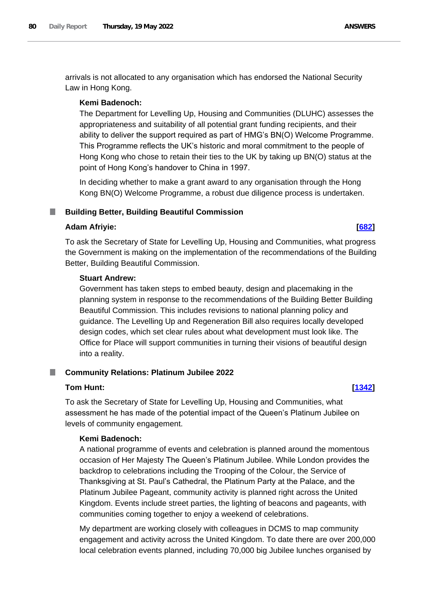arrivals is not allocated to any organisation which has endorsed the National Security Law in Hong Kong.

## **Kemi Badenoch:**

The Department for Levelling Up, Housing and Communities (DLUHC) assesses the appropriateness and suitability of all potential grant funding recipients, and their ability to deliver the support required as part of HMG's BN(O) Welcome Programme. This Programme reflects the UK's historic and moral commitment to the people of Hong Kong who chose to retain their ties to the UK by taking up BN(O) status at the point of Hong Kong's handover to China in 1997.

In deciding whether to make a grant award to any organisation through the Hong Kong BN(O) Welcome Programme, a robust due diligence process is undertaken.

### **Building Better, Building Beautiful Commission** a a

## **Adam Afriyie: [\[682\]](http://www.parliament.uk/business/publications/written-questions-answers-statements/written-question/Commons/2022-05-11/682)**

To ask the Secretary of State for Levelling Up, Housing and Communities, what progress the Government is making on the implementation of the recommendations of the Building Better, Building Beautiful Commission.

## **Stuart Andrew:**

Government has taken steps to embed beauty, design and placemaking in the planning system in response to the recommendations of the Building Better Building Beautiful Commission. This includes revisions to national planning policy and guidance. The Levelling Up and Regeneration Bill also requires locally developed design codes, which set clear rules about what development must look like. The Office for Place will support communities in turning their visions of beautiful design into a reality.

### **Community Relations: Platinum Jubilee 2022** m.

### **Tom Hunt: [\[1342\]](http://www.parliament.uk/business/publications/written-questions-answers-statements/written-question/Commons/2022-05-12/1342)**

To ask the Secretary of State for Levelling Up, Housing and Communities, what assessment he has made of the potential impact of the Queen's Platinum Jubilee on levels of community engagement.

# **Kemi Badenoch:**

A national programme of events and celebration is planned around the momentous occasion of Her Majesty The Queen's Platinum Jubilee. While London provides the backdrop to celebrations including the Trooping of the Colour, the Service of Thanksgiving at St. Paul's Cathedral, the Platinum Party at the Palace, and the Platinum Jubilee Pageant, community activity is planned right across the United Kingdom. Events include street parties, the lighting of beacons and pageants, with communities coming together to enjoy a weekend of celebrations.

My department are working closely with colleagues in DCMS to map community engagement and activity across the United Kingdom. To date there are over 200,000 local celebration events planned, including 70,000 big Jubilee lunches organised by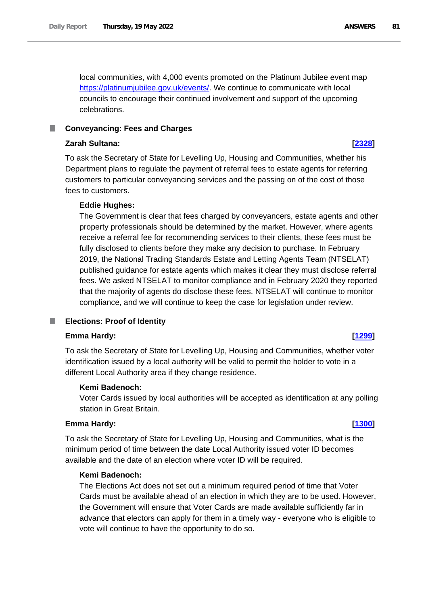local communities, with 4,000 events promoted on the Platinum Jubilee event map [https://platinumjubilee.gov.uk/events/.](https://platinumjubilee.gov.uk/events/) We continue to communicate with local councils to encourage their continued involvement and support of the upcoming celebrations.

### m. **Conveyancing: Fees and Charges**

# **Zarah Sultana: [\[2328\]](http://www.parliament.uk/business/publications/written-questions-answers-statements/written-question/Commons/2022-05-16/2328)**

To ask the Secretary of State for Levelling Up, Housing and Communities, whether his Department plans to regulate the payment of referral fees to estate agents for referring customers to particular conveyancing services and the passing on of the cost of those fees to customers.

# **Eddie Hughes:**

The Government is clear that fees charged by conveyancers, estate agents and other property professionals should be determined by the market. However, where agents receive a referral fee for recommending services to their clients, these fees must be fully disclosed to clients before they make any decision to purchase. In February 2019, the National Trading Standards Estate and Letting Agents Team (NTSELAT) published guidance for estate agents which makes it clear they must disclose referral fees. We asked NTSELAT to monitor compliance and in February 2020 they reported that the majority of agents do disclose these fees. NTSELAT will continue to monitor compliance, and we will continue to keep the case for legislation under review.

### **Elections: Proof of Identity** T.

# **Emma Hardy: [\[1299\]](http://www.parliament.uk/business/publications/written-questions-answers-statements/written-question/Commons/2022-05-12/1299)**

To ask the Secretary of State for Levelling Up, Housing and Communities, whether voter identification issued by a local authority will be valid to permit the holder to vote in a different Local Authority area if they change residence.

# **Kemi Badenoch:**

Voter Cards issued by local authorities will be accepted as identification at any polling station in Great Britain.

# **Emma Hardy: [\[1300\]](http://www.parliament.uk/business/publications/written-questions-answers-statements/written-question/Commons/2022-05-12/1300)**

To ask the Secretary of State for Levelling Up, Housing and Communities, what is the minimum period of time between the date Local Authority issued voter ID becomes available and the date of an election where voter ID will be required.

# **Kemi Badenoch:**

The Elections Act does not set out a minimum required period of time that Voter Cards must be available ahead of an election in which they are to be used. However, the Government will ensure that Voter Cards are made available sufficiently far in advance that electors can apply for them in a timely way - everyone who is eligible to vote will continue to have the opportunity to do so.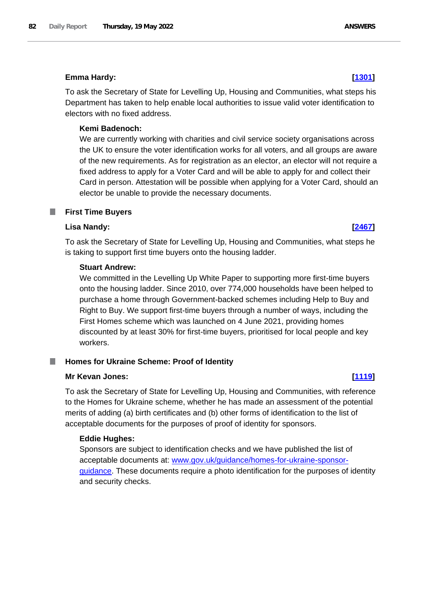# **Emma Hardy: [\[1301\]](http://www.parliament.uk/business/publications/written-questions-answers-statements/written-question/Commons/2022-05-12/1301)**

To ask the Secretary of State for Levelling Up, Housing and Communities, what steps his Department has taken to help enable local authorities to issue valid voter identification to electors with no fixed address.

# **Kemi Badenoch:**

We are currently working with charities and civil service society organisations across the UK to ensure the voter identification works for all voters, and all groups are aware of the new requirements. As for registration as an elector, an elector will not require a fixed address to apply for a Voter Card and will be able to apply for and collect their Card in person. Attestation will be possible when applying for a Voter Card, should an elector be unable to provide the necessary documents.

### **First Time Buyers** ш

# **Lisa Nandy: [\[2467\]](http://www.parliament.uk/business/publications/written-questions-answers-statements/written-question/Commons/2022-05-16/2467)**

To ask the Secretary of State for Levelling Up, Housing and Communities, what steps he is taking to support first time buyers onto the housing ladder.

# **Stuart Andrew:**

We committed in the Levelling Up White Paper to supporting more first-time buyers onto the housing ladder. Since 2010, over 774,000 households have been helped to purchase a home through Government-backed schemes including Help to Buy and Right to Buy. We support first-time buyers through a number of ways, including the First Homes scheme which was launched on 4 June 2021, providing homes discounted by at least 30% for first-time buyers, prioritised for local people and key workers.

# **Homes for Ukraine Scheme: Proof of Identity**

# **Mr Kevan Jones: [\[1119\]](http://www.parliament.uk/business/publications/written-questions-answers-statements/written-question/Commons/2022-05-12/1119)**

To ask the Secretary of State for Levelling Up, Housing and Communities, with reference to the Homes for Ukraine scheme, whether he has made an assessment of the potential merits of adding (a) birth certificates and (b) other forms of identification to the list of acceptable documents for the purposes of proof of identity for sponsors.

# **Eddie Hughes:**

Sponsors are subject to identification checks and we have published the list of acceptable documents at: www.gov.uk/guidance/homes-for-ukraine-sponsorguidance. These documents require a photo identification for the purposes of identity and security checks.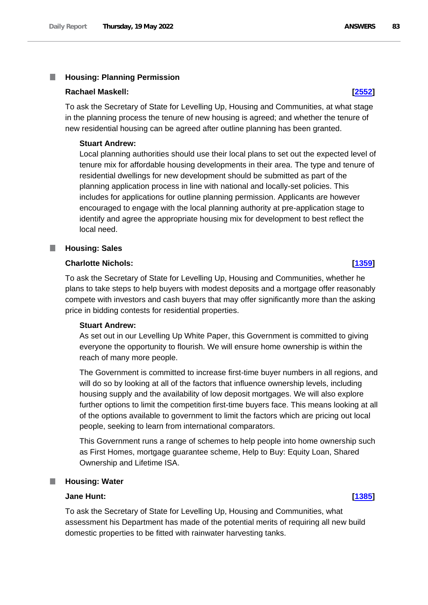### T. **Housing: Planning Permission**

### **Rachael Maskell: [\[2552\]](http://www.parliament.uk/business/publications/written-questions-answers-statements/written-question/Commons/2022-05-16/2552)**

To ask the Secretary of State for Levelling Up, Housing and Communities, at what stage in the planning process the tenure of new housing is agreed; and whether the tenure of new residential housing can be agreed after outline planning has been granted.

### **Stuart Andrew:**

Local planning authorities should use their local plans to set out the expected level of tenure mix for affordable housing developments in their area. The type and tenure of residential dwellings for new development should be submitted as part of the planning application process in line with national and locally-set policies. This includes for applications for outline planning permission. Applicants are however encouraged to engage with the local planning authority at pre-application stage to identify and agree the appropriate housing mix for development to best reflect the local need.

### **Housing: Sales** П

# **Charlotte Nichols: [\[1359\]](http://www.parliament.uk/business/publications/written-questions-answers-statements/written-question/Commons/2022-05-12/1359)**

To ask the Secretary of State for Levelling Up, Housing and Communities, whether he plans to take steps to help buyers with modest deposits and a mortgage offer reasonably compete with investors and cash buyers that may offer significantly more than the asking price in bidding contests for residential properties.

# **Stuart Andrew:**

As set out in our Levelling Up White Paper, this Government is committed to giving everyone the opportunity to flourish. We will ensure home ownership is within the reach of many more people.

The Government is committed to increase first-time buyer numbers in all regions, and will do so by looking at all of the factors that influence ownership levels, including housing supply and the availability of low deposit mortgages. We will also explore further options to limit the competition first-time buyers face. This means looking at all of the options available to government to limit the factors which are pricing out local people, seeking to learn from international comparators.

This Government runs a range of schemes to help people into home ownership such as First Homes, mortgage guarantee scheme, Help to Buy: Equity Loan, Shared Ownership and Lifetime ISA.

### **Housing: Water**

# **Jane Hunt: [\[1385\]](http://www.parliament.uk/business/publications/written-questions-answers-statements/written-question/Commons/2022-05-12/1385)**

To ask the Secretary of State for Levelling Up, Housing and Communities, what assessment his Department has made of the potential merits of requiring all new build domestic properties to be fitted with rainwater harvesting tanks.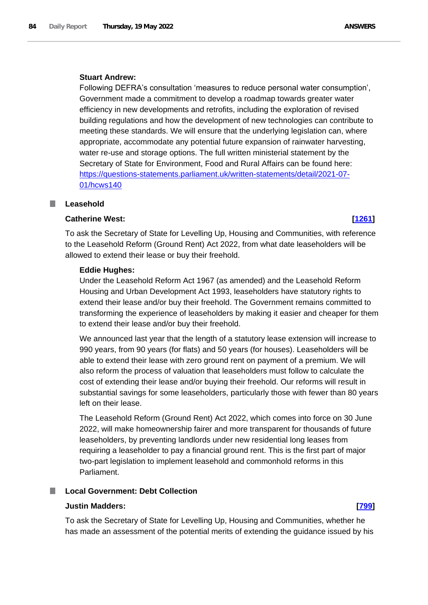# **Stuart Andrew:**

Following DEFRA's consultation 'measures to reduce personal water consumption', Government made a commitment to develop a roadmap towards greater water efficiency in new developments and retrofits, including the exploration of revised building regulations and how the development of new technologies can contribute to meeting these standards. We will ensure that the underlying legislation can, where appropriate, accommodate any potential future expansion of rainwater harvesting, water re-use and storage options. The full written ministerial statement by the Secretary of State for Environment, Food and Rural Affairs can be found here: https://questions-statements.parliament.uk/written-statements/detail/2021-07- 01/hcws140

# **Leasehold**

# **Catherine West: [\[1261\]](http://www.parliament.uk/business/publications/written-questions-answers-statements/written-question/Commons/2022-05-12/1261)**

To ask the Secretary of State for Levelling Up, Housing and Communities, with reference to the Leasehold Reform (Ground Rent) Act 2022, from what date leaseholders will be allowed to extend their lease or buy their freehold.

# **Eddie Hughes:**

Under the Leasehold Reform Act 1967 (as amended) and the Leasehold Reform Housing and Urban Development Act 1993, leaseholders have statutory rights to extend their lease and/or buy their freehold. The Government remains committed to transforming the experience of leaseholders by making it easier and cheaper for them to extend their lease and/or buy their freehold.

We announced last year that the length of a statutory lease extension will increase to 990 years, from 90 years (for flats) and 50 years (for houses). Leaseholders will be able to extend their lease with zero ground rent on payment of a premium. We will also reform the process of valuation that leaseholders must follow to calculate the cost of extending their lease and/or buying their freehold. Our reforms will result in substantial savings for some leaseholders, particularly those with fewer than 80 years left on their lease.

The Leasehold Reform (Ground Rent) Act 2022, which comes into force on 30 June 2022, will make homeownership fairer and more transparent for thousands of future leaseholders, by preventing landlords under new residential long leases from requiring a leaseholder to pay a financial ground rent. This is the first part of major two-part legislation to implement leasehold and commonhold reforms in this Parliament.

# **Local Government: Debt Collection**

# **Justin Madders: [\[799\]](http://www.parliament.uk/business/publications/written-questions-answers-statements/written-question/Commons/2022-05-11/799)**

To ask the Secretary of State for Levelling Up, Housing and Communities, whether he has made an assessment of the potential merits of extending the guidance issued by his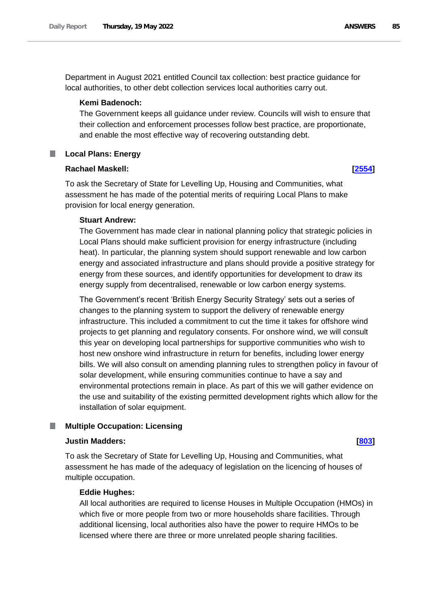Department in August 2021 entitled Council tax collection: best practice guidance for local authorities, to other debt collection services local authorities carry out.

### **Kemi Badenoch:**

The Government keeps all guidance under review. Councils will wish to ensure that their collection and enforcement processes follow best practice, are proportionate, and enable the most effective way of recovering outstanding debt.

# **Local Plans: Energy**

### **Rachael Maskell: [\[2554\]](http://www.parliament.uk/business/publications/written-questions-answers-statements/written-question/Commons/2022-05-16/2554)**

To ask the Secretary of State for Levelling Up, Housing and Communities, what assessment he has made of the potential merits of requiring Local Plans to make provision for local energy generation.

### **Stuart Andrew:**

The Government has made clear in national planning policy that strategic policies in Local Plans should make sufficient provision for energy infrastructure (including heat). In particular, the planning system should support renewable and low carbon energy and associated infrastructure and plans should provide a positive strategy for energy from these sources, and identify opportunities for development to draw its energy supply from decentralised, renewable or low carbon energy systems.

The Government's recent 'British Energy Security Strategy' sets out a series of changes to the planning system to support the delivery of renewable energy infrastructure. This included a commitment to cut the time it takes for offshore wind projects to get planning and regulatory consents. For onshore wind, we will consult this year on developing local partnerships for supportive communities who wish to host new onshore wind infrastructure in return for benefits, including lower energy bills. We will also consult on amending planning rules to strengthen policy in favour of solar development, while ensuring communities continue to have a say and environmental protections remain in place. As part of this we will gather evidence on the use and suitability of the existing permitted development rights which allow for the installation of solar equipment.

### **Multiple Occupation: Licensing**

### **Justin Madders: [\[803\]](http://www.parliament.uk/business/publications/written-questions-answers-statements/written-question/Commons/2022-05-11/803)**

To ask the Secretary of State for Levelling Up, Housing and Communities, what assessment he has made of the adequacy of legislation on the licencing of houses of multiple occupation.

## **Eddie Hughes:**

All local authorities are required to license Houses in Multiple Occupation (HMOs) in which five or more people from two or more households share facilities. Through additional licensing, local authorities also have the power to require HMOs to be licensed where there are three or more unrelated people sharing facilities.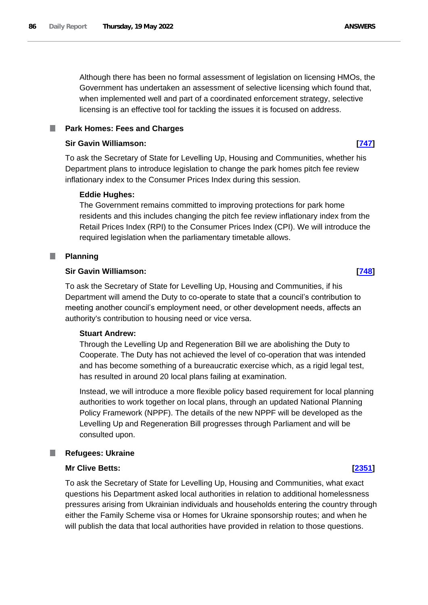Although there has been no formal assessment of legislation on licensing HMOs, the Government has undertaken an assessment of selective licensing which found that, when implemented well and part of a coordinated enforcement strategy, selective licensing is an effective tool for tackling the issues it is focused on address.

# **Park Homes: Fees and Charges**

## **Sir Gavin Williamson: [\[747\]](http://www.parliament.uk/business/publications/written-questions-answers-statements/written-question/Commons/2022-05-11/747)**

To ask the Secretary of State for Levelling Up, Housing and Communities, whether his Department plans to introduce legislation to change the park homes pitch fee review inflationary index to the Consumer Prices Index during this session.

## **Eddie Hughes:**

The Government remains committed to improving protections for park home residents and this includes changing the pitch fee review inflationary index from the Retail Prices Index (RPI) to the Consumer Prices Index (CPI). We will introduce the required legislation when the parliamentary timetable allows.

### **Planning** T.

## **Sir Gavin Williamson: [\[748\]](http://www.parliament.uk/business/publications/written-questions-answers-statements/written-question/Commons/2022-05-11/748)**

To ask the Secretary of State for Levelling Up, Housing and Communities, if his Department will amend the Duty to co-operate to state that a council's contribution to meeting another council's employment need, or other development needs, affects an authority's contribution to housing need or vice versa.

### **Stuart Andrew:**

Through the Levelling Up and Regeneration Bill we are abolishing the Duty to Cooperate. The Duty has not achieved the level of co-operation that was intended and has become something of a bureaucratic exercise which, as a rigid legal test, has resulted in around 20 local plans failing at examination.

Instead, we will introduce a more flexible policy based requirement for local planning authorities to work together on local plans, through an updated National Planning Policy Framework (NPPF). The details of the new NPPF will be developed as the Levelling Up and Regeneration Bill progresses through Parliament and will be consulted upon.

### L. **Refugees: Ukraine**

## **Mr Clive Betts: [\[2351\]](http://www.parliament.uk/business/publications/written-questions-answers-statements/written-question/Commons/2022-05-16/2351)**

To ask the Secretary of State for Levelling Up, Housing and Communities, what exact questions his Department asked local authorities in relation to additional homelessness pressures arising from Ukrainian individuals and households entering the country through either the Family Scheme visa or Homes for Ukraine sponsorship routes; and when he will publish the data that local authorities have provided in relation to those questions.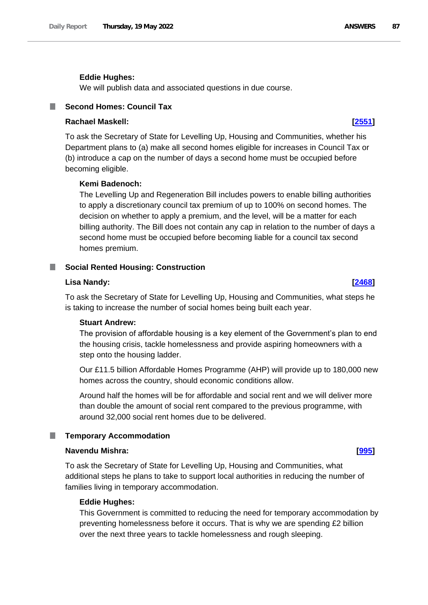### **Eddie Hughes:**

We will publish data and associated questions in due course.

# **Second Homes: Council Tax**

# **Rachael Maskell: [\[2551\]](http://www.parliament.uk/business/publications/written-questions-answers-statements/written-question/Commons/2022-05-16/2551)**

To ask the Secretary of State for Levelling Up, Housing and Communities, whether his Department plans to (a) make all second homes eligible for increases in Council Tax or (b) introduce a cap on the number of days a second home must be occupied before becoming eligible.

### **Kemi Badenoch:**

The Levelling Up and Regeneration Bill includes powers to enable billing authorities to apply a discretionary council tax premium of up to 100% on second homes. The decision on whether to apply a premium, and the level, will be a matter for each billing authority. The Bill does not contain any cap in relation to the number of days a second home must be occupied before becoming liable for a council tax second homes premium.

### **Social Rented Housing: Construction**

### **Lisa Nandy: [\[2468\]](http://www.parliament.uk/business/publications/written-questions-answers-statements/written-question/Commons/2022-05-16/2468)**

To ask the Secretary of State for Levelling Up, Housing and Communities, what steps he is taking to increase the number of social homes being built each year.

### **Stuart Andrew:**

The provision of affordable housing is a key element of the Government's plan to end the housing crisis, tackle homelessness and provide aspiring homeowners with a step onto the housing ladder.

Our £11.5 billion Affordable Homes Programme (AHP) will provide up to 180,000 new homes across the country, should economic conditions allow.

Around half the homes will be for affordable and social rent and we will deliver more than double the amount of social rent compared to the previous programme, with around 32,000 social rent homes due to be delivered.

### **Temporary Accommodation**

# **Navendu Mishra: [\[995\]](http://www.parliament.uk/business/publications/written-questions-answers-statements/written-question/Commons/2022-05-11/995)**

To ask the Secretary of State for Levelling Up, Housing and Communities, what additional steps he plans to take to support local authorities in reducing the number of families living in temporary accommodation.

### **Eddie Hughes:**

This Government is committed to reducing the need for temporary accommodation by preventing homelessness before it occurs. That is why we are spending £2 billion over the next three years to tackle homelessness and rough sleeping.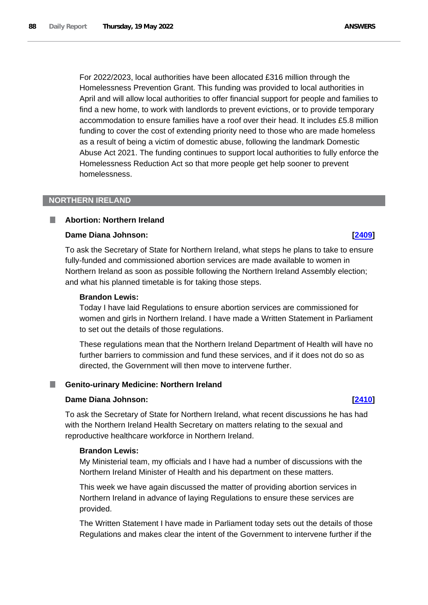For 2022/2023, local authorities have been allocated £316 million through the Homelessness Prevention Grant. This funding was provided to local authorities in April and will allow local authorities to offer financial support for people and families to find a new home, to work with landlords to prevent evictions, or to provide temporary accommodation to ensure families have a roof over their head. It includes £5.8 million funding to cover the cost of extending priority need to those who are made homeless as a result of being a victim of domestic abuse, following the landmark Domestic Abuse Act 2021. The funding continues to support local authorities to fully enforce the Homelessness Reduction Act so that more people get help sooner to prevent homelessness.

## **NORTHERN IRELAND**

### **Abortion: Northern Ireland**

# **Dame Diana Johnson: [\[2409\]](http://www.parliament.uk/business/publications/written-questions-answers-statements/written-question/Commons/2022-05-16/2409)**

To ask the Secretary of State for Northern Ireland, what steps he plans to take to ensure fully-funded and commissioned abortion services are made available to women in Northern Ireland as soon as possible following the Northern Ireland Assembly election; and what his planned timetable is for taking those steps.

# **Brandon Lewis:**

Today I have laid Regulations to ensure abortion services are commissioned for women and girls in Northern Ireland. I have made a Written Statement in Parliament to set out the details of those regulations.

These regulations mean that the Northern Ireland Department of Health will have no further barriers to commission and fund these services, and if it does not do so as directed, the Government will then move to intervene further.

### **Genito-urinary Medicine: Northern Ireland**

### **Dame Diana Johnson: [\[2410\]](http://www.parliament.uk/business/publications/written-questions-answers-statements/written-question/Commons/2022-05-16/2410)**

To ask the Secretary of State for Northern Ireland, what recent discussions he has had with the Northern Ireland Health Secretary on matters relating to the sexual and reproductive healthcare workforce in Northern Ireland.

## **Brandon Lewis:**

My Ministerial team, my officials and I have had a number of discussions with the Northern Ireland Minister of Health and his department on these matters.

This week we have again discussed the matter of providing abortion services in Northern Ireland in advance of laying Regulations to ensure these services are provided.

The Written Statement I have made in Parliament today sets out the details of those Regulations and makes clear the intent of the Government to intervene further if the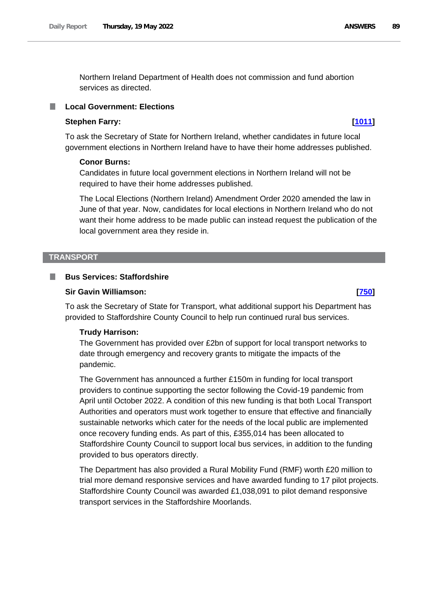Northern Ireland Department of Health does not commission and fund abortion services as directed.

# **Local Government: Elections**

## **Stephen Farry: [\[1011\]](http://www.parliament.uk/business/publications/written-questions-answers-statements/written-question/Commons/2022-05-11/1011)**

To ask the Secretary of State for Northern Ireland, whether candidates in future local government elections in Northern Ireland have to have their home addresses published.

### **Conor Burns:**

Candidates in future local government elections in Northern Ireland will not be required to have their home addresses published.

The Local Elections (Northern Ireland) Amendment Order 2020 amended the law in June of that year. Now, candidates for local elections in Northern Ireland who do not want their home address to be made public can instead request the publication of the local government area they reside in.

### **TRANSPORT**

## **Bus Services: Staffordshire**

## **Sir Gavin Williamson: [\[750\]](http://www.parliament.uk/business/publications/written-questions-answers-statements/written-question/Commons/2022-05-11/750)**

To ask the Secretary of State for Transport, what additional support his Department has provided to Staffordshire County Council to help run continued rural bus services.

### **Trudy Harrison:**

The Government has provided over £2bn of support for local transport networks to date through emergency and recovery grants to mitigate the impacts of the pandemic.

The Government has announced a further £150m in funding for local transport providers to continue supporting the sector following the Covid-19 pandemic from April until October 2022. A condition of this new funding is that both Local Transport Authorities and operators must work together to ensure that effective and financially sustainable networks which cater for the needs of the local public are implemented once recovery funding ends. As part of this, £355,014 has been allocated to Staffordshire County Council to support local bus services, in addition to the funding provided to bus operators directly.

The Department has also provided a Rural Mobility Fund (RMF) worth £20 million to trial more demand responsive services and have awarded funding to 17 pilot projects. Staffordshire County Council was awarded £1,038,091 to pilot demand responsive transport services in the Staffordshire Moorlands.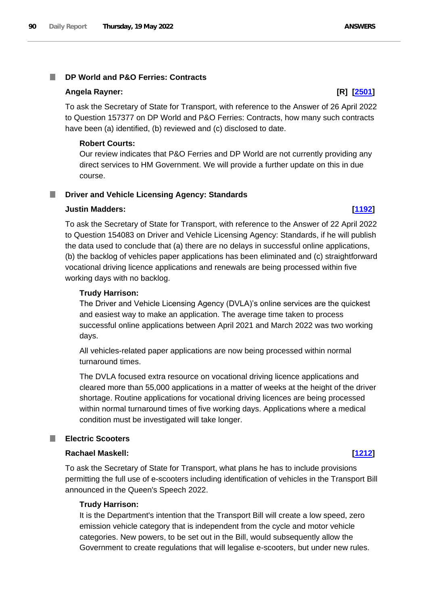# **DP World and P&O Ferries: Contracts**

## **Angela Rayner: [R] [\[2501\]](http://www.parliament.uk/business/publications/written-questions-answers-statements/written-question/Commons/2022-05-16/2501)**

To ask the Secretary of State for Transport, with reference to the Answer of 26 April 2022 to Question 157377 on DP World and P&O Ferries: Contracts, how many such contracts have been (a) identified, (b) reviewed and (c) disclosed to date.

# **Robert Courts:**

Our review indicates that P&O Ferries and DP World are not currently providing any direct services to HM Government. We will provide a further update on this in due course.

### **Driver and Vehicle Licensing Agency: Standards** .

# **Justin Madders: [\[1192\]](http://www.parliament.uk/business/publications/written-questions-answers-statements/written-question/Commons/2022-05-12/1192)**

To ask the Secretary of State for Transport, with reference to the Answer of 22 April 2022 to Question 154083 on Driver and Vehicle Licensing Agency: Standards, if he will publish the data used to conclude that (a) there are no delays in successful online applications, (b) the backlog of vehicles paper applications has been eliminated and (c) straightforward vocational driving licence applications and renewals are being processed within five working days with no backlog.

# **Trudy Harrison:**

The Driver and Vehicle Licensing Agency (DVLA)'s online services are the quickest and easiest way to make an application. The average time taken to process successful online applications between April 2021 and March 2022 was two working days.

All vehicles-related paper applications are now being processed within normal turnaround times.

The DVLA focused extra resource on vocational driving licence applications and cleared more than 55,000 applications in a matter of weeks at the height of the driver shortage. Routine applications for vocational driving licences are being processed within normal turnaround times of five working days. Applications where a medical condition must be investigated will take longer.

# **Electric Scooters**

# **Rachael Maskell: [\[1212\]](http://www.parliament.uk/business/publications/written-questions-answers-statements/written-question/Commons/2022-05-12/1212)**

To ask the Secretary of State for Transport, what plans he has to include provisions permitting the full use of e-scooters including identification of vehicles in the Transport Bill announced in the Queen's Speech 2022.

# **Trudy Harrison:**

It is the Department's intention that the Transport Bill will create a low speed, zero emission vehicle category that is independent from the cycle and motor vehicle categories. New powers, to be set out in the Bill, would subsequently allow the Government to create regulations that will legalise e-scooters, but under new rules.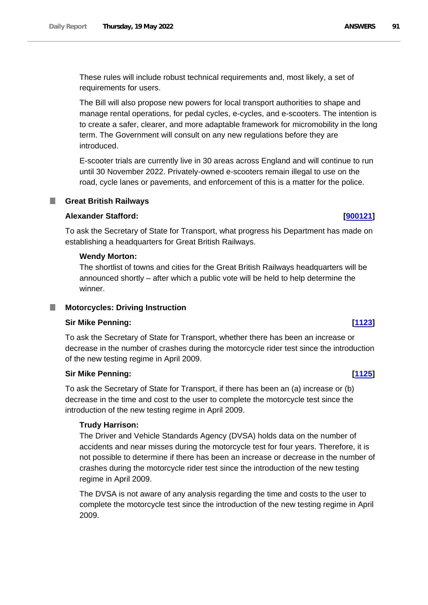These rules will include robust technical requirements and, most likely, a set of requirements for users.

The Bill will also propose new powers for local transport authorities to shape and manage rental operations, for pedal cycles, e-cycles, and e-scooters. The intention is to create a safer, clearer, and more adaptable framework for micromobility in the long term. The Government will consult on any new regulations before they are introduced.

E-scooter trials are currently live in 30 areas across England and will continue to run until 30 November 2022. Privately-owned e-scooters remain illegal to use on the road, cycle lanes or pavements, and enforcement of this is a matter for the police.

# **Great British Railways**

# **Alexander Stafford: [\[900121\]](http://www.parliament.uk/business/publications/written-questions-answers-statements/written-question/Commons/2022-05-19/900121)**

To ask the Secretary of State for Transport, what progress his Department has made on establishing a headquarters for Great British Railways.

## **Wendy Morton:**

The shortlist of towns and cities for the Great British Railways headquarters will be announced shortly – after which a public vote will be held to help determine the winner.

### **Motorcycles: Driving Instruction** ш

### **Sir Mike Penning: [\[1123\]](http://www.parliament.uk/business/publications/written-questions-answers-statements/written-question/Commons/2022-05-12/1123)**

To ask the Secretary of State for Transport, whether there has been an increase or decrease in the number of crashes during the motorcycle rider test since the introduction of the new testing regime in April 2009.

# **Sir Mike Penning: [\[1125\]](http://www.parliament.uk/business/publications/written-questions-answers-statements/written-question/Commons/2022-05-12/1125)**

To ask the Secretary of State for Transport, if there has been an (a) increase or (b) decrease in the time and cost to the user to complete the motorcycle test since the introduction of the new testing regime in April 2009.

### **Trudy Harrison:**

The Driver and Vehicle Standards Agency (DVSA) holds data on the number of accidents and near misses during the motorcycle test for four years. Therefore, it is not possible to determine if there has been an increase or decrease in the number of crashes during the motorcycle rider test since the introduction of the new testing regime in April 2009.

The DVSA is not aware of any analysis regarding the time and costs to the user to complete the motorcycle test since the introduction of the new testing regime in April 2009.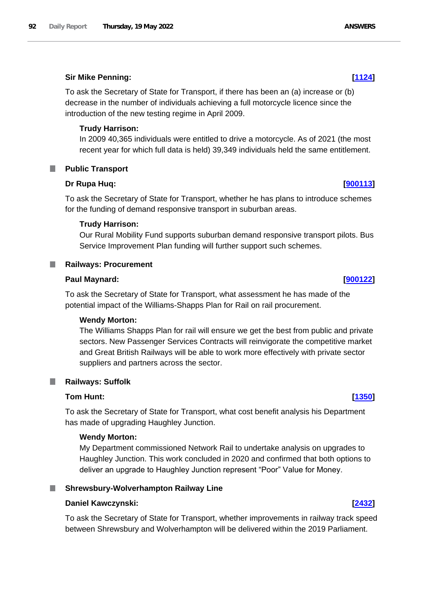# **Sir Mike Penning: [\[1124\]](http://www.parliament.uk/business/publications/written-questions-answers-statements/written-question/Commons/2022-05-12/1124)**

To ask the Secretary of State for Transport, if there has been an (a) increase or (b) decrease in the number of individuals achieving a full motorcycle licence since the introduction of the new testing regime in April 2009.

# **Trudy Harrison:**

In 2009 40,365 individuals were entitled to drive a motorcycle. As of 2021 (the most recent year for which full data is held) 39,349 individuals held the same entitlement.

# **Public Transport**

# **Dr Rupa Huq: [\[900113\]](http://www.parliament.uk/business/publications/written-questions-answers-statements/written-question/Commons/2022-05-12/900113)**

To ask the Secretary of State for Transport, whether he has plans to introduce schemes for the funding of demand responsive transport in suburban areas.

# **Trudy Harrison:**

Our Rural Mobility Fund supports suburban demand responsive transport pilots. Bus Service Improvement Plan funding will further support such schemes.

# **Railways: Procurement**

# **Paul Maynard: [\[900122\]](http://www.parliament.uk/business/publications/written-questions-answers-statements/written-question/Commons/2022-05-19/900122)**

To ask the Secretary of State for Transport, what assessment he has made of the potential impact of the Williams-Shapps Plan for Rail on rail procurement.

# **Wendy Morton:**

The Williams Shapps Plan for rail will ensure we get the best from public and private sectors. New Passenger Services Contracts will reinvigorate the competitive market and Great British Railways will be able to work more effectively with private sector suppliers and partners across the sector.

### **Railways: Suffolk** ш

# **Tom Hunt: [\[1350\]](http://www.parliament.uk/business/publications/written-questions-answers-statements/written-question/Commons/2022-05-12/1350)**

To ask the Secretary of State for Transport, what cost benefit analysis his Department has made of upgrading Haughley Junction.

### **Wendy Morton:**

My Department commissioned Network Rail to undertake analysis on upgrades to Haughley Junction. This work concluded in 2020 and confirmed that both options to deliver an upgrade to Haughley Junction represent "Poor" Value for Money.

# **Shrewsbury-Wolverhampton Railway Line**

### **Daniel Kawczynski: [\[2432\]](http://www.parliament.uk/business/publications/written-questions-answers-statements/written-question/Commons/2022-05-16/2432)**

To ask the Secretary of State for Transport, whether improvements in railway track speed between Shrewsbury and Wolverhampton will be delivered within the 2019 Parliament.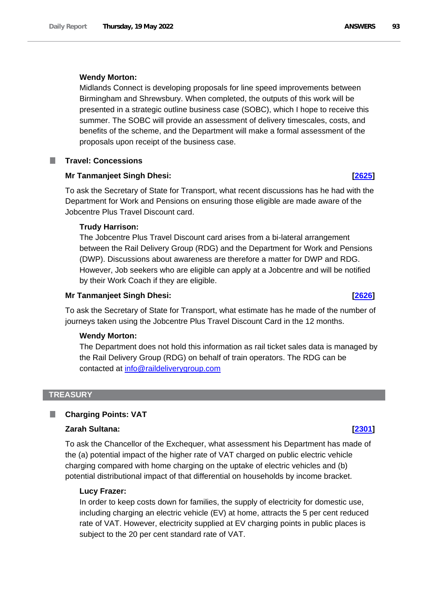## **Wendy Morton:**

Midlands Connect is developing proposals for line speed improvements between Birmingham and Shrewsbury. When completed, the outputs of this work will be presented in a strategic outline business case (SOBC), which I hope to receive this summer. The SOBC will provide an assessment of delivery timescales, costs, and benefits of the scheme, and the Department will make a formal assessment of the proposals upon receipt of the business case.

# **Travel: Concessions**

### **Mr Tanmanjeet Singh Dhesi: [\[2625\]](http://www.parliament.uk/business/publications/written-questions-answers-statements/written-question/Commons/2022-05-16/2625)**

To ask the Secretary of State for Transport, what recent discussions has he had with the Department for Work and Pensions on ensuring those eligible are made aware of the Jobcentre Plus Travel Discount card.

### **Trudy Harrison:**

The Jobcentre Plus Travel Discount card arises from a bi-lateral arrangement between the Rail Delivery Group (RDG) and the Department for Work and Pensions (DWP). Discussions about awareness are therefore a matter for DWP and RDG. However, Job seekers who are eligible can apply at a Jobcentre and will be notified by their Work Coach if they are eligible.

### **Mr Tanmanjeet Singh Dhesi: [\[2626\]](http://www.parliament.uk/business/publications/written-questions-answers-statements/written-question/Commons/2022-05-16/2626)**

To ask the Secretary of State for Transport, what estimate has he made of the number of journeys taken using the Jobcentre Plus Travel Discount Card in the 12 months.

## **Wendy Morton:**

The Department does not hold this information as rail ticket sales data is managed by the Rail Delivery Group (RDG) on behalf of train operators. The RDG can be contacted at info@raildeliverygroup.com

## **TREASURY**

# **Charging Points: VAT**

## **Zarah Sultana: [\[2301\]](http://www.parliament.uk/business/publications/written-questions-answers-statements/written-question/Commons/2022-05-16/2301)**

To ask the Chancellor of the Exchequer, what assessment his Department has made of the (a) potential impact of the higher rate of VAT charged on public electric vehicle charging compared with home charging on the uptake of electric vehicles and (b) potential distributional impact of that differential on households by income bracket.

### **Lucy Frazer:**

In order to keep costs down for families, the supply of electricity for domestic use, including charging an electric vehicle (EV) at home, attracts the 5 per cent reduced rate of VAT. However, electricity supplied at EV charging points in public places is subject to the 20 per cent standard rate of VAT.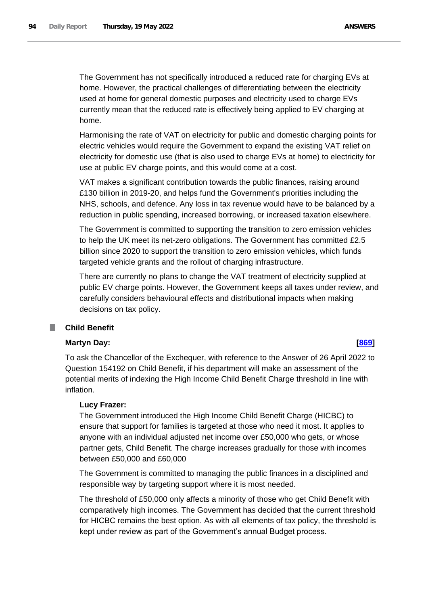The Government has not specifically introduced a reduced rate for charging EVs at home. However, the practical challenges of differentiating between the electricity used at home for general domestic purposes and electricity used to charge EVs currently mean that the reduced rate is effectively being applied to EV charging at home.

Harmonising the rate of VAT on electricity for public and domestic charging points for electric vehicles would require the Government to expand the existing VAT relief on electricity for domestic use (that is also used to charge EVs at home) to electricity for use at public EV charge points, and this would come at a cost.

VAT makes a significant contribution towards the public finances, raising around £130 billion in 2019-20, and helps fund the Government's priorities including the NHS, schools, and defence. Any loss in tax revenue would have to be balanced by a reduction in public spending, increased borrowing, or increased taxation elsewhere.

The Government is committed to supporting the transition to zero emission vehicles to help the UK meet its net-zero obligations. The Government has committed £2.5 billion since 2020 to support the transition to zero emission vehicles, which funds targeted vehicle grants and the rollout of charging infrastructure.

There are currently no plans to change the VAT treatment of electricity supplied at public EV charge points. However, the Government keeps all taxes under review, and carefully considers behavioural effects and distributional impacts when making decisions on tax policy.

### **Child Benefit I**

# **Martyn Day: [\[869\]](http://www.parliament.uk/business/publications/written-questions-answers-statements/written-question/Commons/2022-05-11/869)**

To ask the Chancellor of the Exchequer, with reference to the Answer of 26 April 2022 to Question 154192 on Child Benefit, if his department will make an assessment of the potential merits of indexing the High Income Child Benefit Charge threshold in line with inflation.

# **Lucy Frazer:**

The Government introduced the High Income Child Benefit Charge (HICBC) to ensure that support for families is targeted at those who need it most. It applies to anyone with an individual adjusted net income over £50,000 who gets, or whose partner gets, Child Benefit. The charge increases gradually for those with incomes between £50,000 and £60,000

The Government is committed to managing the public finances in a disciplined and responsible way by targeting support where it is most needed.

The threshold of £50,000 only affects a minority of those who get Child Benefit with comparatively high incomes. The Government has decided that the current threshold for HICBC remains the best option. As with all elements of tax policy, the threshold is kept under review as part of the Government's annual Budget process.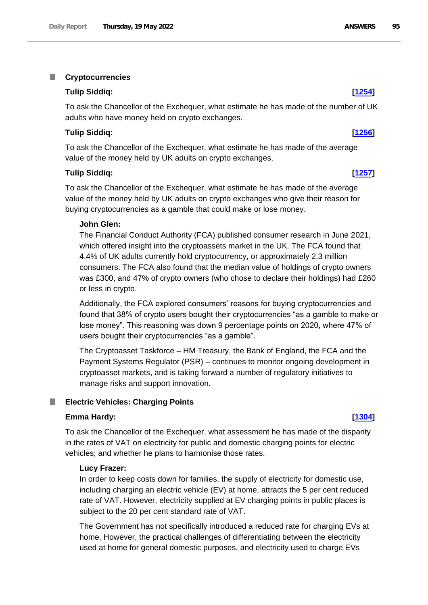### T. **Cryptocurrencies**

## **Tulip Siddiq: [\[1254\]](http://www.parliament.uk/business/publications/written-questions-answers-statements/written-question/Commons/2022-05-12/1254)**

To ask the Chancellor of the Exchequer, what estimate he has made of the number of UK adults who have money held on crypto exchanges.

# **Tulip Siddiq: [\[1256\]](http://www.parliament.uk/business/publications/written-questions-answers-statements/written-question/Commons/2022-05-12/1256)**

To ask the Chancellor of the Exchequer, what estimate he has made of the average value of the money held by UK adults on crypto exchanges.

## **Tulip Siddiq: [\[1257\]](http://www.parliament.uk/business/publications/written-questions-answers-statements/written-question/Commons/2022-05-12/1257)**

To ask the Chancellor of the Exchequer, what estimate he has made of the average value of the money held by UK adults on crypto exchanges who give their reason for buying cryptocurrencies as a gamble that could make or lose money.

### **John Glen:**

The Financial Conduct Authority (FCA) published consumer research in June 2021, which offered insight into the cryptoassets market in the UK. The FCA found that 4.4% of UK adults currently hold cryptocurrency, or approximately 2.3 million consumers. The FCA also found that the median value of holdings of crypto owners was £300, and 47% of crypto owners (who chose to declare their holdings) had £260 or less in crypto.

Additionally, the FCA explored consumers' reasons for buying cryptocurrencies and found that 38% of crypto users bought their cryptocurrencies "as a gamble to make or lose money". This reasoning was down 9 percentage points on 2020, where 47% of users bought their cryptocurrencies "as a gamble".

The Cryptoasset Taskforce – HM Treasury, the Bank of England, the FCA and the Payment Systems Regulator (PSR) – continues to monitor ongoing development in cryptoasset markets, and is taking forward a number of regulatory initiatives to manage risks and support innovation.

### **Electric Vehicles: Charging Points** ш

### **Emma Hardy: [\[1304\]](http://www.parliament.uk/business/publications/written-questions-answers-statements/written-question/Commons/2022-05-12/1304)**

To ask the Chancellor of the Exchequer, what assessment he has made of the disparity in the rates of VAT on electricity for public and domestic charging points for electric vehicles; and whether he plans to harmonise those rates.

## **Lucy Frazer:**

In order to keep costs down for families, the supply of electricity for domestic use, including charging an electric vehicle (EV) at home, attracts the 5 per cent reduced rate of VAT. However, electricity supplied at EV charging points in public places is subject to the 20 per cent standard rate of VAT.

The Government has not specifically introduced a reduced rate for charging EVs at home. However, the practical challenges of differentiating between the electricity used at home for general domestic purposes, and electricity used to charge EVs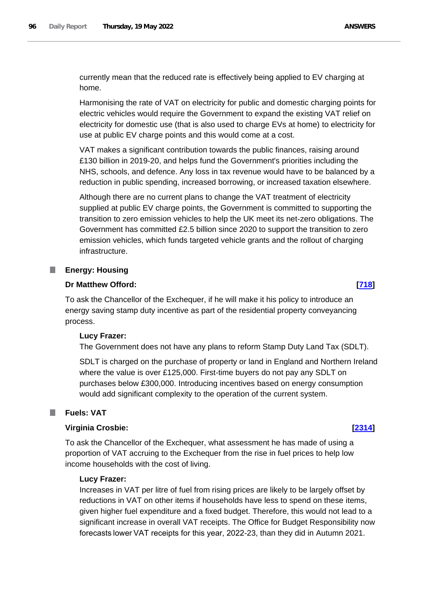currently mean that the reduced rate is effectively being applied to EV charging at home.

Harmonising the rate of VAT on electricity for public and domestic charging points for electric vehicles would require the Government to expand the existing VAT relief on electricity for domestic use (that is also used to charge EVs at home) to electricity for use at public EV charge points and this would come at a cost.

VAT makes a significant contribution towards the public finances, raising around £130 billion in 2019-20, and helps fund the Government's priorities including the NHS, schools, and defence. Any loss in tax revenue would have to be balanced by a reduction in public spending, increased borrowing, or increased taxation elsewhere.

Although there are no current plans to change the VAT treatment of electricity supplied at public EV charge points, the Government is committed to supporting the transition to zero emission vehicles to help the UK meet its net-zero obligations. The Government has committed £2.5 billion since 2020 to support the transition to zero emission vehicles, which funds targeted vehicle grants and the rollout of charging infrastructure.

# **Energy: Housing**

# **Dr Matthew Offord: [\[718\]](http://www.parliament.uk/business/publications/written-questions-answers-statements/written-question/Commons/2022-05-11/718)**

To ask the Chancellor of the Exchequer, if he will make it his policy to introduce an energy saving stamp duty incentive as part of the residential property conveyancing process.

# **Lucy Frazer:**

The Government does not have any plans to reform Stamp Duty Land Tax (SDLT).

SDLT is charged on the purchase of property or land in England and Northern Ireland where the value is over £125,000. First-time buyers do not pay any SDLT on purchases below £300,000. Introducing incentives based on energy consumption would add significant complexity to the operation of the current system.

### **Fuels: VAT** T.

# **Virginia Crosbie: [\[2314\]](http://www.parliament.uk/business/publications/written-questions-answers-statements/written-question/Commons/2022-05-16/2314)**

To ask the Chancellor of the Exchequer, what assessment he has made of using a proportion of VAT accruing to the Exchequer from the rise in fuel prices to help low income households with the cost of living.

# **Lucy Frazer:**

Increases in VAT per litre of fuel from rising prices are likely to be largely offset by reductions in VAT on other items if households have less to spend on these items, given higher fuel expenditure and a fixed budget. Therefore, this would not lead to a significant increase in overall VAT receipts. The Office for Budget Responsibility now forecasts lower VAT receipts for this year, 2022-23, than they did in Autumn 2021.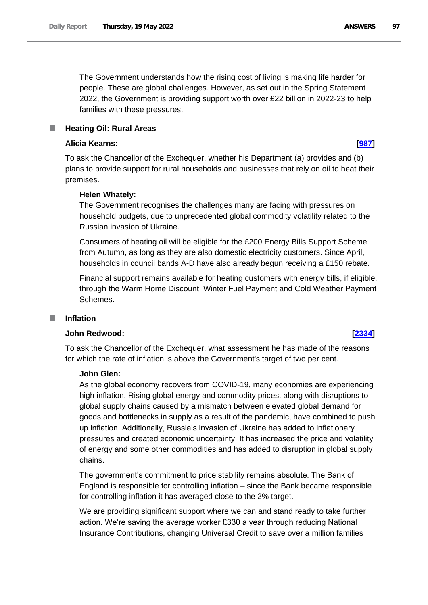The Government understands how the rising cost of living is making life harder for people. These are global challenges. However, as set out in the Spring Statement 2022, the Government is providing support worth over £22 billion in 2022-23 to help families with these pressures.

# **Heating Oil: Rural Areas**

## **Alicia Kearns: [\[987\]](http://www.parliament.uk/business/publications/written-questions-answers-statements/written-question/Commons/2022-05-11/987)**

To ask the Chancellor of the Exchequer, whether his Department (a) provides and (b) plans to provide support for rural households and businesses that rely on oil to heat their premises.

## **Helen Whately:**

The Government recognises the challenges many are facing with pressures on household budgets, due to unprecedented global commodity volatility related to the Russian invasion of Ukraine.

Consumers of heating oil will be eligible for the £200 Energy Bills Support Scheme from Autumn, as long as they are also domestic electricity customers. Since April, households in council bands A-D have also already begun receiving a £150 rebate.

Financial support remains available for heating customers with energy bills, if eligible, through the Warm Home Discount, Winter Fuel Payment and Cold Weather Payment Schemes.

# **Inflation**

# **John Redwood: [\[2334\]](http://www.parliament.uk/business/publications/written-questions-answers-statements/written-question/Commons/2022-05-16/2334)**

To ask the Chancellor of the Exchequer, what assessment he has made of the reasons for which the rate of inflation is above the Government's target of two per cent.

## **John Glen:**

As the global economy recovers from COVID-19, many economies are experiencing high inflation. Rising global energy and commodity prices, along with disruptions to global supply chains caused by a mismatch between elevated global demand for goods and bottlenecks in supply as a result of the pandemic, have combined to push up inflation. Additionally, Russia's invasion of Ukraine has added to inflationary pressures and created economic uncertainty. It has increased the price and volatility of energy and some other commodities and has added to disruption in global supply chains.

The government's commitment to price stability remains absolute. The Bank of England is responsible for controlling inflation – since the Bank became responsible for controlling inflation it has averaged close to the 2% target.

We are providing significant support where we can and stand ready to take further action. We're saving the average worker £330 a year through reducing National Insurance Contributions, changing Universal Credit to save over a million families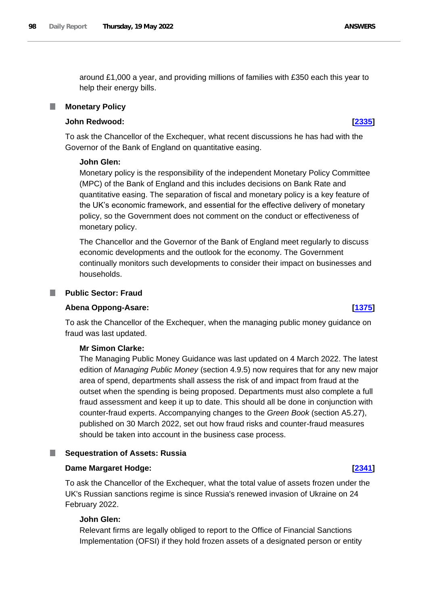around £1,000 a year, and providing millions of families with £350 each this year to help their energy bills.

## **Monetary Policy**

# **John Redwood: [\[2335\]](http://www.parliament.uk/business/publications/written-questions-answers-statements/written-question/Commons/2022-05-16/2335)**

To ask the Chancellor of the Exchequer, what recent discussions he has had with the Governor of the Bank of England on quantitative easing.

## **John Glen:**

Monetary policy is the responsibility of the independent Monetary Policy Committee (MPC) of the Bank of England and this includes decisions on Bank Rate and quantitative easing. The separation of fiscal and monetary policy is a key feature of the UK's economic framework, and essential for the effective delivery of monetary policy, so the Government does not comment on the conduct or effectiveness of monetary policy.

The Chancellor and the Governor of the Bank of England meet regularly to discuss economic developments and the outlook for the economy. The Government continually monitors such developments to consider their impact on businesses and households.

### **Public Sector: Fraud**

### **Abena Oppong-Asare: [\[1375\]](http://www.parliament.uk/business/publications/written-questions-answers-statements/written-question/Commons/2022-05-12/1375)**

To ask the Chancellor of the Exchequer, when the managing public money guidance on fraud was last updated.

### **Mr Simon Clarke:**

The Managing Public Money Guidance was last updated on 4 March 2022. The latest edition of *Managing Public Money* (section 4.9.5) now requires that for any new major area of spend, departments shall assess the risk of and impact from fraud at the outset when the spending is being proposed. Departments must also complete a full fraud assessment and keep it up to date. This should all be done in conjunction with counter-fraud experts. Accompanying changes to the *Green Book* (section A5.27), published on 30 March 2022, set out how fraud risks and counter-fraud measures should be taken into account in the business case process.

### ш **Sequestration of Assets: Russia**

### **Dame Margaret Hodge: [\[2341\]](http://www.parliament.uk/business/publications/written-questions-answers-statements/written-question/Commons/2022-05-16/2341)**

To ask the Chancellor of the Exchequer, what the total value of assets frozen under the UK's Russian sanctions regime is since Russia's renewed invasion of Ukraine on 24 February 2022.

# **John Glen:**

Relevant firms are legally obliged to report to the Office of Financial Sanctions Implementation (OFSI) if they hold frozen assets of a designated person or entity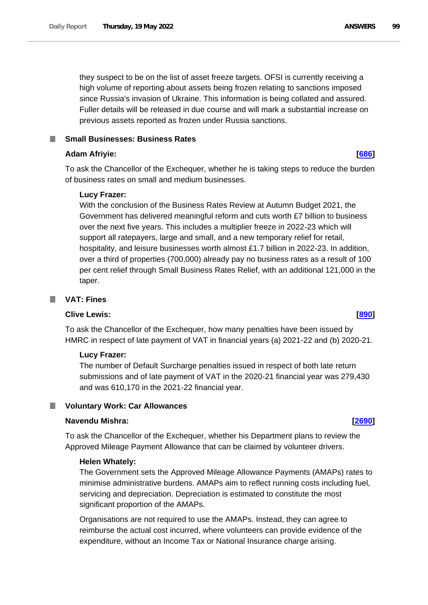they suspect to be on the list of asset freeze targets. OFSI is currently receiving a high volume of reporting about assets being frozen relating to sanctions imposed since Russia's invasion of Ukraine. This information is being collated and assured. Fuller details will be released in due course and will mark a substantial increase on previous assets reported as frozen under Russia sanctions.

# **Small Businesses: Business Rates**

# **Adam Afriyie: [\[686\]](http://www.parliament.uk/business/publications/written-questions-answers-statements/written-question/Commons/2022-05-11/686)**

To ask the Chancellor of the Exchequer, whether he is taking steps to reduce the burden of business rates on small and medium businesses.

# **Lucy Frazer:**

With the conclusion of the Business Rates Review at Autumn Budget 2021, the Government has delivered meaningful reform and cuts worth £7 billion to business over the next five years. This includes a multiplier freeze in 2022-23 which will support all ratepayers, large and small, and a new temporary relief for retail, hospitality, and leisure businesses worth almost £1.7 billion in 2022-23. In addition, over a third of properties (700,000) already pay no business rates as a result of 100 per cent relief through Small Business Rates Relief, with an additional 121,000 in the taper.

### **VAT: Fines The State**

# **Clive Lewis: [\[890\]](http://www.parliament.uk/business/publications/written-questions-answers-statements/written-question/Commons/2022-05-11/890)**

To ask the Chancellor of the Exchequer, how many penalties have been issued by HMRC in respect of late payment of VAT in financial years (a) 2021-22 and (b) 2020-21.

# **Lucy Frazer:**

The number of Default Surcharge penalties issued in respect of both late return submissions and of late payment of VAT in the 2020-21 financial year was 279,430 and was 610,170 in the 2021-22 financial year.

# **Voluntary Work: Car Allowances**

# **Navendu Mishra: [\[2690\]](http://www.parliament.uk/business/publications/written-questions-answers-statements/written-question/Commons/2022-05-16/2690)**

To ask the Chancellor of the Exchequer, whether his Department plans to review the Approved Mileage Payment Allowance that can be claimed by volunteer drivers.

# **Helen Whately:**

The Government sets the Approved Mileage Allowance Payments (AMAPs) rates to minimise administrative burdens. AMAPs aim to reflect running costs including fuel, servicing and depreciation. Depreciation is estimated to constitute the most significant proportion of the AMAPs.

Organisations are not required to use the AMAPs. Instead, they can agree to reimburse the actual cost incurred, where volunteers can provide evidence of the expenditure, without an Income Tax or National Insurance charge arising.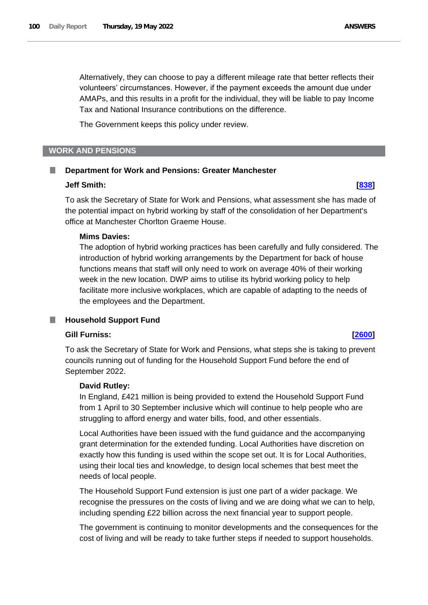Alternatively, they can choose to pay a different mileage rate that better reflects their volunteers' circumstances. However, if the payment exceeds the amount due under AMAPs, and this results in a profit for the individual, they will be liable to pay Income Tax and National Insurance contributions on the difference.

The Government keeps this policy under review.

## **WORK AND PENSIONS**

### **Department for Work and Pensions: Greater Manchester** .

### **Jeff Smith: [\[838\]](http://www.parliament.uk/business/publications/written-questions-answers-statements/written-question/Commons/2022-05-11/838)**

To ask the Secretary of State for Work and Pensions, what assessment she has made of the potential impact on hybrid working by staff of the consolidation of her Department's office at Manchester Chorlton Graeme House.

## **Mims Davies:**

The adoption of hybrid working practices has been carefully and fully considered. The introduction of hybrid working arrangements by the Department for back of house functions means that staff will only need to work on average 40% of their working week in the new location. DWP aims to utilise its hybrid working policy to help facilitate more inclusive workplaces, which are capable of adapting to the needs of the employees and the Department.

# **Household Support Fund**

# **Gill Furniss: [\[2600\]](http://www.parliament.uk/business/publications/written-questions-answers-statements/written-question/Commons/2022-05-16/2600)**

To ask the Secretary of State for Work and Pensions, what steps she is taking to prevent councils running out of funding for the Household Support Fund before the end of September 2022.

## **David Rutley:**

In England, £421 million is being provided to extend the Household Support Fund from 1 April to 30 September inclusive which will continue to help people who are struggling to afford energy and water bills, food, and other essentials.

Local Authorities have been issued with the fund guidance and the accompanying grant determination for the extended funding. Local Authorities have discretion on exactly how this funding is used within the scope set out. It is for Local Authorities, using their local ties and knowledge, to design local schemes that best meet the needs of local people.

The Household Support Fund extension is just one part of a wider package. We recognise the pressures on the costs of living and we are doing what we can to help, including spending £22 billion across the next financial year to support people.

The government is continuing to monitor developments and the consequences for the cost of living and will be ready to take further steps if needed to support households.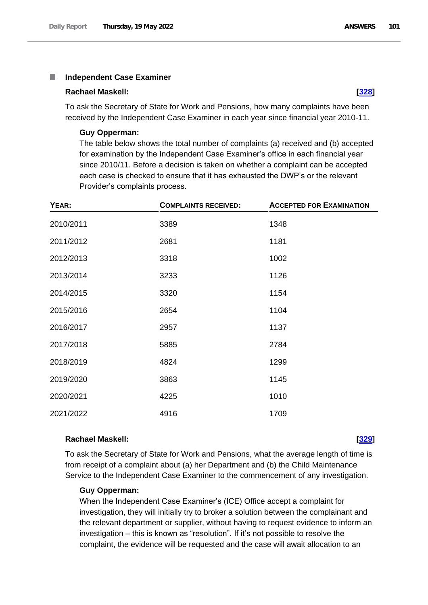### П **Independent Case Examiner**

### **Rachael Maskell: [\[328\]](http://www.parliament.uk/business/publications/written-questions-answers-statements/written-question/Commons/2022-05-10/328)**

To ask the Secretary of State for Work and Pensions, how many complaints have been received by the Independent Case Examiner in each year since financial year 2010-11.

### **Guy Opperman:**

The table below shows the total number of complaints (a) received and (b) accepted for examination by the Independent Case Examiner's office in each financial year since 2010/11. Before a decision is taken on whether a complaint can be accepted each case is checked to ensure that it has exhausted the DWP's or the relevant Provider's complaints process.

| YEAR:     | <b>COMPLAINTS RECEIVED:</b> | <b>ACCEPTED FOR EXAMINATION</b> |
|-----------|-----------------------------|---------------------------------|
| 2010/2011 | 3389                        | 1348                            |
| 2011/2012 | 2681                        | 1181                            |
| 2012/2013 | 3318                        | 1002                            |
| 2013/2014 | 3233                        | 1126                            |
| 2014/2015 | 3320                        | 1154                            |
| 2015/2016 | 2654                        | 1104                            |
| 2016/2017 | 2957                        | 1137                            |
| 2017/2018 | 5885                        | 2784                            |
| 2018/2019 | 4824                        | 1299                            |
| 2019/2020 | 3863                        | 1145                            |
| 2020/2021 | 4225                        | 1010                            |
| 2021/2022 | 4916                        | 1709                            |

### **Rachael Maskell: [\[329\]](http://www.parliament.uk/business/publications/written-questions-answers-statements/written-question/Commons/2022-05-10/329)**

To ask the Secretary of State for Work and Pensions, what the average length of time is from receipt of a complaint about (a) her Department and (b) the Child Maintenance Service to the Independent Case Examiner to the commencement of any investigation.

### **Guy Opperman:**

When the Independent Case Examiner's (ICE) Office accept a complaint for investigation, they will initially try to broker a solution between the complainant and the relevant department or supplier, without having to request evidence to inform an investigation – this is known as "resolution". If it's not possible to resolve the complaint, the evidence will be requested and the case will await allocation to an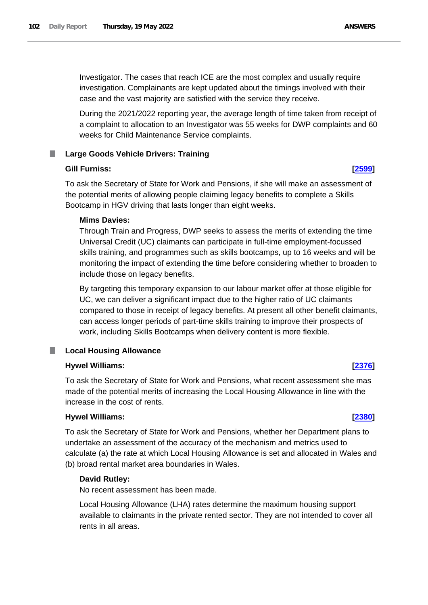Investigator. The cases that reach ICE are the most complex and usually require investigation. Complainants are kept updated about the timings involved with their case and the vast majority are satisfied with the service they receive.

During the 2021/2022 reporting year, the average length of time taken from receipt of a complaint to allocation to an Investigator was 55 weeks for DWP complaints and 60 weeks for Child Maintenance Service complaints.

# **Large Goods Vehicle Drivers: Training**

## **Gill Furniss: [\[2599\]](http://www.parliament.uk/business/publications/written-questions-answers-statements/written-question/Commons/2022-05-16/2599)**

To ask the Secretary of State for Work and Pensions, if she will make an assessment of the potential merits of allowing people claiming legacy benefits to complete a Skills Bootcamp in HGV driving that lasts longer than eight weeks.

## **Mims Davies:**

Through Train and Progress, DWP seeks to assess the merits of extending the time Universal Credit (UC) claimants can participate in full-time employment-focussed skills training, and programmes such as skills bootcamps, up to 16 weeks and will be monitoring the impact of extending the time before considering whether to broaden to include those on legacy benefits.

By targeting this temporary expansion to our labour market offer at those eligible for UC, we can deliver a significant impact due to the higher ratio of UC claimants compared to those in receipt of legacy benefits. At present all other benefit claimants, can access longer periods of part-time skills training to improve their prospects of work, including Skills Bootcamps when delivery content is more flexible.

# **Local Housing Allowance**

## **Hywel Williams: [\[2376\]](http://www.parliament.uk/business/publications/written-questions-answers-statements/written-question/Commons/2022-05-16/2376)**

To ask the Secretary of State for Work and Pensions, what recent assessment she mas made of the potential merits of increasing the Local Housing Allowance in line with the increase in the cost of rents.

### **Hywel Williams: [\[2380\]](http://www.parliament.uk/business/publications/written-questions-answers-statements/written-question/Commons/2022-05-16/2380)**

To ask the Secretary of State for Work and Pensions, whether her Department plans to undertake an assessment of the accuracy of the mechanism and metrics used to calculate (a) the rate at which Local Housing Allowance is set and allocated in Wales and (b) broad rental market area boundaries in Wales.

## **David Rutley:**

No recent assessment has been made.

Local Housing Allowance (LHA) rates determine the maximum housing support available to claimants in the private rented sector. They are not intended to cover all rents in all areas.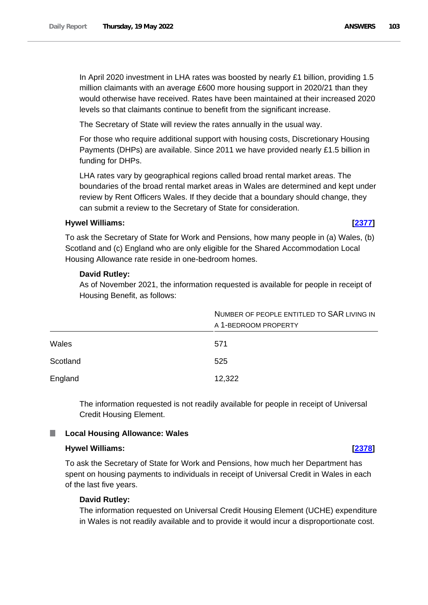The Secretary of State will review the rates annually in the usual way.

For those who require additional support with housing costs, Discretionary Housing Payments (DHPs) are available. Since 2011 we have provided nearly £1.5 billion in funding for DHPs.

LHA rates vary by geographical regions called broad rental market areas. The boundaries of the broad rental market areas in Wales are determined and kept under review by Rent Officers Wales. If they decide that a boundary should change, they can submit a review to the Secretary of State for consideration.

# **Hywel Williams: [\[2377\]](http://www.parliament.uk/business/publications/written-questions-answers-statements/written-question/Commons/2022-05-16/2377)**

To ask the Secretary of State for Work and Pensions, how many people in (a) Wales, (b) Scotland and (c) England who are only eligible for the Shared Accommodation Local Housing Allowance rate reside in one-bedroom homes.

# **David Rutley:**

As of November 2021, the information requested is available for people in receipt of Housing Benefit, as follows:

|          | NUMBER OF PEOPLE ENTITLED TO SAR LIVING IN<br>A 1-BEDROOM PROPERTY |
|----------|--------------------------------------------------------------------|
| Wales    | 571                                                                |
| Scotland | 525                                                                |
| England  | 12,322                                                             |

The information requested is not readily available for people in receipt of Universal Credit Housing Element.

# **Local Housing Allowance: Wales**

# **Hywel Williams: [\[2378\]](http://www.parliament.uk/business/publications/written-questions-answers-statements/written-question/Commons/2022-05-16/2378)**

To ask the Secretary of State for Work and Pensions, how much her Department has spent on housing payments to individuals in receipt of Universal Credit in Wales in each of the last five years.

# **David Rutley:**

The information requested on Universal Credit Housing Element (UCHE) expenditure in Wales is not readily available and to provide it would incur a disproportionate cost.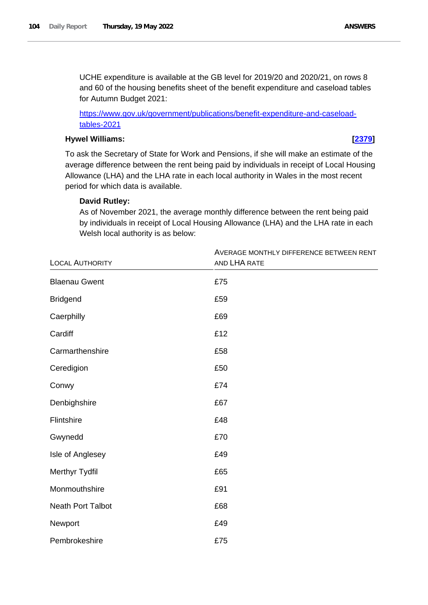UCHE expenditure is available at the GB level for 2019/20 and 2020/21, on rows 8 and 60 of the housing benefits sheet of the benefit expenditure and caseload tables for Autumn Budget 2021:

[https://www.gov.uk/government/publications/benefit-expenditure-and-caseload](https://www.gov.uk/government/publications/benefit-expenditure-and-caseload-tables-2021)[tables-2021](https://www.gov.uk/government/publications/benefit-expenditure-and-caseload-tables-2021)

# **Hywel Williams: [\[2379\]](http://www.parliament.uk/business/publications/written-questions-answers-statements/written-question/Commons/2022-05-16/2379)**

To ask the Secretary of State for Work and Pensions, if she will make an estimate of the average difference between the rent being paid by individuals in receipt of Local Housing Allowance (LHA) and the LHA rate in each local authority in Wales in the most recent period for which data is available.

# **David Rutley:**

As of November 2021, the average monthly difference between the rent being paid by individuals in receipt of Local Housing Allowance (LHA) and the LHA rate in each Welsh local authority is as below:

|                          | AVERAGE MONTHLY DIFFERENCE BETWEEN RENT |
|--------------------------|-----------------------------------------|
| <b>LOCAL AUTHORITY</b>   | AND LHA RATE                            |
| <b>Blaenau Gwent</b>     | £75                                     |
| <b>Bridgend</b>          | £59                                     |
| Caerphilly               | £69                                     |
| Cardiff                  | £12                                     |
| Carmarthenshire          | £58                                     |
| Ceredigion               | £50                                     |
| Conwy                    | £74                                     |
| Denbighshire             | £67                                     |
| Flintshire               | £48                                     |
| Gwynedd                  | £70                                     |
| Isle of Anglesey         | £49                                     |
| Merthyr Tydfil           | £65                                     |
| Monmouthshire            | £91                                     |
| <b>Neath Port Talbot</b> | £68                                     |
| Newport                  | £49                                     |
| Pembrokeshire            | £75                                     |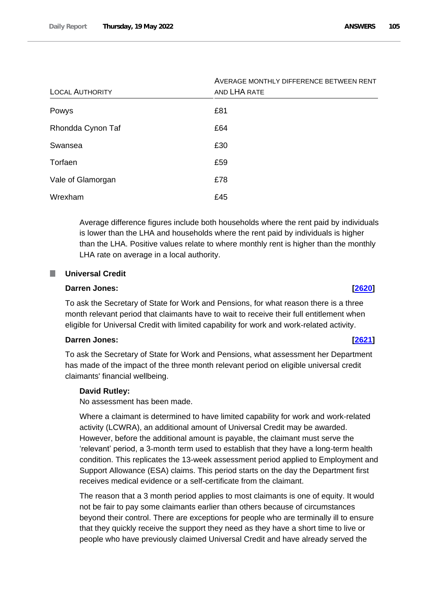| <b>LOCAL AUTHORITY</b> | AVERAGE MONTHLY DIFFERENCE BETWEEN RENT<br>AND LHA RATE |
|------------------------|---------------------------------------------------------|
| Powys                  | £81                                                     |
| Rhondda Cynon Taf      | £64                                                     |
| Swansea                | £30                                                     |
| Torfaen                | £59                                                     |
| Vale of Glamorgan      | £78                                                     |
| Wrexham                | £45                                                     |

Average difference figures include both households where the rent paid by individuals is lower than the LHA and households where the rent paid by individuals is higher than the LHA. Positive values relate to where monthly rent is higher than the monthly LHA rate on average in a local authority.

### ш **Universal Credit**

### **Darren Jones: [\[2620\]](http://www.parliament.uk/business/publications/written-questions-answers-statements/written-question/Commons/2022-05-16/2620)**

To ask the Secretary of State for Work and Pensions, for what reason there is a three month relevant period that claimants have to wait to receive their full entitlement when eligible for Universal Credit with limited capability for work and work-related activity.

### **Darren Jones: [\[2621\]](http://www.parliament.uk/business/publications/written-questions-answers-statements/written-question/Commons/2022-05-16/2621)**

To ask the Secretary of State for Work and Pensions, what assessment her Department has made of the impact of the three month relevant period on eligible universal credit claimants' financial wellbeing.

### **David Rutley:**

No assessment has been made.

Where a claimant is determined to have limited capability for work and work-related activity (LCWRA), an additional amount of Universal Credit may be awarded. However, before the additional amount is payable, the claimant must serve the 'relevant' period, a 3-month term used to establish that they have a long-term health condition. This replicates the 13-week assessment period applied to Employment and Support Allowance (ESA) claims. This period starts on the day the Department first receives medical evidence or a self-certificate from the claimant.

The reason that a 3 month period applies to most claimants is one of equity. It would not be fair to pay some claimants earlier than others because of circumstances beyond their control. There are exceptions for people who are terminally ill to ensure that they quickly receive the support they need as they have a short time to live or people who have previously claimed Universal Credit and have already served the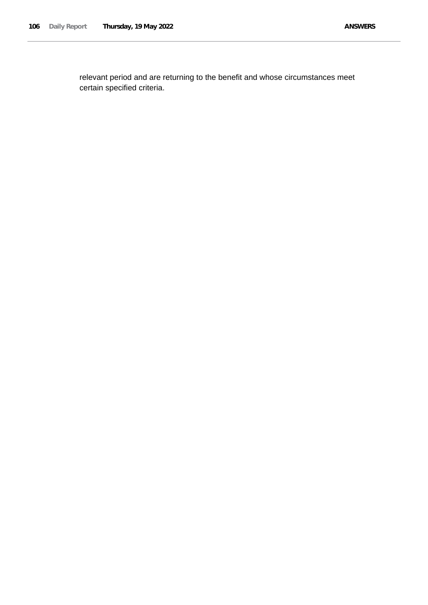relevant period and are returning to the benefit and whose circumstances meet certain specified criteria.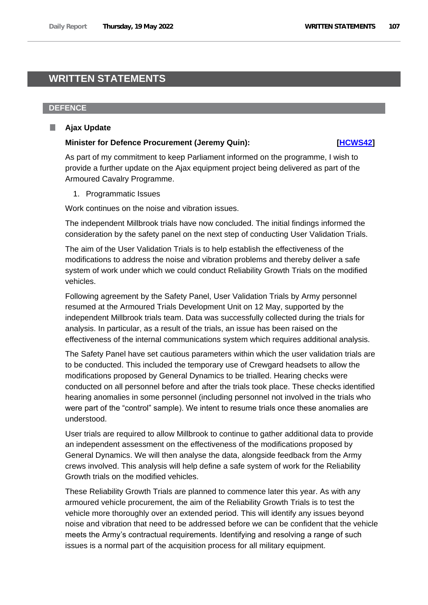# **WRITTEN STATEMENTS**

## **DEFENCE**

### **Ajax Update** ш

## **Minister for Defence Procurement (Jeremy Quin): [\[HCWS42\]](http://www.parliament.uk/business/publications/written-questions-answers-statements/written-statement/Commons/2022-05-19/HCWS42/)**

As part of my commitment to keep Parliament informed on the programme, I wish to provide a further update on the Ajax equipment project being delivered as part of the Armoured Cavalry Programme.

1. Programmatic Issues

Work continues on the noise and vibration issues.

The independent Millbrook trials have now concluded. The initial findings informed the consideration by the safety panel on the next step of conducting User Validation Trials.

The aim of the User Validation Trials is to help establish the effectiveness of the modifications to address the noise and vibration problems and thereby deliver a safe system of work under which we could conduct Reliability Growth Trials on the modified vehicles.

Following agreement by the Safety Panel, User Validation Trials by Army personnel resumed at the Armoured Trials Development Unit on 12 May, supported by the independent Millbrook trials team. Data was successfully collected during the trials for analysis. In particular, as a result of the trials, an issue has been raised on the effectiveness of the internal communications system which requires additional analysis.

The Safety Panel have set cautious parameters within which the user validation trials are to be conducted. This included the temporary use of Crewgard headsets to allow the modifications proposed by General Dynamics to be trialled. Hearing checks were conducted on all personnel before and after the trials took place. These checks identified hearing anomalies in some personnel (including personnel not involved in the trials who were part of the "control" sample). We intent to resume trials once these anomalies are understood.

User trials are required to allow Millbrook to continue to gather additional data to provide an independent assessment on the effectiveness of the modifications proposed by General Dynamics. We will then analyse the data, alongside feedback from the Army crews involved. This analysis will help define a safe system of work for the Reliability Growth trials on the modified vehicles.

These Reliability Growth Trials are planned to commence later this year. As with any armoured vehicle procurement, the aim of the Reliability Growth Trials is to test the vehicle more thoroughly over an extended period. This will identify any issues beyond noise and vibration that need to be addressed before we can be confident that the vehicle meets the Army's contractual requirements. Identifying and resolving a range of such issues is a normal part of the acquisition process for all military equipment.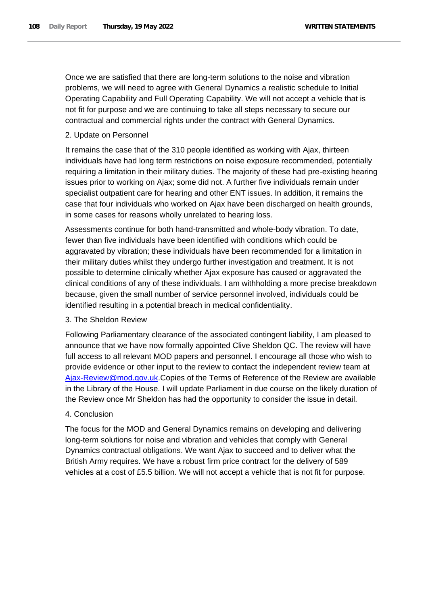Once we are satisfied that there are long-term solutions to the noise and vibration problems, we will need to agree with General Dynamics a realistic schedule to Initial Operating Capability and Full Operating Capability. We will not accept a vehicle that is not fit for purpose and we are continuing to take all steps necessary to secure our contractual and commercial rights under the contract with General Dynamics.

# 2. Update on Personnel

It remains the case that of the 310 people identified as working with Ajax, thirteen individuals have had long term restrictions on noise exposure recommended, potentially requiring a limitation in their military duties. The majority of these had pre-existing hearing issues prior to working on Ajax; some did not. A further five individuals remain under specialist outpatient care for hearing and other ENT issues. In addition, it remains the case that four individuals who worked on Ajax have been discharged on health grounds, in some cases for reasons wholly unrelated to hearing loss.

Assessments continue for both hand-transmitted and whole-body vibration. To date, fewer than five individuals have been identified with conditions which could be aggravated by vibration; these individuals have been recommended for a limitation in their military duties whilst they undergo further investigation and treatment. It is not possible to determine clinically whether Ajax exposure has caused or aggravated the clinical conditions of any of these individuals. I am withholding a more precise breakdown because, given the small number of service personnel involved, individuals could be identified resulting in a potential breach in medical confidentiality.

# 3. The Sheldon Review

Following Parliamentary clearance of the associated contingent liability, I am pleased to announce that we have now formally appointed Clive Sheldon QC. The review will have full access to all relevant MOD papers and personnel. I encourage all those who wish to provide evidence or other input to the review to contact the independent review team at [Ajax-Review@mod.gov.uk.](mailto:Ajax-Review@mod.gov.uk)Copies of the Terms of Reference of the Review are available in the Library of the House. I will update Parliament in due course on the likely duration of the Review once Mr Sheldon has had the opportunity to consider the issue in detail.

# 4. Conclusion

The focus for the MOD and General Dynamics remains on developing and delivering long-term solutions for noise and vibration and vehicles that comply with General Dynamics contractual obligations. We want Ajax to succeed and to deliver what the British Army requires. We have a robust firm price contract for the delivery of 589 vehicles at a cost of £5.5 billion. We will not accept a vehicle that is not fit for purpose.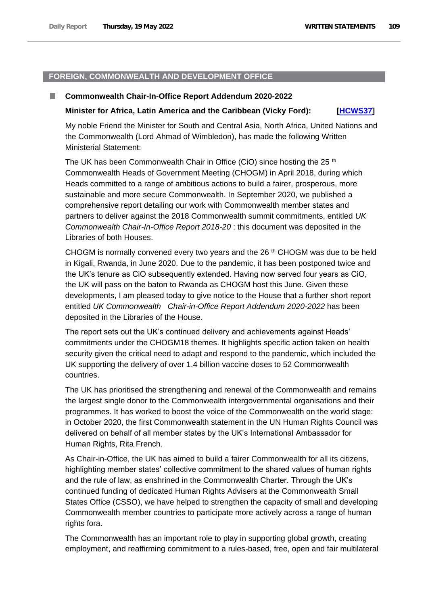# **FOREIGN, COMMONWEALTH AND DEVELOPMENT OFFICE**

#### **Commonwealth Chair-In-Office Report Addendum 2020-2022**

#### **Minister for Africa, Latin America and the Caribbean (Vicky Ford): [\[HCWS37\]](http://www.parliament.uk/business/publications/written-questions-answers-statements/written-statement/Commons/2022-05-19/HCWS37/)**

My noble Friend the Minister for South and Central Asia, North Africa, United Nations and the Commonwealth (Lord Ahmad of Wimbledon), has made the following Written Ministerial Statement:

The UK has been Commonwealth Chair in Office (CiO) since hosting the 25  $<sup>th</sup>$ </sup> Commonwealth Heads of Government Meeting (CHOGM) in April 2018, during which Heads committed to a range of ambitious actions to build a fairer, prosperous, more sustainable and more secure Commonwealth. In September 2020, we published a comprehensive report detailing our work with Commonwealth member states and partners to deliver against the 2018 Commonwealth summit commitments, entitled *UK Commonwealth Chair-In-Office Report 2018-20* : this document was deposited in the Libraries of both Houses.

CHOGM is normally convened every two years and the 26<sup>th</sup> CHOGM was due to be held in Kigali, Rwanda, in June 2020. Due to the pandemic, it has been postponed twice and the UK's tenure as CiO subsequently extended. Having now served four years as CiO, the UK will pass on the baton to Rwanda as CHOGM host this June. Given these developments, I am pleased today to give notice to the House that a further short report entitled *UK Commonwealth Chair-in-Office Report Addendum 2020-2022* has been deposited in the Libraries of the House.

The report sets out the UK's continued delivery and achievements against Heads' commitments under the CHOGM18 themes. It highlights specific action taken on health security given the critical need to adapt and respond to the pandemic, which included the UK supporting the delivery of over 1.4 billion vaccine doses to 52 Commonwealth countries.

The UK has prioritised the strengthening and renewal of the Commonwealth and remains the largest single donor to the Commonwealth intergovernmental organisations and their programmes. It has worked to boost the voice of the Commonwealth on the world stage: in October 2020, the first Commonwealth statement in the UN Human Rights Council was delivered on behalf of all member states by the UK's International Ambassador for Human Rights, Rita French.

As Chair-in-Office, the UK has aimed to build a fairer Commonwealth for all its citizens, highlighting member states' collective commitment to the shared values of human rights and the rule of law, as enshrined in the Commonwealth Charter. Through the UK's continued funding of dedicated Human Rights Advisers at the Commonwealth Small States Office (CSSO), we have helped to strengthen the capacity of small and developing Commonwealth member countries to participate more actively across a range of human rights fora.

The Commonwealth has an important role to play in supporting global growth, creating employment, and reaffirming commitment to a rules-based, free, open and fair multilateral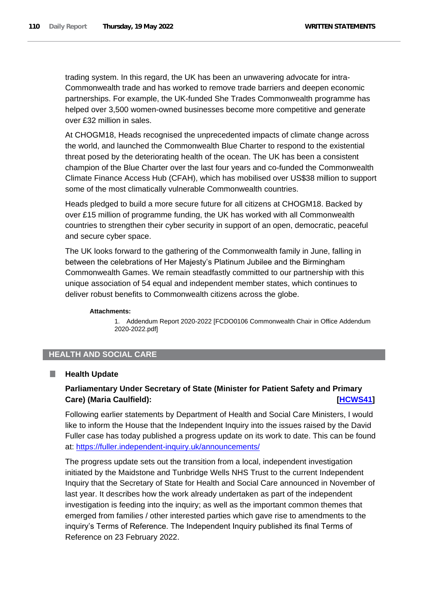trading system. In this regard, the UK has been an unwavering advocate for intra-Commonwealth trade and has worked to remove trade barriers and deepen economic partnerships. For example, the UK-funded She Trades Commonwealth programme has helped over 3,500 women-owned businesses become more competitive and generate over £32 million in sales.

At CHOGM18, Heads recognised the unprecedented impacts of climate change across the world, and launched the Commonwealth Blue Charter to respond to the existential threat posed by the deteriorating health of the ocean. The UK has been a consistent champion of the Blue Charter over the last four years and co-funded the Commonwealth Climate Finance Access Hub (CFAH), which has mobilised over US\$38 million to support some of the most climatically vulnerable Commonwealth countries.

Heads pledged to build a more secure future for all citizens at CHOGM18. Backed by over £15 million of programme funding, the UK has worked with all Commonwealth countries to strengthen their cyber security in support of an open, democratic, peaceful and secure cyber space.

The UK looks forward to the gathering of the Commonwealth family in June, falling in between the celebrations of Her Majesty's Platinum Jubilee and the Birmingham Commonwealth Games. We remain steadfastly committed to our partnership with this unique association of 54 equal and independent member states, which continues to deliver robust benefits to Commonwealth citizens across the globe.

#### **Attachments:**

1. Addendum Report 2020-2022 [FCDO0106 Commonwealth Chair in Office Addendum 2020-2022.pdf]

# **HEALTH AND SOCIAL CARE**

#### **Health Update** .

# **Parliamentary Under Secretary of State (Minister for Patient Safety and Primary Care) (Maria Caulfield): [\[HCWS41\]](http://www.parliament.uk/business/publications/written-questions-answers-statements/written-statement/Commons/2022-05-19/HCWS41/)**

Following earlier statements by Department of Health and Social Care Ministers, I would like to inform the House that the Independent Inquiry into the issues raised by the David Fuller case has today published a progress update on its work to date. This can be found at:<https://fuller.independent-inquiry.uk/announcements/>

The progress update sets out the transition from a local, independent investigation initiated by the Maidstone and Tunbridge Wells NHS Trust to the current Independent Inquiry that the Secretary of State for Health and Social Care announced in November of last year. It describes how the work already undertaken as part of the independent investigation is feeding into the inquiry; as well as the important common themes that emerged from families / other interested parties which gave rise to amendments to the inquiry's Terms of Reference. The Independent Inquiry published its final Terms of Reference on 23 February 2022.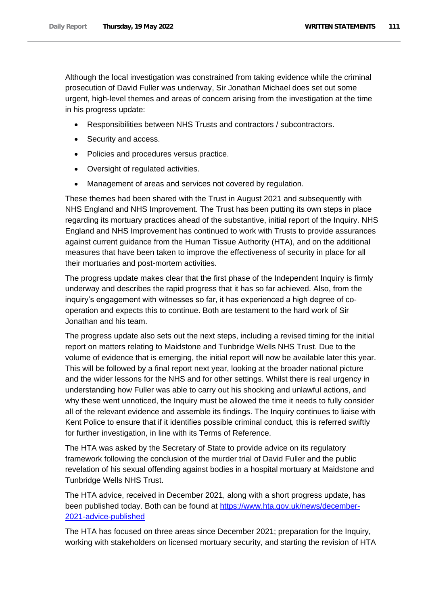Although the local investigation was constrained from taking evidence while the criminal prosecution of David Fuller was underway, Sir Jonathan Michael does set out some urgent, high-level themes and areas of concern arising from the investigation at the time in his progress update:

- Responsibilities between NHS Trusts and contractors / subcontractors.
- Security and access.
- Policies and procedures versus practice.
- Oversight of regulated activities.
- Management of areas and services not covered by regulation.

These themes had been shared with the Trust in August 2021 and subsequently with NHS England and NHS Improvement. The Trust has been putting its own steps in place regarding its mortuary practices ahead of the substantive, initial report of the Inquiry. NHS England and NHS Improvement has continued to work with Trusts to provide assurances against current guidance from the Human Tissue Authority (HTA), and on the additional measures that have been taken to improve the effectiveness of security in place for all their mortuaries and post-mortem activities.

The progress update makes clear that the first phase of the Independent Inquiry is firmly underway and describes the rapid progress that it has so far achieved. Also, from the inquiry's engagement with witnesses so far, it has experienced a high degree of cooperation and expects this to continue. Both are testament to the hard work of Sir Jonathan and his team.

The progress update also sets out the next steps, including a revised timing for the initial report on matters relating to Maidstone and Tunbridge Wells NHS Trust. Due to the volume of evidence that is emerging, the initial report will now be available later this year. This will be followed by a final report next year, looking at the broader national picture and the wider lessons for the NHS and for other settings. Whilst there is real urgency in understanding how Fuller was able to carry out his shocking and unlawful actions, and why these went unnoticed, the Inquiry must be allowed the time it needs to fully consider all of the relevant evidence and assemble its findings. The Inquiry continues to liaise with Kent Police to ensure that if it identifies possible criminal conduct, this is referred swiftly for further investigation, in line with its Terms of Reference.

The HTA was asked by the Secretary of State to provide advice on its regulatory framework following the conclusion of the murder trial of David Fuller and the public revelation of his sexual offending against bodies in a hospital mortuary at Maidstone and Tunbridge Wells NHS Trust.

The HTA advice, received in December 2021, along with a short progress update, has been published today. Both can be found at [https://www.hta.gov.uk/news/december-](https://eur03.safelinks.protection.outlook.com/?url=https%3A%2F%2Fwww.hta.gov.uk%2Fnews%2Fdecember-2021-advice-published&data=05%7C01%7Cjacky.cooper%40dhsc.gov.uk%7Cdfc5f984ab6e4a84eec808da34e95e89%7C61278c3091a84c318c1fef4de8973a1c%7C1%7C0%7C637880474164553263%7CUnknown%7CTWFpbGZsb3d8eyJWIjoiMC4wLjAwMDAiLCJQIjoiV2luMzIiLCJBTiI6Ik1haWwiLCJXVCI6Mn0%3D%7C3000%7C%7C%7C&sdata=dUnxoxtAaEWLf%2BCGX3V1Sj8z9gF2VKcQLpsa%2FtcHHP0%3D&reserved=0)[2021-advice-published](https://eur03.safelinks.protection.outlook.com/?url=https%3A%2F%2Fwww.hta.gov.uk%2Fnews%2Fdecember-2021-advice-published&data=05%7C01%7Cjacky.cooper%40dhsc.gov.uk%7Cdfc5f984ab6e4a84eec808da34e95e89%7C61278c3091a84c318c1fef4de8973a1c%7C1%7C0%7C637880474164553263%7CUnknown%7CTWFpbGZsb3d8eyJWIjoiMC4wLjAwMDAiLCJQIjoiV2luMzIiLCJBTiI6Ik1haWwiLCJXVCI6Mn0%3D%7C3000%7C%7C%7C&sdata=dUnxoxtAaEWLf%2BCGX3V1Sj8z9gF2VKcQLpsa%2FtcHHP0%3D&reserved=0)

The HTA has focused on three areas since December 2021; preparation for the Inquiry, working with stakeholders on licensed mortuary security, and starting the revision of HTA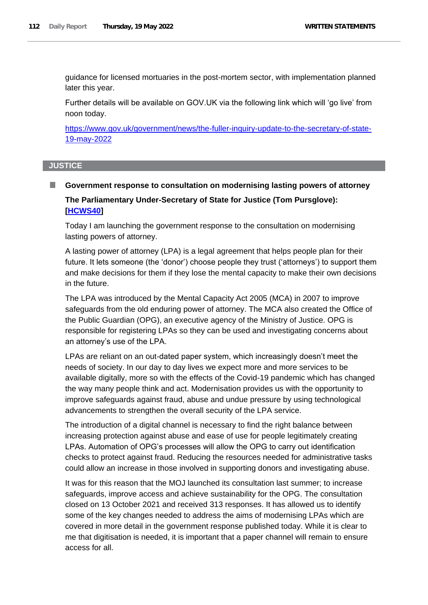guidance for licensed mortuaries in the post-mortem sector, with implementation planned later this year.

Further details will be available on GOV.UK via the following link which will 'go live' from noon today.

[https://www.gov.uk/government/news/the-fuller-inquiry-update-to-the-secretary-of-state-](https://eur03.safelinks.protection.outlook.com/?url=https%3A%2F%2Fwww.gov.uk%2Fgovernment%2Fnews%2Fthe-fuller-inquiry-update-to-the-secretary-of-state-19-may-2022&data=05%7C01%7Cmarcia.white%40dhsc.gov.uk%7C4923cb9cd38e4bca667c08da38dcaced%7C61278c3091a84c318c1fef4de8973a1c%7C1%7C0%7C637884817817203377%7CUnknown%7CTWFpbGZsb3d8eyJWIjoiMC4wLjAwMDAiLCJQIjoiV2luMzIiLCJBTiI6Ik1haWwiLCJXVCI6Mn0%3D%7C3000%7C%7C%7C&sdata=MAFXstlDcNTPm4FjBcMNnKnbe51UnpJLVktw%2FFWy0ms%3D&reserved=0)[19-may-2022](https://eur03.safelinks.protection.outlook.com/?url=https%3A%2F%2Fwww.gov.uk%2Fgovernment%2Fnews%2Fthe-fuller-inquiry-update-to-the-secretary-of-state-19-may-2022&data=05%7C01%7Cmarcia.white%40dhsc.gov.uk%7C4923cb9cd38e4bca667c08da38dcaced%7C61278c3091a84c318c1fef4de8973a1c%7C1%7C0%7C637884817817203377%7CUnknown%7CTWFpbGZsb3d8eyJWIjoiMC4wLjAwMDAiLCJQIjoiV2luMzIiLCJBTiI6Ik1haWwiLCJXVCI6Mn0%3D%7C3000%7C%7C%7C&sdata=MAFXstlDcNTPm4FjBcMNnKnbe51UnpJLVktw%2FFWy0ms%3D&reserved=0)

# **JUSTICE**

# **Government response to consultation on modernising lasting powers of attorney**

# **The Parliamentary Under-Secretary of State for Justice (Tom Pursglove): [\[HCWS40\]](http://www.parliament.uk/business/publications/written-questions-answers-statements/written-statement/Commons/2022-05-19/HCWS40/)**

Today I am launching the government response to the consultation on modernising lasting powers of attorney.

A lasting power of attorney (LPA) is a legal agreement that helps people plan for their future. It lets someone (the 'donor') choose people they trust ('attorneys') to support them and make decisions for them if they lose the mental capacity to make their own decisions in the future.

The LPA was introduced by the Mental Capacity Act 2005 (MCA) in 2007 to improve safeguards from the old enduring power of attorney. The MCA also created the Office of the Public Guardian (OPG), an executive agency of the Ministry of Justice. OPG is responsible for registering LPAs so they can be used and investigating concerns about an attorney's use of the LPA.

LPAs are reliant on an out-dated paper system, which increasingly doesn't meet the needs of society. In our day to day lives we expect more and more services to be available digitally, more so with the effects of the Covid-19 pandemic which has changed the way many people think and act. Modernisation provides us with the opportunity to improve safeguards against fraud, abuse and undue pressure by using technological advancements to strengthen the overall security of the LPA service.

The introduction of a digital channel is necessary to find the right balance between increasing protection against abuse and ease of use for people legitimately creating LPAs. Automation of OPG's processes will allow the OPG to carry out identification checks to protect against fraud. Reducing the resources needed for administrative tasks could allow an increase in those involved in supporting donors and investigating abuse.

It was for this reason that the MOJ launched its consultation last summer; to increase safeguards, improve access and achieve sustainability for the OPG. The consultation closed on 13 October 2021 and received 313 responses. It has allowed us to identify some of the key changes needed to address the aims of modernising LPAs which are covered in more detail in the government response published today. While it is clear to me that digitisation is needed, it is important that a paper channel will remain to ensure access for all.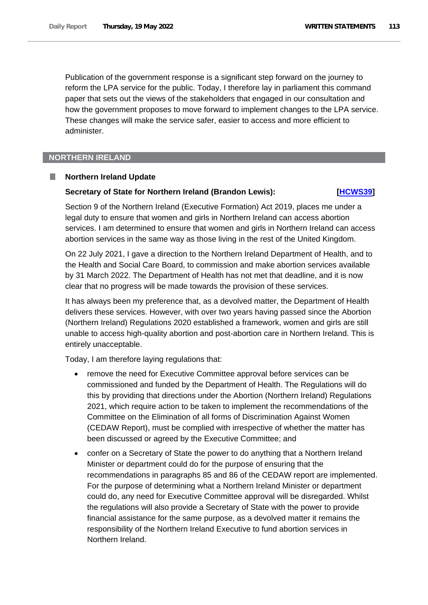Publication of the government response is a significant step forward on the journey to reform the LPA service for the public. Today, I therefore lay in parliament this command paper that sets out the views of the stakeholders that engaged in our consultation and how the government proposes to move forward to implement changes to the LPA service. These changes will make the service safer, easier to access and more efficient to administer.

### **NORTHERN IRELAND**

#### **Northern Ireland Update**

# **Secretary of State for Northern Ireland (Brandon Lewis): [HCWS39]**

Section 9 of the Northern Ireland (Executive Formation) Act 2019, places me under a legal duty to ensure that women and girls in Northern Ireland can access abortion services. I am determined to ensure that women and girls in Northern Ireland can access abortion services in the same way as those living in the rest of the United Kingdom.

On 22 July 2021, I gave a direction to the Northern Ireland Department of Health, and to the Health and Social Care Board, to commission and make abortion services available by 31 March 2022. The Department of Health has not met that deadline, and it is now clear that no progress will be made towards the provision of these services.

It has always been my preference that, as a devolved matter, the Department of Health delivers these services. However, with over two years having passed since the Abortion (Northern Ireland) Regulations 2020 established a framework, women and girls are still unable to access high-quality abortion and post-abortion care in Northern Ireland. This is entirely unacceptable.

Today, I am therefore laying regulations that:

- remove the need for Executive Committee approval before services can be commissioned and funded by the Department of Health. The Regulations will do this by providing that directions under the Abortion (Northern Ireland) Regulations 2021, which require action to be taken to implement the recommendations of the Committee on the Elimination of all forms of Discrimination Against Women (CEDAW Report), must be complied with irrespective of whether the matter has been discussed or agreed by the Executive Committee; and
- confer on a Secretary of State the power to do anything that a Northern Ireland Minister or department could do for the purpose of ensuring that the recommendations in paragraphs 85 and 86 of the CEDAW report are implemented. For the purpose of determining what a Northern Ireland Minister or department could do, any need for Executive Committee approval will be disregarded. Whilst the regulations will also provide a Secretary of State with the power to provide financial assistance for the same purpose, as a devolved matter it remains the responsibility of the Northern Ireland Executive to fund abortion services in Northern Ireland.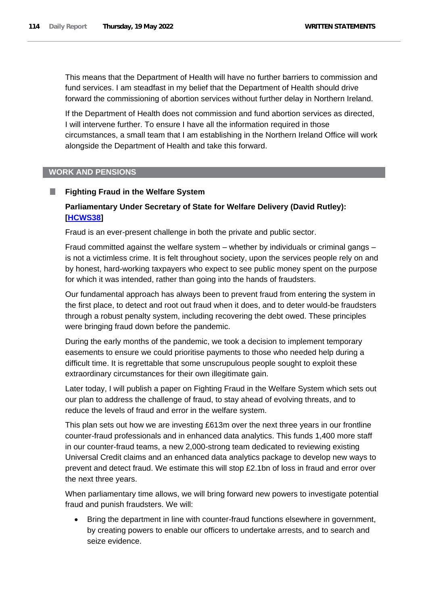This means that the Department of Health will have no further barriers to commission and fund services. I am steadfast in my belief that the Department of Health should drive forward the commissioning of abortion services without further delay in Northern Ireland.

If the Department of Health does not commission and fund abortion services as directed, I will intervene further. To ensure I have all the information required in those circumstances, a small team that I am establishing in the Northern Ireland Office will work alongside the Department of Health and take this forward.

# **WORK AND PENSIONS**

# **Fighting Fraud in the Welfare System**

# **Parliamentary Under Secretary of State for Welfare Delivery (David Rutley): [\[HCWS38\]](http://www.parliament.uk/business/publications/written-questions-answers-statements/written-statement/Commons/2022-05-19/HCWS38/)**

Fraud is an ever-present challenge in both the private and public sector.

Fraud committed against the welfare system – whether by individuals or criminal gangs – is not a victimless crime. It is felt throughout society, upon the services people rely on and by honest, hard-working taxpayers who expect to see public money spent on the purpose for which it was intended, rather than going into the hands of fraudsters.

Our fundamental approach has always been to prevent fraud from entering the system in the first place, to detect and root out fraud when it does, and to deter would-be fraudsters through a robust penalty system, including recovering the debt owed. These principles were bringing fraud down before the pandemic.

During the early months of the pandemic, we took a decision to implement temporary easements to ensure we could prioritise payments to those who needed help during a difficult time. It is regrettable that some unscrupulous people sought to exploit these extraordinary circumstances for their own illegitimate gain.

Later today, I will publish a paper on Fighting Fraud in the Welfare System which sets out our plan to address the challenge of fraud, to stay ahead of evolving threats, and to reduce the levels of fraud and error in the welfare system.

This plan sets out how we are investing £613m over the next three years in our frontline counter-fraud professionals and in enhanced data analytics. This funds 1,400 more staff in our counter-fraud teams, a new 2,000-strong team dedicated to reviewing existing Universal Credit claims and an enhanced data analytics package to develop new ways to prevent and detect fraud. We estimate this will stop £2.1bn of loss in fraud and error over the next three years.

When parliamentary time allows, we will bring forward new powers to investigate potential fraud and punish fraudsters. We will:

• Bring the department in line with counter-fraud functions elsewhere in government, by creating powers to enable our officers to undertake arrests, and to search and seize evidence.